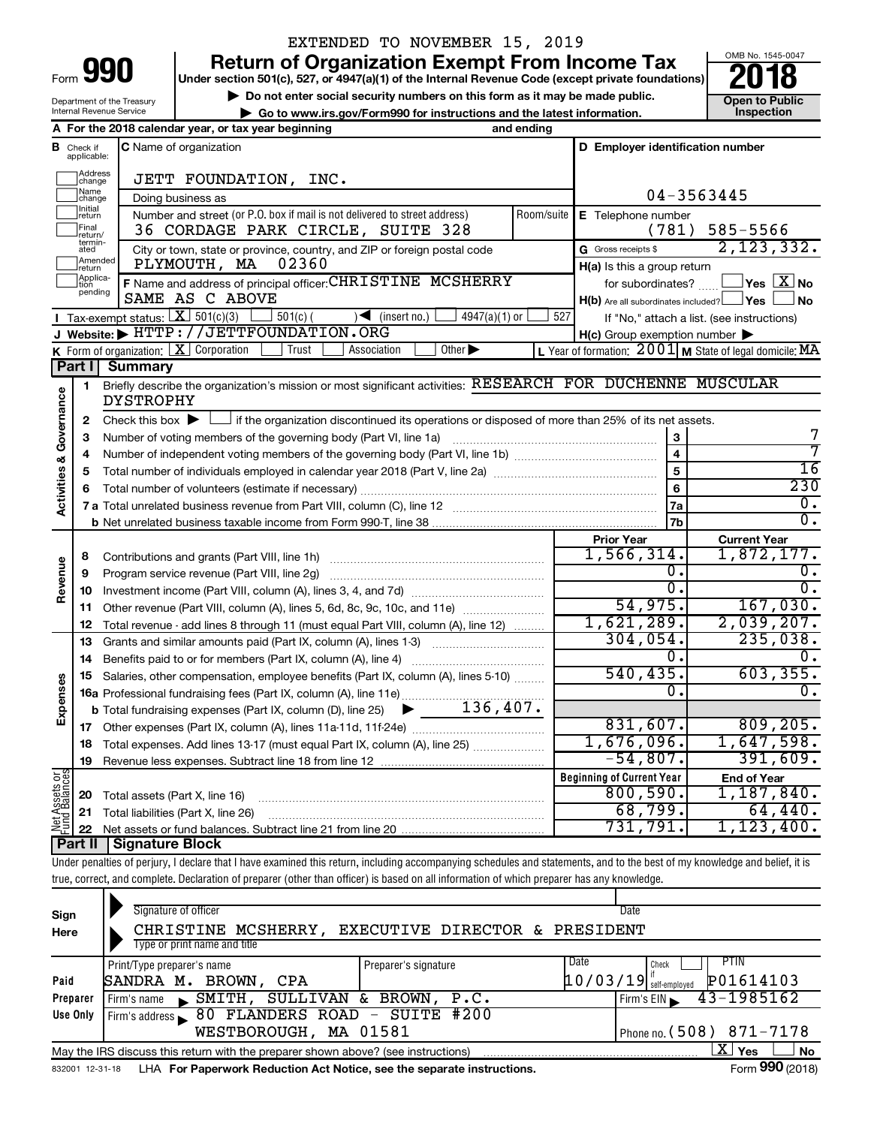Department of the Treasury Internal Revenue Service

# EXTENDED TO NOVEMBER 15, 2019

**990** Return of Organization Exempt From Income Tax **Punce 1845-004 Puncer section 501(c), 527, or 4947(a)(1)** of the Internal Revenue Code (except private foundations) **2018** 

▶ Do not enter social security numbers on this form as it may be made public. <br>**● Go to www.irs.gov/Form990 for instructions and the latest information.** Inspection **| Go to www.irs.gov/Form990 for instructions and the latest information. Inspection**



|                                |                               | A For the 2018 calendar year, or tax year beginning                                                                                         | and ending |                                                         |                                                                    |
|--------------------------------|-------------------------------|---------------------------------------------------------------------------------------------------------------------------------------------|------------|---------------------------------------------------------|--------------------------------------------------------------------|
|                                | <b>B</b> Check if applicable: | <b>C</b> Name of organization                                                                                                               |            | D Employer identification number                        |                                                                    |
|                                | Address<br>change             | JETT FOUNDATION, INC.                                                                                                                       |            |                                                         |                                                                    |
|                                | Name<br>change                | Doing business as                                                                                                                           |            |                                                         | 04-3563445                                                         |
|                                | Initial<br>]return            | Number and street (or P.O. box if mail is not delivered to street address)                                                                  | Room/suite | E Telephone number                                      |                                                                    |
|                                | Final<br>return/              | 36 CORDAGE PARK CIRCLE, SUITE 328                                                                                                           |            | (781)                                                   | 585-5566                                                           |
|                                | termin-<br>ated               | City or town, state or province, country, and ZIP or foreign postal code                                                                    |            | G Gross receipts \$                                     | 2, 123, 332.                                                       |
|                                | Amended<br>Ireturn            | 02360<br>PLYMOUTH, MA                                                                                                                       |            | H(a) Is this a group return                             |                                                                    |
|                                | Applica-<br>pending           | F Name and address of principal officer: CHRISTINE MCSHERRY                                                                                 |            | for subordinates?                                       | $\sqrt{\mathsf{Yes}\mathord{\;\mathbb{X}}\mathord{\;\mathsf{No}}}$ |
|                                |                               | SAME AS C ABOVE                                                                                                                             |            | $H(b)$ Are all subordinates included? $\Box$ Yes $\Box$ | <b>No</b>                                                          |
|                                |                               | <b>I</b> Tax-exempt status: $X \overline{301(c)(3)}$<br>$\sqrt{\frac{1}{1}}$ (insert no.)<br>$501(c)$ (<br>$4947(a)(1)$ or                  | 527        |                                                         | If "No," attach a list. (see instructions)                         |
|                                |                               | J Website: FITTP://JETTFOUNDATION.ORG                                                                                                       |            | $H(c)$ Group exemption number $\blacktriangleright$     |                                                                    |
|                                |                               | <b>K</b> Form of organization: $\boxed{\mathbf{X}}$ Corporation<br>Other $\blacktriangleright$<br>Trust<br>Association                      |            |                                                         | L Year of formation: $2001$ M State of legal domicile: MA          |
|                                | ∣ Part I                      | <b>Summary</b>                                                                                                                              |            |                                                         |                                                                    |
|                                | 1                             | Briefly describe the organization's mission or most significant activities: RESEARCH FOR DUCHENNE MUSCULAR<br>DYSTROPHY                     |            |                                                         |                                                                    |
| Governance                     | $\mathbf{2}$                  | Check this box $\blacktriangleright$ $\Box$ if the organization discontinued its operations or disposed of more than 25% of its net assets. |            |                                                         |                                                                    |
|                                | з                             | Number of voting members of the governing body (Part VI, line 1a)                                                                           |            | 3                                                       | 7                                                                  |
|                                | 4                             |                                                                                                                                             |            | $\overline{\mathbf{4}}$                                 | 7                                                                  |
| <b>Activities &amp;</b>        | 5                             |                                                                                                                                             |            | 5                                                       | 16                                                                 |
|                                | 6                             |                                                                                                                                             |            | 6                                                       | 230                                                                |
|                                |                               |                                                                                                                                             |            | 7a                                                      | О.                                                                 |
|                                |                               |                                                                                                                                             |            | 7b                                                      | $\overline{0}$ .                                                   |
|                                |                               |                                                                                                                                             |            | <b>Prior Year</b>                                       | <b>Current Year</b>                                                |
|                                | 8                             | Contributions and grants (Part VIII, line 1h)                                                                                               |            | 1,566,314.                                              | 1,872,177.                                                         |
|                                | 9                             | Program service revenue (Part VIII, line 2g)                                                                                                |            | О.                                                      | 0.                                                                 |
| Revenue                        | 10                            |                                                                                                                                             |            | σ.                                                      | $\overline{0}$ .                                                   |
|                                | 11                            | Other revenue (Part VIII, column (A), lines 5, 6d, 8c, 9c, 10c, and 11e)                                                                    |            | 54,975.                                                 | 167,030.                                                           |
|                                | 12                            | Total revenue - add lines 8 through 11 (must equal Part VIII, column (A), line 12)                                                          |            | 1,621,289.                                              | 2,039,207.                                                         |
|                                | 13                            | Grants and similar amounts paid (Part IX, column (A), lines 1-3) <i></i>                                                                    |            | 304,054.                                                | 235,038.                                                           |
|                                | 14                            | Benefits paid to or for members (Part IX, column (A), line 4)                                                                               |            | О.                                                      | 0.                                                                 |
|                                | 15                            | Salaries, other compensation, employee benefits (Part IX, column (A), lines 5-10)                                                           |            | 540, 435.                                               | 603, 355.                                                          |
| Expenses                       |                               | 16a Professional fundraising fees (Part IX, column (A), line 11e)                                                                           |            | 0.                                                      | 0.                                                                 |
|                                |                               | 136,407.<br><b>b</b> Total fundraising expenses (Part IX, column (D), line 25) $\blacktriangleright$                                        |            |                                                         |                                                                    |
|                                | 17                            |                                                                                                                                             |            | 831,607.                                                | 809, 205.                                                          |
|                                | 18                            | Total expenses. Add lines 13-17 (must equal Part IX, column (A), line 25)                                                                   |            | 1,676,096.                                              | 1,647,598.                                                         |
|                                | 19                            |                                                                                                                                             |            | $-54,807$ .                                             | 391,609.                                                           |
|                                |                               |                                                                                                                                             |            | <b>Beginning of Current Year</b>                        | <b>End of Year</b>                                                 |
|                                | 20                            | Total assets (Part X, line 16)                                                                                                              |            | 800,590.                                                | 1,187,840.                                                         |
| Net Assets or<br>Fund Balances | 21                            | Total liabilities (Part X, line 26)                                                                                                         |            | 68,799.                                                 | 64, 440.                                                           |
|                                | 22                            | $C_{i}$                                                                                                                                     |            | 731,791.                                                | 1,123,400.                                                         |

**Part II Signature Block**

Under penalties of perjury, I declare that I have examined this return, including accompanying schedules and statements, and to the best of my knowledge and belief, it is true, correct, and complete. Declaration of preparer (other than officer) is based on all information of which preparer has any knowledge.

| Sign<br>Here | Signature of officer<br>CHRISTINE MCSHERRY.<br>Type or print name and title                                  | EXECUTIVE DIRECTOR & PRESIDENT |      | Date                                                          |  |  |  |  |  |  |  |
|--------------|--------------------------------------------------------------------------------------------------------------|--------------------------------|------|---------------------------------------------------------------|--|--|--|--|--|--|--|
| Paid         | Print/Type preparer's name<br>SANDRA M.<br>BROWN,<br>CPA                                                     | Preparer's signature           | Date | <b>PTIN</b><br>Check<br>P01614103<br>$10/03/19$ self-employed |  |  |  |  |  |  |  |
| Preparer     | SMITH,<br>Firm's name                                                                                        | SULLIVAN & BROWN, P.C.         |      | 43-1985162<br>Firm's $EIN$                                    |  |  |  |  |  |  |  |
| Use Only     | Firm's address 80 FLANDERS ROAD - SUITE #200<br>WESTBOROUGH, MA 01581                                        |                                |      | Phone no. $(508)$ 871-7178                                    |  |  |  |  |  |  |  |
|              | May the IRS discuss this return with the preparer shown above? (see instructions)                            |                                |      | x.<br>Yes<br><b>No</b>                                        |  |  |  |  |  |  |  |
|              | Form 990 (2018)<br>LHA For Paperwork Reduction Act Notice, see the separate instructions.<br>832001 12-31-18 |                                |      |                                                               |  |  |  |  |  |  |  |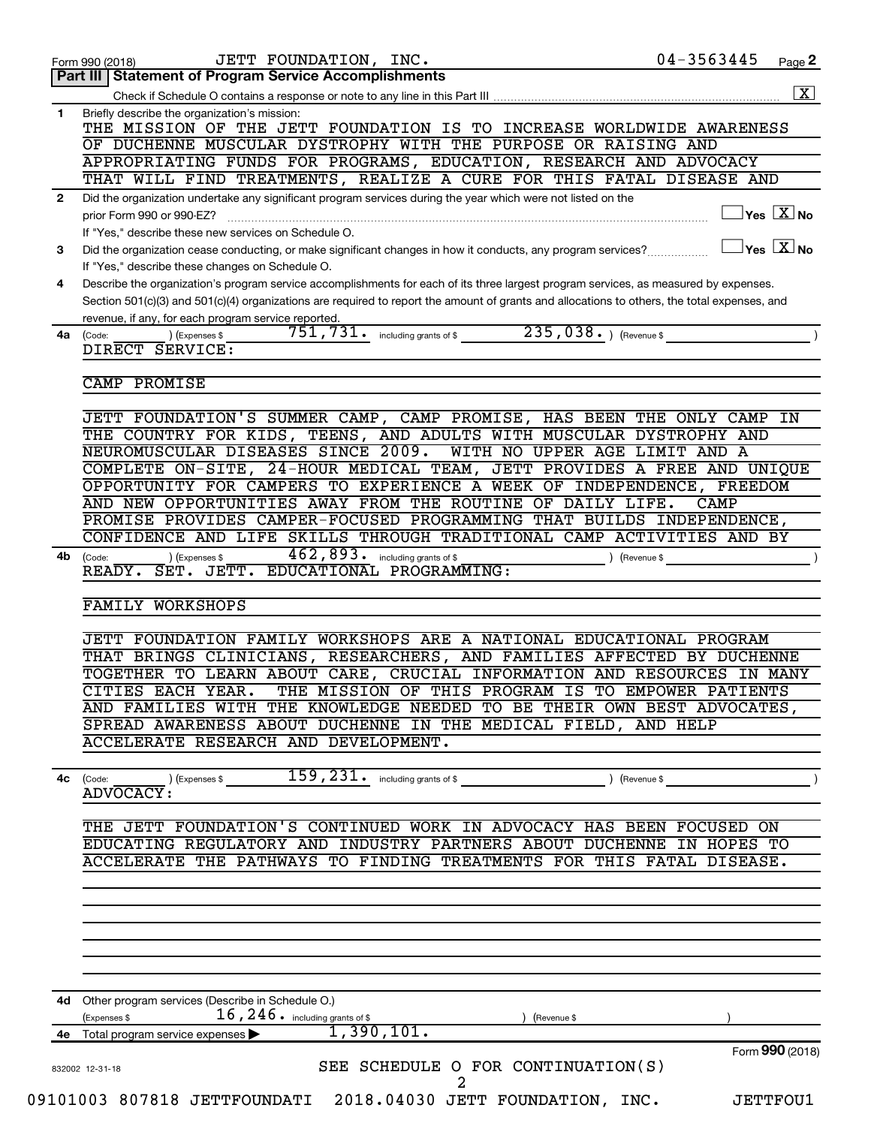|              | JETT FOUNDATION, INC.<br>Form 990 (2018)<br>Part III   Statement of Program Service Accomplishments                                                                         | 04-3563445                                             | Page 2 |
|--------------|-----------------------------------------------------------------------------------------------------------------------------------------------------------------------------|--------------------------------------------------------|--------|
|              |                                                                                                                                                                             |                                                        |        |
| $\mathbf{1}$ | Briefly describe the organization's mission:                                                                                                                                |                                                        |        |
|              | THE MISSION OF THE JETT FOUNDATION IS TO INCREASE WORLDWIDE AWARENESS                                                                                                       |                                                        |        |
|              | OF DUCHENNE MUSCULAR DYSTROPHY WITH THE PURPOSE OR RAISING AND                                                                                                              |                                                        |        |
|              | APPROPRIATING FUNDS FOR PROGRAMS, EDUCATION, RESEARCH AND ADVOCACY<br>THAT WILL FIND TREATMENTS, REALIZE A CURE FOR THIS FATAL DISEASE AND                                  |                                                        |        |
| $\mathbf{2}$ | Did the organization undertake any significant program services during the year which were not listed on the                                                                |                                                        |        |
|              | prior Form 990 or 990-EZ?                                                                                                                                                   | $\sqrt{\mathsf{Yes}\ \mathbf{X}}$ No                   |        |
|              | If "Yes," describe these new services on Schedule O.                                                                                                                        |                                                        |        |
| 3            | Did the organization cease conducting, or make significant changes in how it conducts, any program services?                                                                | $\vert$ Yes $\vert$ $\overline{\mathrm{X}}$ $\vert$ No |        |
|              | If "Yes," describe these changes on Schedule O.                                                                                                                             |                                                        |        |
| 4            | Describe the organization's program service accomplishments for each of its three largest program services, as measured by expenses.                                        |                                                        |        |
|              | Section 501(c)(3) and 501(c)(4) organizations are required to report the amount of grants and allocations to others, the total expenses, and                                |                                                        |        |
| 4a           | revenue, if any, for each program service reported.<br>235,038. ) (Revenue \$<br>$\overline{751}$ , $\overline{731}$ and including grants of \$<br>) (Expenses \$<br>(Code: |                                                        |        |
|              | DIRECT SERVICE:                                                                                                                                                             |                                                        |        |
|              |                                                                                                                                                                             |                                                        |        |
|              | CAMP PROMISE                                                                                                                                                                |                                                        |        |
|              | JETT FOUNDATION'S SUMMER CAMP, CAMP PROMISE, HAS BEEN THE ONLY CAMP                                                                                                         |                                                        | IN     |
|              | THE COUNTRY FOR KIDS, TEENS, AND ADULTS WITH MUSCULAR DYSTROPHY AND                                                                                                         |                                                        |        |
|              | NEUROMUSCULAR DISEASES SINCE 2009.<br>WITH NO UPPER AGE LIMIT AND A                                                                                                         |                                                        |        |
|              | COMPLETE ON-SITE, 24-HOUR MEDICAL TEAM, JETT PROVIDES A FREE AND UNIQUE                                                                                                     |                                                        |        |
|              | OPPORTUNITY FOR CAMPERS TO EXPERIENCE A WEEK OF INDEPENDENCE, FREEDOM                                                                                                       |                                                        |        |
|              | AND NEW OPPORTUNITIES AWAY FROM THE ROUTINE OF DAILY LIFE.                                                                                                                  | CAMP                                                   |        |
|              | PROMISE PROVIDES CAMPER-FOCUSED PROGRAMMING THAT BUILDS INDEPENDENCE,                                                                                                       |                                                        |        |
|              | CONFIDENCE AND LIFE SKILLS THROUGH TRADITIONAL CAMP ACTIVITIES AND BY<br>462,893. including grants of \$                                                                    |                                                        |        |
| 4b           | ) (Expenses \$<br>(Code:<br>) (Revenue \$<br>READY. SET. JETT. EDUCATIONAL PROGRAMMING:                                                                                     |                                                        |        |
|              |                                                                                                                                                                             |                                                        |        |
|              | <b>FAMILY WORKSHOPS</b>                                                                                                                                                     |                                                        |        |
|              | JETT FOUNDATION FAMILY WORKSHOPS ARE A NATIONAL EDUCATIONAL PROGRAM                                                                                                         |                                                        |        |
|              | THAT BRINGS CLINICIANS, RESEARCHERS, AND FAMILIES AFFECTED BY DUCHENNE                                                                                                      |                                                        |        |
|              | TOGETHER TO LEARN ABOUT CARE, CRUCIAL INFORMATION AND RESOURCES IN MANY                                                                                                     |                                                        |        |
|              | THE MISSION OF THIS PROGRAM IS TO EMPOWER PATIENTS<br>CITIES EACH YEAR.                                                                                                     |                                                        |        |
|              | AND FAMILIES WITH THE KNOWLEDGE NEEDED TO BE THEIR OWN BEST ADVOCATES,                                                                                                      |                                                        |        |
|              | SPREAD AWARENESS ABOUT DUCHENNE IN THE MEDICAL FIELD, AND HELP                                                                                                              |                                                        |        |
|              | ACCELERATE RESEARCH AND DEVELOPMENT.                                                                                                                                        |                                                        |        |
|              | $\overline{159}$ , $\overline{231}$ . including grants of \$<br>) (Revenue \$<br>) (Expenses \$<br>$4c$ (Code:                                                              |                                                        |        |
|              | ADVOCACY:                                                                                                                                                                   |                                                        |        |
|              |                                                                                                                                                                             |                                                        |        |
|              | THE JETT FOUNDATION'S CONTINUED WORK IN ADVOCACY HAS BEEN FOCUSED ON                                                                                                        |                                                        |        |
|              | EDUCATING REGULATORY AND INDUSTRY PARTNERS ABOUT DUCHENNE IN HOPES TO<br>ACCELERATE THE PATHWAYS TO FINDING TREATMENTS FOR THIS FATAL DISEASE.                              |                                                        |        |
|              |                                                                                                                                                                             |                                                        |        |
|              |                                                                                                                                                                             |                                                        |        |
|              |                                                                                                                                                                             |                                                        |        |
|              |                                                                                                                                                                             |                                                        |        |
|              |                                                                                                                                                                             |                                                        |        |
|              |                                                                                                                                                                             |                                                        |        |
|              | 4d Other program services (Describe in Schedule O.)                                                                                                                         |                                                        |        |
|              | $16$ , $246$ $\cdot$ including grants of \$<br>(Expenses \$<br>) (Revenue \$                                                                                                |                                                        |        |
|              |                                                                                                                                                                             |                                                        |        |
|              | 1,390,101.<br>4e Total program service expenses >                                                                                                                           | Form 990 (2018)                                        |        |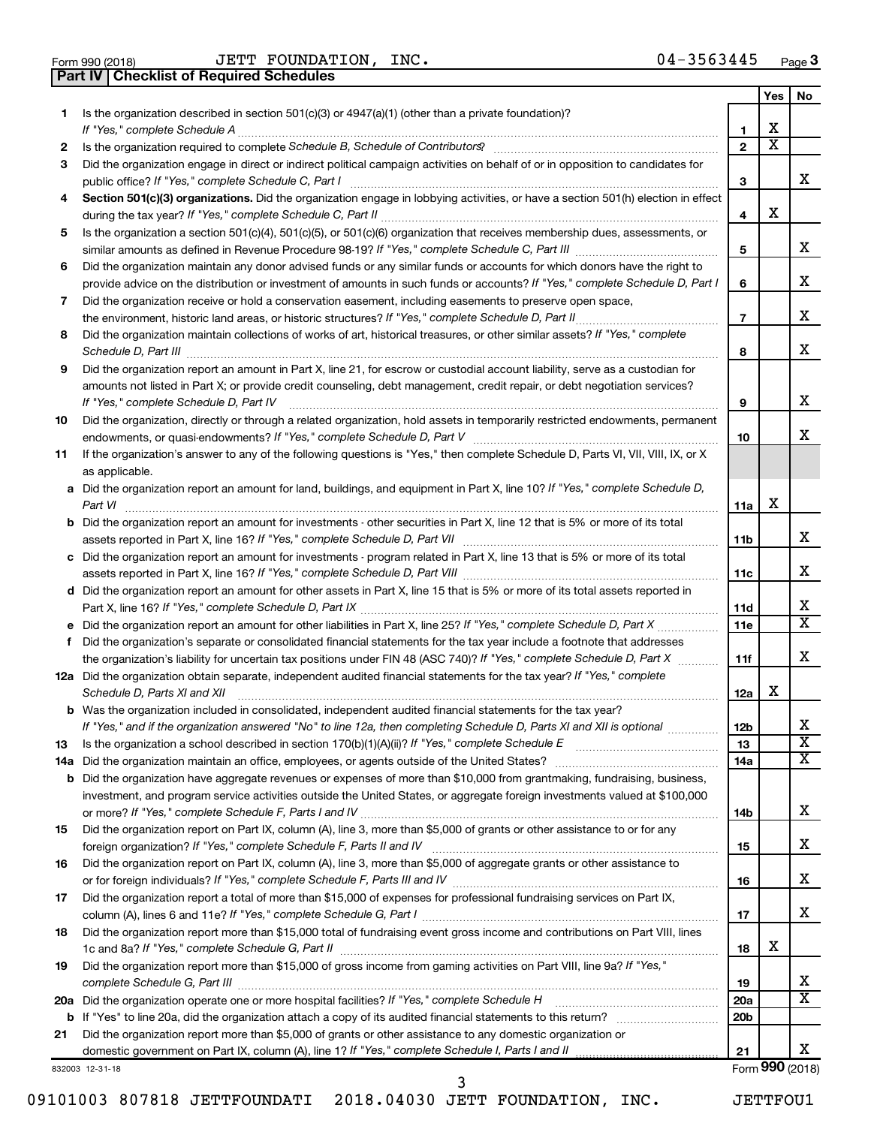| Form 990 (2018) |  |  |
|-----------------|--|--|

**Part IV Checklist of Required Schedules**

Form 990 (2018) Page JETT FOUNDATION, INC. 04-3563445

|    |                                                                                                                                                                                                                                                  |                 | Yes                     | No                      |
|----|--------------------------------------------------------------------------------------------------------------------------------------------------------------------------------------------------------------------------------------------------|-----------------|-------------------------|-------------------------|
| 1  | Is the organization described in section $501(c)(3)$ or $4947(a)(1)$ (other than a private foundation)?                                                                                                                                          |                 |                         |                         |
|    | If "Yes." complete Schedule A                                                                                                                                                                                                                    | 1               | x                       |                         |
| 2  |                                                                                                                                                                                                                                                  | $\mathbf{2}$    | $\overline{\texttt{x}}$ |                         |
| 3  | Did the organization engage in direct or indirect political campaign activities on behalf of or in opposition to candidates for                                                                                                                  |                 |                         | X.                      |
|    | public office? If "Yes," complete Schedule C, Part I                                                                                                                                                                                             | 3               |                         |                         |
| 4  | Section 501(c)(3) organizations. Did the organization engage in lobbying activities, or have a section 501(h) election in effect                                                                                                                 | 4               | x                       |                         |
| 5  | Is the organization a section 501(c)(4), 501(c)(5), or 501(c)(6) organization that receives membership dues, assessments, or                                                                                                                     |                 |                         |                         |
|    |                                                                                                                                                                                                                                                  | 5               |                         | x                       |
| 6  | Did the organization maintain any donor advised funds or any similar funds or accounts for which donors have the right to                                                                                                                        |                 |                         |                         |
|    | provide advice on the distribution or investment of amounts in such funds or accounts? If "Yes," complete Schedule D, Part I                                                                                                                     | 6               |                         | x                       |
| 7  | Did the organization receive or hold a conservation easement, including easements to preserve open space,                                                                                                                                        |                 |                         |                         |
|    |                                                                                                                                                                                                                                                  | $\overline{7}$  |                         | x                       |
| 8  | Did the organization maintain collections of works of art, historical treasures, or other similar assets? If "Yes," complete                                                                                                                     |                 |                         |                         |
|    | Schedule D, Part III <b>www.community.community.community.community.community.com</b>                                                                                                                                                            | 8               |                         | x                       |
| 9  | Did the organization report an amount in Part X, line 21, for escrow or custodial account liability, serve as a custodian for                                                                                                                    |                 |                         |                         |
|    | amounts not listed in Part X; or provide credit counseling, debt management, credit repair, or debt negotiation services?                                                                                                                        |                 |                         |                         |
|    | If "Yes." complete Schedule D, Part IV                                                                                                                                                                                                           | 9               |                         | x                       |
| 10 | Did the organization, directly or through a related organization, hold assets in temporarily restricted endowments, permanent                                                                                                                    |                 |                         |                         |
|    |                                                                                                                                                                                                                                                  | 10              |                         | x                       |
| 11 | If the organization's answer to any of the following questions is "Yes," then complete Schedule D, Parts VI, VII, VIII, IX, or X                                                                                                                 |                 |                         |                         |
|    | as applicable.                                                                                                                                                                                                                                   |                 |                         |                         |
|    | a Did the organization report an amount for land, buildings, and equipment in Part X, line 10? If "Yes," complete Schedule D,<br>Part VI                                                                                                         | 11a             | х                       |                         |
|    | <b>b</b> Did the organization report an amount for investments - other securities in Part X, line 12 that is 5% or more of its total                                                                                                             |                 |                         |                         |
|    | assets reported in Part X, line 16? If "Yes," complete Schedule D, Part VII [11] [11] [12] [12] [12] [12] [12] [                                                                                                                                 | 11b             |                         | x                       |
|    | c Did the organization report an amount for investments - program related in Part X, line 13 that is 5% or more of its total                                                                                                                     |                 |                         |                         |
|    |                                                                                                                                                                                                                                                  | 11c             |                         | x                       |
|    | d Did the organization report an amount for other assets in Part X, line 15 that is 5% or more of its total assets reported in                                                                                                                   |                 |                         |                         |
|    |                                                                                                                                                                                                                                                  | 11d             |                         | x                       |
|    | e Did the organization report an amount for other liabilities in Part X, line 25? If "Yes," complete Schedule D, Part X                                                                                                                          | 11e             |                         | $\overline{\mathbf{X}}$ |
| f. | Did the organization's separate or consolidated financial statements for the tax year include a footnote that addresses                                                                                                                          |                 |                         |                         |
|    | the organization's liability for uncertain tax positions under FIN 48 (ASC 740)? If "Yes," complete Schedule D, Part X                                                                                                                           | 11f             |                         | X.                      |
|    | 12a Did the organization obtain separate, independent audited financial statements for the tax year? If "Yes," complete                                                                                                                          |                 | x                       |                         |
|    | Schedule D, Parts XI and XII                                                                                                                                                                                                                     | 12a             |                         |                         |
|    | <b>b</b> Was the organization included in consolidated, independent audited financial statements for the tax year?<br>If "Yes," and if the organization answered "No" to line 12a, then completing Schedule D, Parts XI and XII is optional www. | 12 <sub>b</sub> |                         | X                       |
| 13 | Is the organization a school described in section $170(b)(1)(A)(ii)?$ If "Yes," complete Schedule E                                                                                                                                              | 13              |                         | $\overline{\textbf{x}}$ |
|    | 14a Did the organization maintain an office, employees, or agents outside of the United States?                                                                                                                                                  | 14a             |                         | X                       |
|    | <b>b</b> Did the organization have aggregate revenues or expenses of more than \$10,000 from grantmaking, fundraising, business,                                                                                                                 |                 |                         |                         |
|    | investment, and program service activities outside the United States, or aggregate foreign investments valued at \$100,000                                                                                                                       |                 |                         |                         |
|    |                                                                                                                                                                                                                                                  | 14b             |                         | x                       |
| 15 | Did the organization report on Part IX, column (A), line 3, more than \$5,000 of grants or other assistance to or for any                                                                                                                        |                 |                         |                         |
|    |                                                                                                                                                                                                                                                  | 15              |                         | x                       |
| 16 | Did the organization report on Part IX, column (A), line 3, more than \$5,000 of aggregate grants or other assistance to                                                                                                                         |                 |                         |                         |
|    |                                                                                                                                                                                                                                                  | 16              |                         | x                       |
| 17 | Did the organization report a total of more than \$15,000 of expenses for professional fundraising services on Part IX,                                                                                                                          |                 |                         |                         |
|    |                                                                                                                                                                                                                                                  | 17              |                         | x                       |
| 18 | Did the organization report more than \$15,000 total of fundraising event gross income and contributions on Part VIII, lines                                                                                                                     | 18              | x                       |                         |
| 19 | Did the organization report more than \$15,000 of gross income from gaming activities on Part VIII, line 9a? If "Yes,"                                                                                                                           |                 |                         |                         |
|    |                                                                                                                                                                                                                                                  | 19              |                         | X.                      |
|    | 20a Did the organization operate one or more hospital facilities? If "Yes," complete Schedule H                                                                                                                                                  | 20a             |                         | X                       |
|    |                                                                                                                                                                                                                                                  | 20b             |                         |                         |
| 21 | Did the organization report more than \$5,000 of grants or other assistance to any domestic organization or                                                                                                                                      |                 |                         |                         |
|    |                                                                                                                                                                                                                                                  | 21              |                         | X.                      |

832003 12-31-18

Form (2018) **990**

3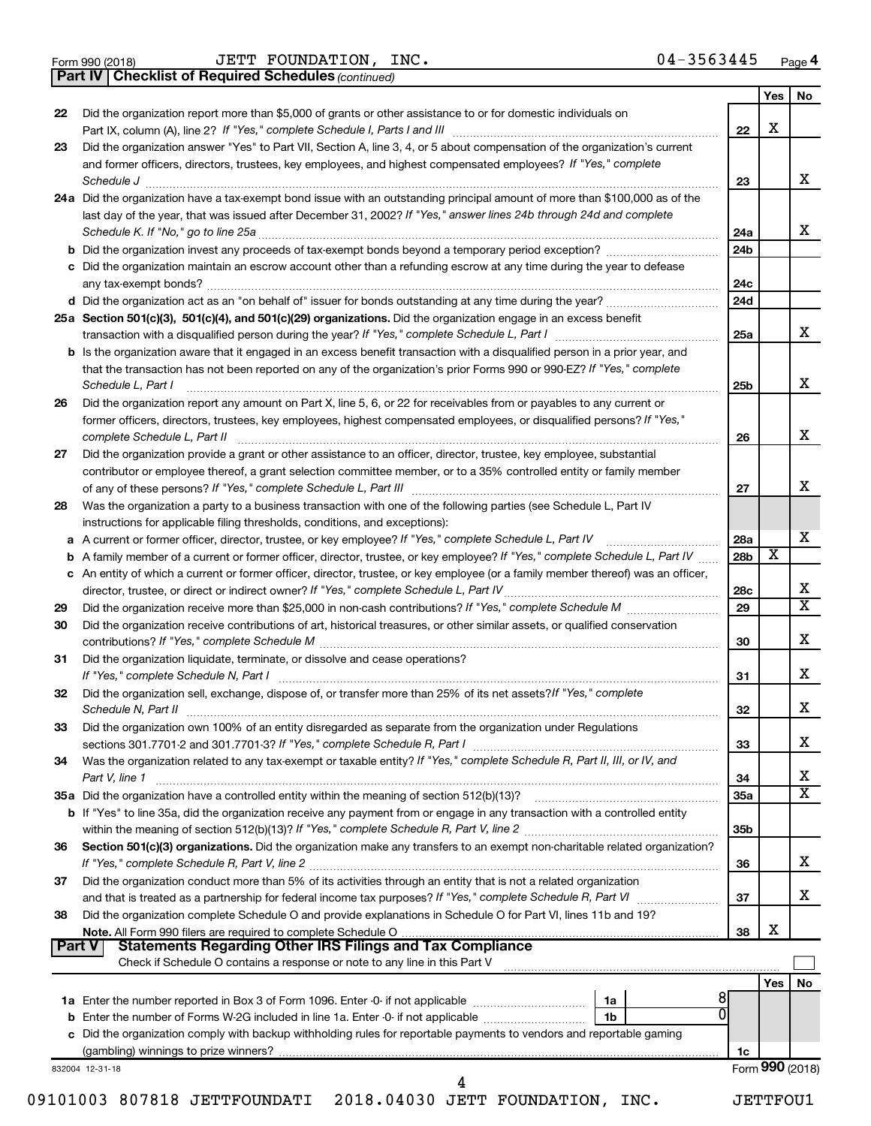|  | Form 990 (2018) |  |
|--|-----------------|--|
|  |                 |  |

Form 990 (2018) Page JETT FOUNDATION, INC. 04-3563445

*(continued)* **Part IV Checklist of Required Schedules**

|               |                                                                                                                                                                                                                                                  |                        | <b>Yes</b>              | No                      |
|---------------|--------------------------------------------------------------------------------------------------------------------------------------------------------------------------------------------------------------------------------------------------|------------------------|-------------------------|-------------------------|
| 22            | Did the organization report more than \$5,000 of grants or other assistance to or for domestic individuals on                                                                                                                                    |                        |                         |                         |
|               |                                                                                                                                                                                                                                                  | 22                     | x                       |                         |
| 23            | Did the organization answer "Yes" to Part VII, Section A, line 3, 4, or 5 about compensation of the organization's current                                                                                                                       |                        |                         |                         |
|               | and former officers, directors, trustees, key employees, and highest compensated employees? If "Yes," complete                                                                                                                                   |                        |                         |                         |
|               | Schedule J <b>Execute Schedule J Execute Schedule J</b><br>24a Did the organization have a tax-exempt bond issue with an outstanding principal amount of more than \$100,000 as of the                                                           | 23                     |                         | x                       |
|               | last day of the year, that was issued after December 31, 2002? If "Yes," answer lines 24b through 24d and complete                                                                                                                               |                        |                         |                         |
|               |                                                                                                                                                                                                                                                  | 24a                    |                         | x                       |
|               |                                                                                                                                                                                                                                                  | 24 <sub>b</sub>        |                         |                         |
|               | c Did the organization maintain an escrow account other than a refunding escrow at any time during the year to defease                                                                                                                           |                        |                         |                         |
|               |                                                                                                                                                                                                                                                  | 24c                    |                         |                         |
|               |                                                                                                                                                                                                                                                  | 24d                    |                         |                         |
|               | 25a Section 501(c)(3), 501(c)(4), and 501(c)(29) organizations. Did the organization engage in an excess benefit                                                                                                                                 |                        |                         |                         |
|               |                                                                                                                                                                                                                                                  | 25a                    |                         | x                       |
|               | <b>b</b> Is the organization aware that it engaged in an excess benefit transaction with a disqualified person in a prior year, and                                                                                                              |                        |                         |                         |
|               | that the transaction has not been reported on any of the organization's prior Forms 990 or 990-EZ? If "Yes," complete<br>Schedule L, Part I                                                                                                      | 25b                    |                         | x                       |
| 26            | Did the organization report any amount on Part X, line 5, 6, or 22 for receivables from or payables to any current or                                                                                                                            |                        |                         |                         |
|               | former officers, directors, trustees, key employees, highest compensated employees, or disqualified persons? If "Yes,"                                                                                                                           |                        |                         |                         |
|               |                                                                                                                                                                                                                                                  | 26                     |                         | x                       |
| 27            | Did the organization provide a grant or other assistance to an officer, director, trustee, key employee, substantial                                                                                                                             |                        |                         |                         |
|               | contributor or employee thereof, a grant selection committee member, or to a 35% controlled entity or family member                                                                                                                              |                        |                         |                         |
|               |                                                                                                                                                                                                                                                  | 27                     |                         | X                       |
| 28            | Was the organization a party to a business transaction with one of the following parties (see Schedule L, Part IV                                                                                                                                |                        |                         |                         |
|               | instructions for applicable filing thresholds, conditions, and exceptions):                                                                                                                                                                      |                        |                         | X                       |
|               | a A current or former officer, director, trustee, or key employee? If "Yes," complete Schedule L, Part IV<br><b>b</b> A family member of a current or former officer, director, trustee, or key employee? If "Yes," complete Schedule L, Part IV | 28a<br>28 <sub>b</sub> | $\overline{\textbf{x}}$ |                         |
|               | c An entity of which a current or former officer, director, trustee, or key employee (or a family member thereof) was an officer,                                                                                                                |                        |                         |                         |
|               |                                                                                                                                                                                                                                                  | 28c                    |                         | х                       |
| 29            |                                                                                                                                                                                                                                                  | 29                     |                         | $\overline{\mathtt{x}}$ |
| 30            | Did the organization receive contributions of art, historical treasures, or other similar assets, or qualified conservation                                                                                                                      |                        |                         |                         |
|               |                                                                                                                                                                                                                                                  | 30                     |                         | x                       |
| 31            | Did the organization liquidate, terminate, or dissolve and cease operations?                                                                                                                                                                     |                        |                         |                         |
|               |                                                                                                                                                                                                                                                  | 31                     |                         | x                       |
| 32            | Did the organization sell, exchange, dispose of, or transfer more than 25% of its net assets? If "Yes," complete                                                                                                                                 |                        |                         | x                       |
| 33            | Did the organization own 100% of an entity disregarded as separate from the organization under Regulations                                                                                                                                       | 32                     |                         |                         |
|               |                                                                                                                                                                                                                                                  | 33                     |                         | x                       |
| 34            | Was the organization related to any tax-exempt or taxable entity? If "Yes," complete Schedule R, Part II, III, or IV, and                                                                                                                        |                        |                         |                         |
|               | Part V, line 1                                                                                                                                                                                                                                   | 34                     |                         | x                       |
|               | 35a Did the organization have a controlled entity within the meaning of section 512(b)(13)?                                                                                                                                                      | 35a                    |                         | $\overline{\mathtt{x}}$ |
|               | b If "Yes" to line 35a, did the organization receive any payment from or engage in any transaction with a controlled entity                                                                                                                      |                        |                         |                         |
|               |                                                                                                                                                                                                                                                  | 35b                    |                         |                         |
| 36            | Section 501(c)(3) organizations. Did the organization make any transfers to an exempt non-charitable related organization?                                                                                                                       |                        |                         |                         |
|               |                                                                                                                                                                                                                                                  | 36                     |                         | x                       |
| 37            | Did the organization conduct more than 5% of its activities through an entity that is not a related organization                                                                                                                                 | 37                     |                         | x                       |
| 38            | Did the organization complete Schedule O and provide explanations in Schedule O for Part VI, lines 11b and 19?                                                                                                                                   |                        |                         |                         |
|               |                                                                                                                                                                                                                                                  | 38                     | х                       |                         |
| <b>Part V</b> |                                                                                                                                                                                                                                                  |                        |                         |                         |
|               | Check if Schedule O contains a response or note to any line in this Part V                                                                                                                                                                       |                        |                         |                         |
|               |                                                                                                                                                                                                                                                  |                        | Yes                     | No                      |
|               | 8<br>1a                                                                                                                                                                                                                                          |                        |                         |                         |
|               | 0<br>b Enter the number of Forms W-2G included in line 1a. Enter -0- if not applicable<br>1b                                                                                                                                                     |                        |                         |                         |
|               | c Did the organization comply with backup withholding rules for reportable payments to vendors and reportable gaming                                                                                                                             | 1c                     |                         |                         |
|               | 832004 12-31-18                                                                                                                                                                                                                                  |                        |                         | Form 990 (2018)         |
|               | 4                                                                                                                                                                                                                                                |                        |                         |                         |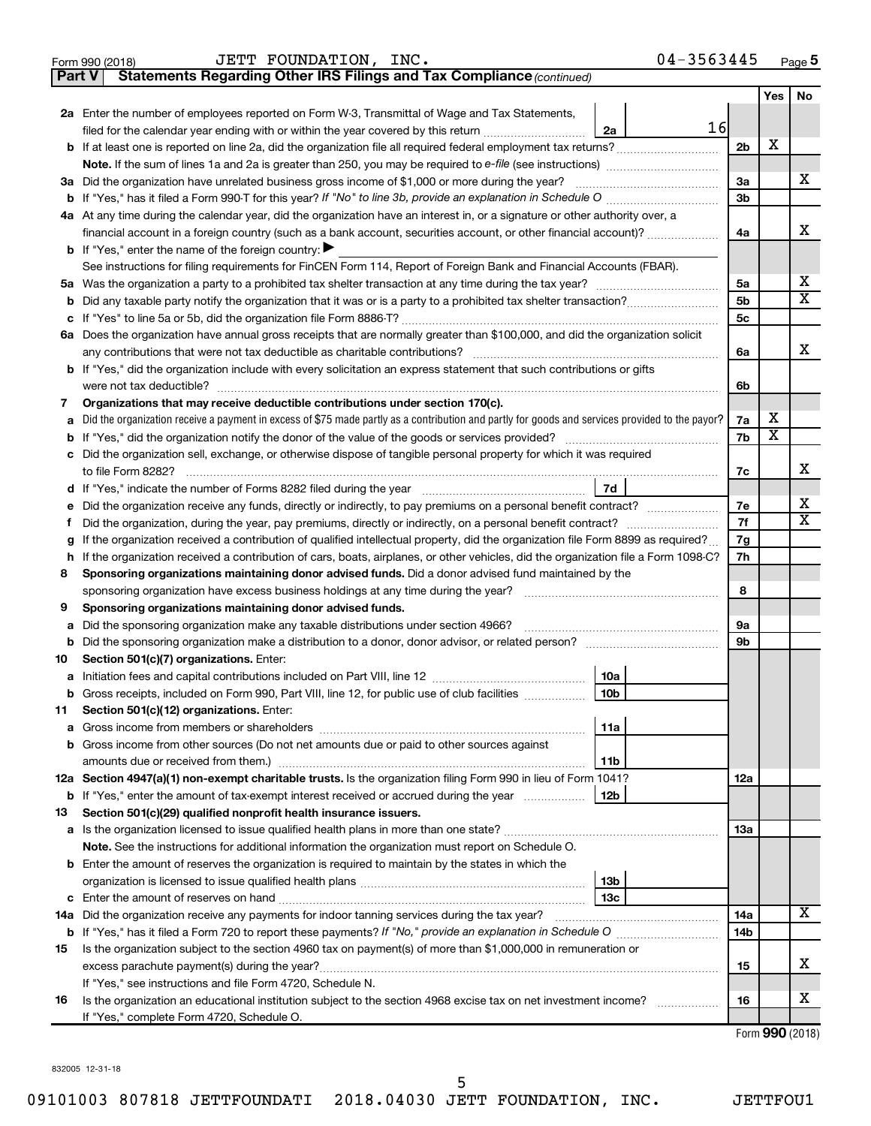|          | 04-3563445<br>JETT FOUNDATION, INC.<br>Form 990 (2018)                                                                                                       |                 |                         | Page 5                  |
|----------|--------------------------------------------------------------------------------------------------------------------------------------------------------------|-----------------|-------------------------|-------------------------|
| Part V   | Statements Regarding Other IRS Filings and Tax Compliance (continued)                                                                                        |                 |                         |                         |
|          |                                                                                                                                                              |                 | <b>Yes</b>              | <b>No</b>               |
|          | 2a Enter the number of employees reported on Form W-3, Transmittal of Wage and Tax Statements,                                                               |                 |                         |                         |
|          | 16<br>filed for the calendar year ending with or within the year covered by this return<br>2a                                                                |                 |                         |                         |
|          | b If at least one is reported on line 2a, did the organization file all required federal employment tax returns?                                             | 2 <sub>b</sub>  | X                       |                         |
|          | Note. If the sum of lines 1a and 2a is greater than 250, you may be required to e-file (see instructions) <i></i>                                            |                 |                         |                         |
|          | 3a Did the organization have unrelated business gross income of \$1,000 or more during the year?                                                             | 3a              |                         | x                       |
| b        | If "Yes," has it filed a Form 990-T for this year? If "No" to line 3b, provide an explanation in Schedule O manumum                                          | 3 <sub>b</sub>  |                         |                         |
|          | 4a At any time during the calendar year, did the organization have an interest in, or a signature or other authority over, a                                 |                 |                         |                         |
|          | financial account in a foreign country (such as a bank account, securities account, or other financial account)?                                             | 4a              |                         | х                       |
|          | <b>b</b> If "Yes," enter the name of the foreign country: $\blacktriangleright$                                                                              |                 |                         |                         |
|          | See instructions for filing requirements for FinCEN Form 114, Report of Foreign Bank and Financial Accounts (FBAR).                                          |                 |                         |                         |
|          |                                                                                                                                                              | 5a              |                         | х                       |
| b        |                                                                                                                                                              | 5 <sub>b</sub>  |                         | $\overline{\mathbf{x}}$ |
| с        |                                                                                                                                                              | 5 <sub>c</sub>  |                         |                         |
|          | 6a Does the organization have annual gross receipts that are normally greater than \$100,000, and did the organization solicit                               |                 |                         |                         |
|          | any contributions that were not tax deductible as charitable contributions?                                                                                  | 6a              |                         | х                       |
| b        | If "Yes," did the organization include with every solicitation an express statement that such contributions or gifts                                         |                 |                         |                         |
|          | were not tax deductible?                                                                                                                                     | 6b              |                         |                         |
| 7        | Organizations that may receive deductible contributions under section 170(c).                                                                                |                 |                         |                         |
| а        | Did the organization receive a payment in excess of \$75 made partly as a contribution and partly for goods and services provided to the payor?              | 7a              | х                       |                         |
| b        |                                                                                                                                                              | 7b              | $\overline{\textbf{x}}$ |                         |
| с        | Did the organization sell, exchange, or otherwise dispose of tangible personal property for which it was required                                            |                 |                         |                         |
|          |                                                                                                                                                              | 7c              |                         | x                       |
| d        | 7d                                                                                                                                                           |                 |                         |                         |
| е        |                                                                                                                                                              | 7e              |                         | х                       |
| f        | Did the organization, during the year, pay premiums, directly or indirectly, on a personal benefit contract?                                                 | 7f              |                         | $\overline{X}$          |
|          | If the organization received a contribution of qualified intellectual property, did the organization file Form 8899 as required?                             | 7g              |                         |                         |
| h        | If the organization received a contribution of cars, boats, airplanes, or other vehicles, did the organization file a Form 1098-C?                           | 7h              |                         |                         |
| 8        | Sponsoring organizations maintaining donor advised funds. Did a donor advised fund maintained by the                                                         |                 |                         |                         |
|          | sponsoring organization have excess business holdings at any time during the year?                                                                           | 8               |                         |                         |
| 9        | Sponsoring organizations maintaining donor advised funds.                                                                                                    |                 |                         |                         |
| а        | Did the sponsoring organization make any taxable distributions under section 4966?                                                                           | 9a              |                         |                         |
| b        |                                                                                                                                                              | 9 <sub>b</sub>  |                         |                         |
| 10       | Section 501(c)(7) organizations. Enter:                                                                                                                      |                 |                         |                         |
| а        | 10a                                                                                                                                                          |                 |                         |                         |
| b        | Gross receipts, included on Form 990, Part VIII, line 12, for public use of club facilities<br>  10b                                                         |                 |                         |                         |
| 11       | Section 501(c)(12) organizations. Enter:                                                                                                                     |                 |                         |                         |
| а        | 11a                                                                                                                                                          |                 |                         |                         |
| b        | Gross income from other sources (Do not net amounts due or paid to other sources against                                                                     |                 |                         |                         |
|          | 11b<br>amounts due or received from them.)<br>12a Section 4947(a)(1) non-exempt charitable trusts. Is the organization filing Form 990 in lieu of Form 1041? |                 |                         |                         |
|          |                                                                                                                                                              | 12a             |                         |                         |
| b        | 12 <sub>b</sub><br>If "Yes," enter the amount of tax-exempt interest received or accrued during the year                                                     |                 |                         |                         |
| 13       | Section 501(c)(29) qualified nonprofit health insurance issuers.                                                                                             | 13a             |                         |                         |
| а        |                                                                                                                                                              |                 |                         |                         |
|          | Note. See the instructions for additional information the organization must report on Schedule O.                                                            |                 |                         |                         |
|          | <b>b</b> Enter the amount of reserves the organization is required to maintain by the states in which the<br>13 <sub>b</sub>                                 |                 |                         |                         |
|          | 13с<br>Enter the amount of reserves on hand                                                                                                                  |                 |                         |                         |
| с<br>14a | Did the organization receive any payments for indoor tanning services during the tax year?                                                                   | 14a             |                         | X                       |
| b        |                                                                                                                                                              | 14 <sub>b</sub> |                         |                         |
| 15       | Is the organization subject to the section 4960 tax on payment(s) of more than \$1,000,000 in remuneration or                                                |                 |                         |                         |
|          |                                                                                                                                                              | 15              |                         | х                       |
|          | If "Yes," see instructions and file Form 4720, Schedule N.                                                                                                   |                 |                         |                         |
| 16       | Is the organization an educational institution subject to the section 4968 excise tax on net investment income?                                              | 16              |                         | х                       |
|          | If "Yes," complete Form 4720, Schedule O.                                                                                                                    |                 |                         |                         |
|          |                                                                                                                                                              |                 |                         | $Form$ QQQ (2019)       |

Form (2018) **990**

832005 12-31-18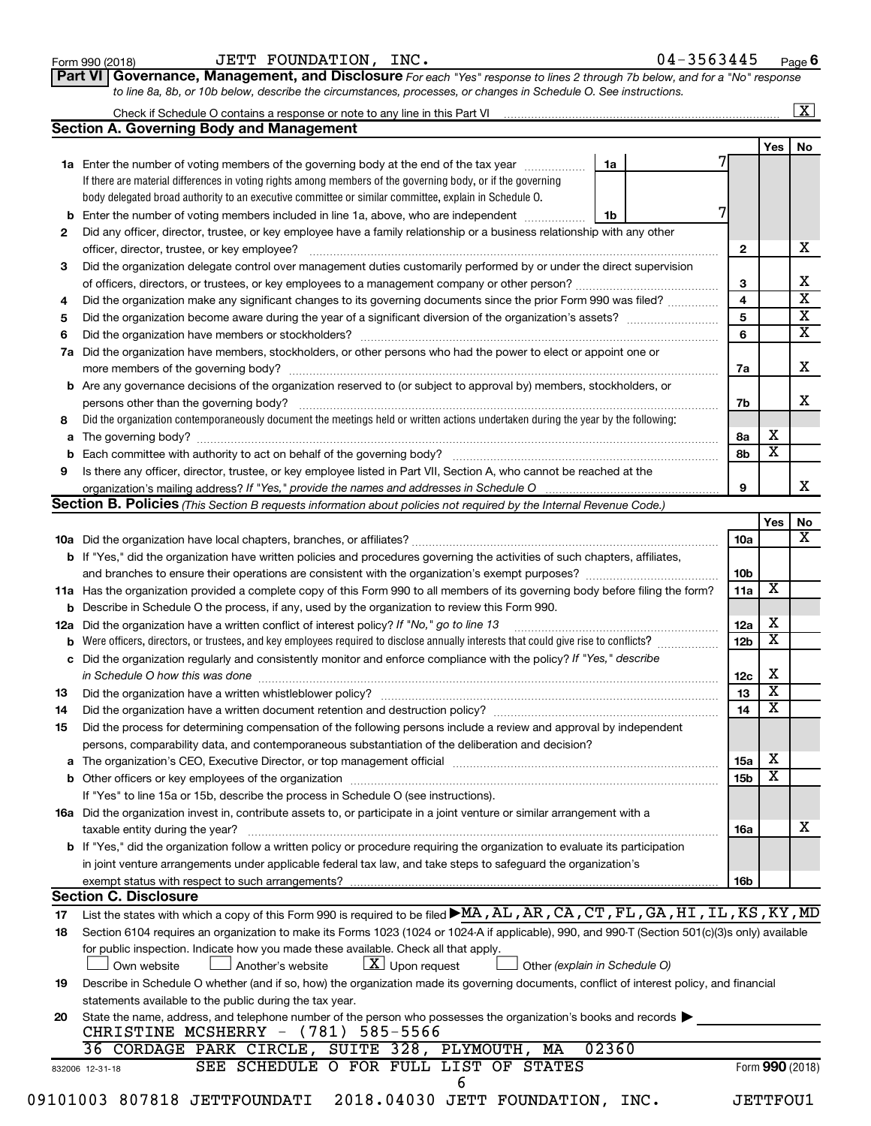| Form 990 (2018) |  |
|-----------------|--|
|-----------------|--|

## Form 990 (2018) Page JETT FOUNDATION, INC. 04-3563445

|  | 04-3563445 |  |  |  |  |  |  |  | Page 6 |  |
|--|------------|--|--|--|--|--|--|--|--------|--|
|--|------------|--|--|--|--|--|--|--|--------|--|

**Part VI** Governance, Management, and Disclosure For each "Yes" response to lines 2 through 7b below, and for a "No" response *to line 8a, 8b, or 10b below, describe the circumstances, processes, or changes in Schedule O. See instructions.*

|             | Check if Schedule O contains a response or note to any line in this Part VI [11] [12] [12] Check if Schedule O contains a response or note to any line in this Part VI                                                         |                 |                         | $\overline{\mathbf{x}}$ |
|-------------|--------------------------------------------------------------------------------------------------------------------------------------------------------------------------------------------------------------------------------|-----------------|-------------------------|-------------------------|
|             | <b>Section A. Governing Body and Management</b>                                                                                                                                                                                |                 |                         |                         |
|             |                                                                                                                                                                                                                                |                 | Yes                     | No                      |
|             | 1a Enter the number of voting members of the governing body at the end of the tax year<br>1a                                                                                                                                   |                 |                         |                         |
|             | If there are material differences in voting rights among members of the governing body, or if the governing                                                                                                                    |                 |                         |                         |
|             | body delegated broad authority to an executive committee or similar committee, explain in Schedule O.                                                                                                                          |                 |                         |                         |
| $\mathbf b$ | Enter the number of voting members included in line 1a, above, who are independent<br>1b                                                                                                                                       |                 |                         |                         |
| 2           | Did any officer, director, trustee, or key employee have a family relationship or a business relationship with any other                                                                                                       |                 |                         |                         |
|             | officer, director, trustee, or key employee?                                                                                                                                                                                   | $\mathbf{2}$    |                         | х                       |
| 3           | Did the organization delegate control over management duties customarily performed by or under the direct supervision                                                                                                          |                 |                         |                         |
|             |                                                                                                                                                                                                                                | 3               |                         | х                       |
| 4           |                                                                                                                                                                                                                                | 4               |                         | $\overline{\mathbf{x}}$ |
| 5           |                                                                                                                                                                                                                                | 5               |                         | $\overline{\mathbf{x}}$ |
| 6           |                                                                                                                                                                                                                                | 6               |                         | $\overline{\mathbf{X}}$ |
| 7a          | Did the organization have members, stockholders, or other persons who had the power to elect or appoint one or                                                                                                                 |                 |                         |                         |
|             |                                                                                                                                                                                                                                | 7a              |                         | X                       |
| b           | Are any governance decisions of the organization reserved to (or subject to approval by) members, stockholders, or                                                                                                             |                 |                         |                         |
|             | persons other than the governing body?                                                                                                                                                                                         | 7b              |                         | х                       |
| 8           | Did the organization contemporaneously document the meetings held or written actions undertaken during the year by the following:                                                                                              |                 |                         |                         |
| a           |                                                                                                                                                                                                                                | 8а              | х                       |                         |
| b           | Each committee with authority to act on behalf of the governing body?                                                                                                                                                          | 8b              | $\overline{\mathbf{x}}$ |                         |
| 9           | Is there any officer, director, trustee, or key employee listed in Part VII, Section A, who cannot be reached at the                                                                                                           |                 |                         |                         |
|             |                                                                                                                                                                                                                                | 9               |                         | х                       |
|             | Section B. Policies (This Section B requests information about policies not required by the Internal Revenue Code.)                                                                                                            |                 |                         |                         |
|             |                                                                                                                                                                                                                                |                 | Yes                     | No                      |
|             |                                                                                                                                                                                                                                | 10a             |                         | х                       |
|             | b If "Yes," did the organization have written policies and procedures governing the activities of such chapters, affiliates,                                                                                                   |                 |                         |                         |
|             | and branches to ensure their operations are consistent with the organization's exempt purposes? www.www.www.www.                                                                                                               | 10b             |                         |                         |
|             | 11a Has the organization provided a complete copy of this Form 990 to all members of its governing body before filing the form?                                                                                                | 11a             | х                       |                         |
| b           | Describe in Schedule O the process, if any, used by the organization to review this Form 990.                                                                                                                                  |                 |                         |                         |
| 12a         | Did the organization have a written conflict of interest policy? If "No," go to line 13                                                                                                                                        | 12a             | х                       |                         |
| b           | Were officers, directors, or trustees, and key employees required to disclose annually interests that could give rise to conflicts?                                                                                            | 12b             | х                       |                         |
| с           | Did the organization regularly and consistently monitor and enforce compliance with the policy? If "Yes," describe                                                                                                             |                 |                         |                         |
|             | in Schedule O how this was done                                                                                                                                                                                                | 12c             | X                       |                         |
| 13          | Did the organization have a written whistleblower policy?                                                                                                                                                                      | 13              | $\overline{\mathbf{x}}$ |                         |
| 14          |                                                                                                                                                                                                                                | 14              | X                       |                         |
| 15          | Did the process for determining compensation of the following persons include a review and approval by independent                                                                                                             |                 |                         |                         |
|             | persons, comparability data, and contemporaneous substantiation of the deliberation and decision?                                                                                                                              |                 |                         |                         |
|             | The organization's CEO, Executive Director, or top management official manufactured content of the organization's CEO, Executive Director, or top management official manufactured content of the state of the state of the st | 15a             | х                       |                         |
|             |                                                                                                                                                                                                                                | 15 <sub>b</sub> | X                       |                         |
|             | If "Yes" to line 15a or 15b, describe the process in Schedule O (see instructions).                                                                                                                                            |                 |                         |                         |
|             | 16a Did the organization invest in, contribute assets to, or participate in a joint venture or similar arrangement with a                                                                                                      |                 |                         |                         |
|             | taxable entity during the year?                                                                                                                                                                                                | 16a             |                         | x                       |
|             | b If "Yes," did the organization follow a written policy or procedure requiring the organization to evaluate its participation                                                                                                 |                 |                         |                         |
|             | in joint venture arrangements under applicable federal tax law, and take steps to safeguard the organization's                                                                                                                 |                 |                         |                         |
|             | exempt status with respect to such arrangements?                                                                                                                                                                               | 16b             |                         |                         |
|             | <b>Section C. Disclosure</b>                                                                                                                                                                                                   |                 |                         |                         |
| 17          | List the states with which a copy of this Form 990 is required to be filed MA, AL, AR, CA, CT, FL, GA, HI, IL, KS, KY, MD                                                                                                      |                 |                         |                         |
| 18          | Section 6104 requires an organization to make its Forms 1023 (1024 or 1024 A if applicable), 990, and 990 T (Section 501(c)(3)s only) available                                                                                |                 |                         |                         |
|             | for public inspection. Indicate how you made these available. Check all that apply.                                                                                                                                            |                 |                         |                         |
|             | $\lfloor \underline{X} \rfloor$ Upon request<br>Another's website<br>Other (explain in Schedule O)<br>Own website                                                                                                              |                 |                         |                         |
| 19          | Describe in Schedule O whether (and if so, how) the organization made its governing documents, conflict of interest policy, and financial                                                                                      |                 |                         |                         |
|             | statements available to the public during the tax year.                                                                                                                                                                        |                 |                         |                         |
| 20          | State the name, address, and telephone number of the person who possesses the organization's books and records                                                                                                                 |                 |                         |                         |
|             | 585-5566<br>(781)<br>CHRISTINE MCSHERRY -                                                                                                                                                                                      |                 |                         |                         |
|             | 02360<br>36 CORDAGE PARK CIRCLE, SUITE 328, PLYMOUTH,<br>MA                                                                                                                                                                    |                 |                         |                         |
|             | SEE SCHEDULE O FOR FULL LIST OF STATES<br>832006 12-31-18                                                                                                                                                                      |                 |                         | Form 990 (2018)         |
|             | 6                                                                                                                                                                                                                              |                 |                         |                         |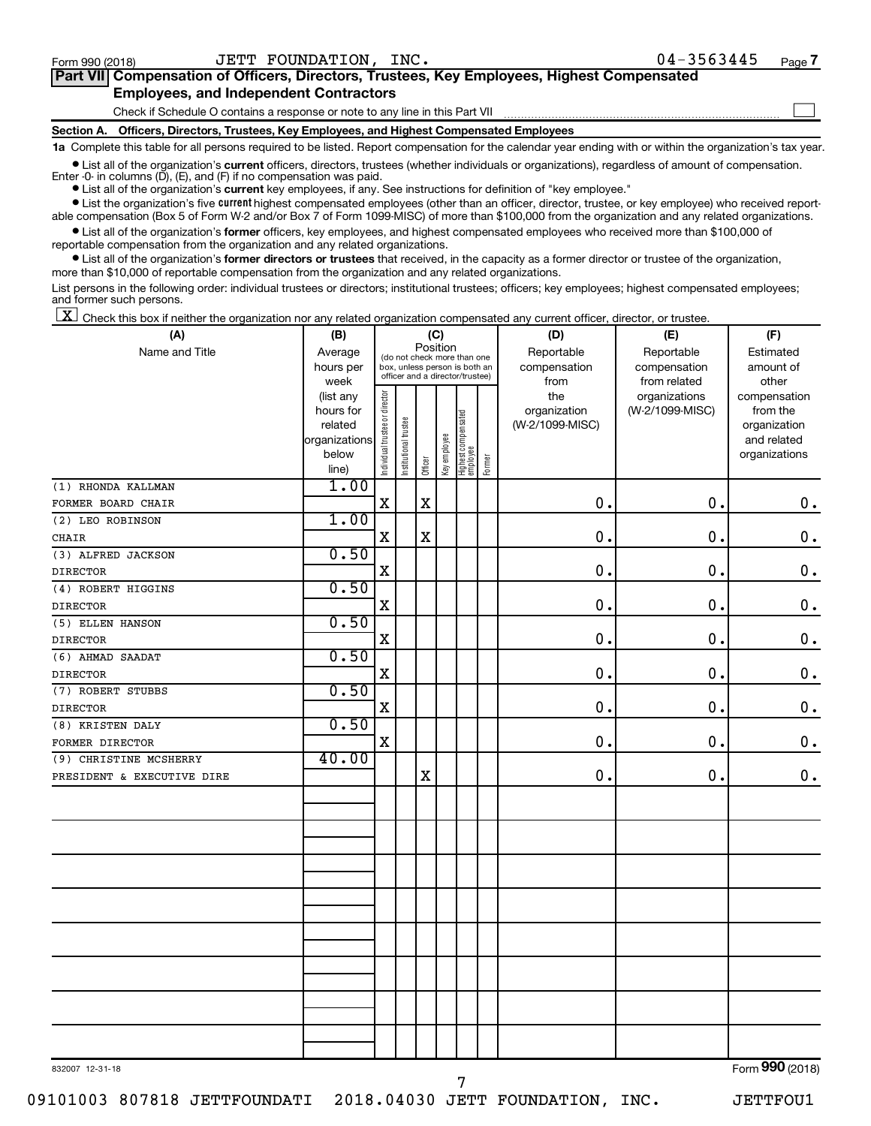$\Box$ 

| Part VII Compensation of Officers, Directors, Trustees, Key Employees, Highest Compensated |  |  |
|--------------------------------------------------------------------------------------------|--|--|
| <b>Employees, and Independent Contractors</b>                                              |  |  |

Check if Schedule O contains a response or note to any line in this Part VII

**Section A. Officers, Directors, Trustees, Key Employees, and Highest Compensated Employees**

**1a**  Complete this table for all persons required to be listed. Report compensation for the calendar year ending with or within the organization's tax year.

 $\bullet$  List all of the organization's current officers, directors, trustees (whether individuals or organizations), regardless of amount of compensation. Enter -0- in columns  $(D)$ ,  $(E)$ , and  $(F)$  if no compensation was paid.

**•** List all of the organization's **current** key employees, if any. See instructions for definition of "key employee."

**•** List the organization's five current highest compensated employees (other than an officer, director, trustee, or key employee) who received reportable compensation (Box 5 of Form W-2 and/or Box 7 of Form 1099-MISC) of more than \$100,000 from the organization and any related organizations.

**•** List all of the organization's former officers, key employees, and highest compensated employees who received more than \$100,000 of reportable compensation from the organization and any related organizations.

**•** List all of the organization's former directors or trustees that received, in the capacity as a former director or trustee of the organization, more than \$10,000 of reportable compensation from the organization and any related organizations.

List persons in the following order: individual trustees or directors; institutional trustees; officers; key employees; highest compensated employees; and former such persons.

 $\boxed{\textbf{X}}$  Check this box if neither the organization nor any related organization compensated any current officer, director, or trustee.

| (A)                        | (B)                    |                                |                                                                  |             | (C)          |                                 |        | (D)             | (E)             | (F)                          |
|----------------------------|------------------------|--------------------------------|------------------------------------------------------------------|-------------|--------------|---------------------------------|--------|-----------------|-----------------|------------------------------|
| Name and Title             | Average                |                                | (do not check more than one                                      | Position    |              |                                 |        | Reportable      | Reportable      | Estimated                    |
|                            | hours per              |                                | box, unless person is both an<br>officer and a director/trustee) |             |              |                                 |        | compensation    | compensation    | amount of                    |
|                            | week                   |                                |                                                                  |             |              |                                 |        | from            | from related    | other                        |
|                            | (list any              |                                |                                                                  |             |              |                                 |        | the             | organizations   | compensation                 |
|                            | hours for              |                                |                                                                  |             |              |                                 |        | organization    | (W-2/1099-MISC) | from the                     |
|                            | related                |                                |                                                                  |             |              |                                 |        | (W-2/1099-MISC) |                 | organization                 |
|                            | organizations<br>below |                                |                                                                  |             |              |                                 |        |                 |                 | and related<br>organizations |
|                            | line)                  | Individual trustee or director | Institutional trustee                                            | Officer     | Key employee | Highest compensated<br>employee | Former |                 |                 |                              |
| (1) RHONDA KALLMAN         | 1.00                   |                                |                                                                  |             |              |                                 |        |                 |                 |                              |
| FORMER BOARD CHAIR         |                        | $\mathbf X$                    |                                                                  | $\mathbf X$ |              |                                 |        | $\mathbf 0$ .   | 0.              | $\mathbf 0$ .                |
| (2) LEO ROBINSON           | 1.00                   |                                |                                                                  |             |              |                                 |        |                 |                 |                              |
| CHAIR                      |                        | $\mathbf X$                    |                                                                  | $\mathbf X$ |              |                                 |        | $\mathbf 0$ .   | 0.              | $\mathbf 0$ .                |
| (3) ALFRED JACKSON         | 0.50                   |                                |                                                                  |             |              |                                 |        |                 |                 |                              |
| <b>DIRECTOR</b>            |                        | $\mathbf x$                    |                                                                  |             |              |                                 |        | $\mathbf 0$ .   | $\mathbf 0$ .   | $\mathbf 0$ .                |
| (4) ROBERT HIGGINS         | 0.50                   |                                |                                                                  |             |              |                                 |        |                 |                 |                              |
| <b>DIRECTOR</b>            |                        | $\mathbf X$                    |                                                                  |             |              |                                 |        | 0.              | 0.              | $\mathbf 0$ .                |
| (5) ELLEN HANSON           | 0.50                   |                                |                                                                  |             |              |                                 |        |                 |                 |                              |
| <b>DIRECTOR</b>            |                        | $\mathbf X$                    |                                                                  |             |              |                                 |        | $\mathbf 0$ .   | 0.              | $\mathbf 0$ .                |
| (6) AHMAD SAADAT           | 0.50                   |                                |                                                                  |             |              |                                 |        |                 |                 |                              |
| <b>DIRECTOR</b>            |                        | $\mathbf X$                    |                                                                  |             |              |                                 |        | $\mathbf 0$ .   | $\mathbf 0$ .   | $\mathbf 0$ .                |
| (7) ROBERT STUBBS          | 0.50                   |                                |                                                                  |             |              |                                 |        |                 |                 |                              |
| <b>DIRECTOR</b>            |                        | $\mathbf X$                    |                                                                  |             |              |                                 |        | 0.              | $\mathbf 0$ .   | $\mathbf 0$ .                |
| (8) KRISTEN DALY           | 0.50                   |                                |                                                                  |             |              |                                 |        |                 |                 |                              |
| FORMER DIRECTOR            |                        | $\mathbf X$                    |                                                                  |             |              |                                 |        | 0.              | $\mathbf{0}$ .  | $\mathbf 0$ .                |
| (9) CHRISTINE MCSHERRY     | 40.00                  |                                |                                                                  |             |              |                                 |        |                 |                 |                              |
| PRESIDENT & EXECUTIVE DIRE |                        |                                |                                                                  | $\mathbf X$ |              |                                 |        | $\mathbf 0$ .   | 0.              | 0.                           |
|                            |                        |                                |                                                                  |             |              |                                 |        |                 |                 |                              |
|                            |                        |                                |                                                                  |             |              |                                 |        |                 |                 |                              |
|                            |                        |                                |                                                                  |             |              |                                 |        |                 |                 |                              |
|                            |                        |                                |                                                                  |             |              |                                 |        |                 |                 |                              |
|                            |                        |                                |                                                                  |             |              |                                 |        |                 |                 |                              |
|                            |                        |                                |                                                                  |             |              |                                 |        |                 |                 |                              |
|                            |                        |                                |                                                                  |             |              |                                 |        |                 |                 |                              |
|                            |                        |                                |                                                                  |             |              |                                 |        |                 |                 |                              |
|                            |                        |                                |                                                                  |             |              |                                 |        |                 |                 |                              |
|                            |                        |                                |                                                                  |             |              |                                 |        |                 |                 |                              |
|                            |                        |                                |                                                                  |             |              |                                 |        |                 |                 |                              |
|                            |                        |                                |                                                                  |             |              |                                 |        |                 |                 |                              |
|                            |                        |                                |                                                                  |             |              |                                 |        |                 |                 |                              |
|                            |                        |                                |                                                                  |             |              |                                 |        |                 |                 |                              |
|                            |                        |                                |                                                                  |             |              |                                 |        |                 |                 |                              |
|                            |                        |                                |                                                                  |             |              |                                 |        |                 |                 | $\overline{\phantom{0}}$     |

832007 12-31-18

7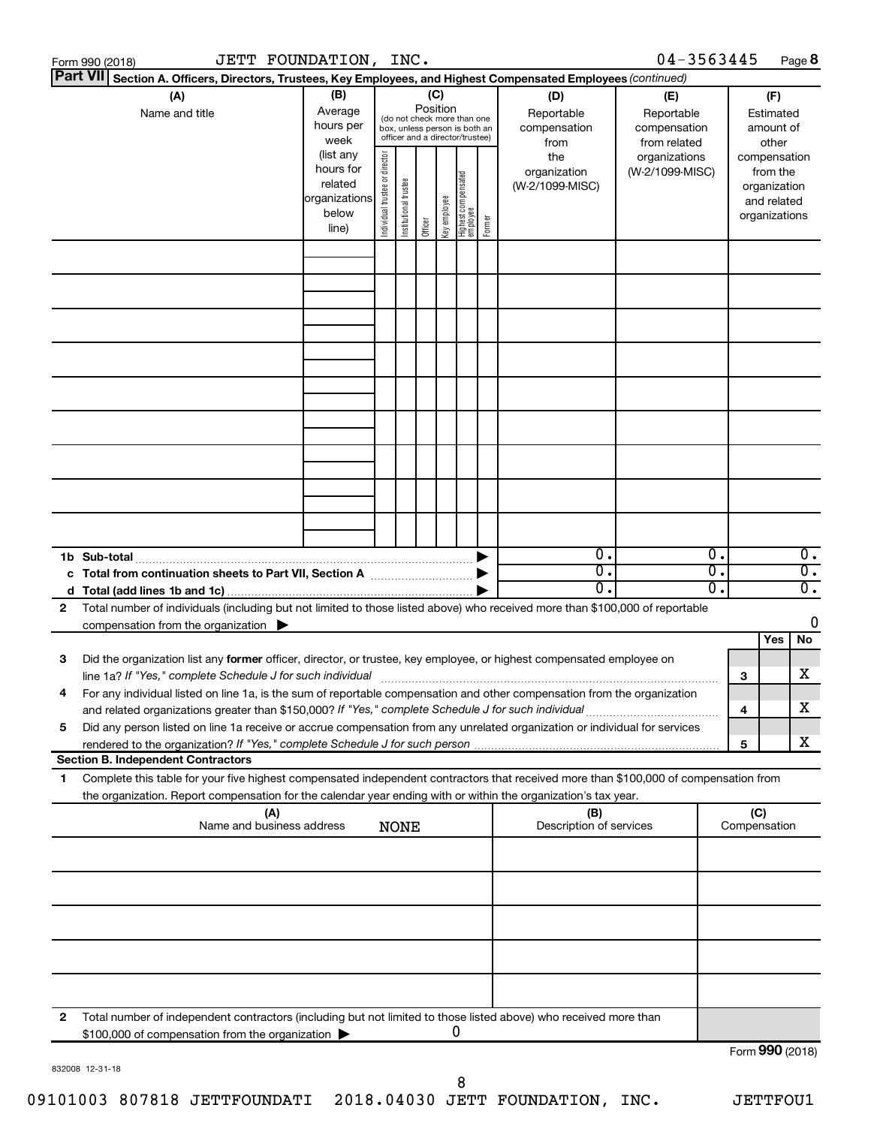|    | JETT FOUNDATION, INC.<br>Form 990 (2018)                                                                                                                                                                                                                                                                                                                           |                                                                      |                                |                       |                 |              |                                                                                                 |        |                                           | $04 - 3563445$                                    |          |                               |                                         | Page 8                               |
|----|--------------------------------------------------------------------------------------------------------------------------------------------------------------------------------------------------------------------------------------------------------------------------------------------------------------------------------------------------------------------|----------------------------------------------------------------------|--------------------------------|-----------------------|-----------------|--------------|-------------------------------------------------------------------------------------------------|--------|-------------------------------------------|---------------------------------------------------|----------|-------------------------------|-----------------------------------------|--------------------------------------|
|    | <b>Part VII</b><br>Section A. Officers, Directors, Trustees, Key Employees, and Highest Compensated Employees (continued)                                                                                                                                                                                                                                          |                                                                      |                                |                       |                 |              |                                                                                                 |        |                                           |                                                   |          |                               |                                         |                                      |
|    | (A)<br>Name and title                                                                                                                                                                                                                                                                                                                                              | (B)<br>Average<br>hours per<br>week                                  |                                |                       | (C)<br>Position |              | (do not check more than one<br>box, unless person is both an<br>officer and a director/trustee) |        | (D)<br>Reportable<br>compensation<br>from | (E)<br>Reportable<br>compensation<br>from related |          |                               | (F)<br>Estimated<br>amount of<br>other  |                                      |
|    |                                                                                                                                                                                                                                                                                                                                                                    | (list any<br>hours for<br>related<br>organizations<br>below<br>line) | Individual trustee or director | Institutional trustee | Officer         | Key employee | Highest compensated<br>  employee                                                               | Former | the<br>organization<br>(W-2/1099-MISC)    | organizations<br>(W-2/1099-MISC)                  |          | compensation<br>organizations | from the<br>organization<br>and related |                                      |
|    |                                                                                                                                                                                                                                                                                                                                                                    |                                                                      |                                |                       |                 |              |                                                                                                 |        |                                           |                                                   |          |                               |                                         |                                      |
|    |                                                                                                                                                                                                                                                                                                                                                                    |                                                                      |                                |                       |                 |              |                                                                                                 |        |                                           |                                                   |          |                               |                                         |                                      |
|    |                                                                                                                                                                                                                                                                                                                                                                    |                                                                      |                                |                       |                 |              |                                                                                                 |        |                                           |                                                   |          |                               |                                         |                                      |
|    |                                                                                                                                                                                                                                                                                                                                                                    |                                                                      |                                |                       |                 |              |                                                                                                 |        |                                           |                                                   |          |                               |                                         |                                      |
|    |                                                                                                                                                                                                                                                                                                                                                                    |                                                                      |                                |                       |                 |              |                                                                                                 |        |                                           |                                                   |          |                               |                                         |                                      |
|    | 1b Sub-total                                                                                                                                                                                                                                                                                                                                                       |                                                                      |                                |                       |                 |              |                                                                                                 |        | $\mathbf{0}$ .                            |                                                   | 0.       |                               |                                         | $\overline{0}$ .                     |
| 2  | c Total from continuation sheets to Part VII, Section A manufactured by<br>Total number of individuals (including but not limited to those listed above) who received more than \$100,000 of reportable                                                                                                                                                            |                                                                      |                                |                       |                 |              |                                                                                                 |        | $\overline{0}$ .<br>$0$ .                 |                                                   | σ.<br>О. |                               |                                         | $\overline{0}$ .<br>$\overline{0}$ . |
|    | compensation from the organization $\blacktriangleright$                                                                                                                                                                                                                                                                                                           |                                                                      |                                |                       |                 |              |                                                                                                 |        |                                           |                                                   |          |                               | Yes                                     | 0<br>No                              |
| 3  | Did the organization list any former officer, director, or trustee, key employee, or highest compensated employee on<br>line 1a? If "Yes," complete Schedule J for such individual manufactured content to the set of the set of the s<br>For any individual listed on line 1a, is the sum of reportable compensation and other compensation from the organization |                                                                      |                                |                       |                 |              |                                                                                                 |        |                                           |                                                   |          | 3                             |                                         | х                                    |
| 5  | and related organizations greater than \$150,000? If "Yes," complete Schedule J for such individual<br>Did any person listed on line 1a receive or accrue compensation from any unrelated organization or individual for services                                                                                                                                  |                                                                      |                                |                       |                 |              |                                                                                                 |        |                                           |                                                   |          | 4<br>5                        |                                         | х<br>х                               |
|    | <b>Section B. Independent Contractors</b>                                                                                                                                                                                                                                                                                                                          |                                                                      |                                |                       |                 |              |                                                                                                 |        |                                           |                                                   |          |                               |                                         |                                      |
| 1. | Complete this table for your five highest compensated independent contractors that received more than \$100,000 of compensation from<br>the organization. Report compensation for the calendar year ending with or within the organization's tax year.                                                                                                             |                                                                      |                                |                       |                 |              |                                                                                                 |        |                                           |                                                   |          |                               |                                         |                                      |
|    | (A)<br>Name and business address                                                                                                                                                                                                                                                                                                                                   |                                                                      |                                | <b>NONE</b>           |                 |              |                                                                                                 |        | (B)<br>Description of services            |                                                   |          | (C)<br>Compensation           |                                         |                                      |
|    |                                                                                                                                                                                                                                                                                                                                                                    |                                                                      |                                |                       |                 |              |                                                                                                 |        |                                           |                                                   |          |                               |                                         |                                      |
|    |                                                                                                                                                                                                                                                                                                                                                                    |                                                                      |                                |                       |                 |              |                                                                                                 |        |                                           |                                                   |          |                               |                                         |                                      |
|    |                                                                                                                                                                                                                                                                                                                                                                    |                                                                      |                                |                       |                 |              |                                                                                                 |        |                                           |                                                   |          |                               |                                         |                                      |
| 2  | Total number of independent contractors (including but not limited to those listed above) who received more than<br>\$100,000 of compensation from the organization                                                                                                                                                                                                |                                                                      |                                |                       |                 |              | 0                                                                                               |        |                                           |                                                   |          | Form 990 (2018)               |                                         |                                      |
|    |                                                                                                                                                                                                                                                                                                                                                                    |                                                                      |                                |                       |                 |              |                                                                                                 |        |                                           |                                                   |          |                               |                                         |                                      |

832008 12-31-18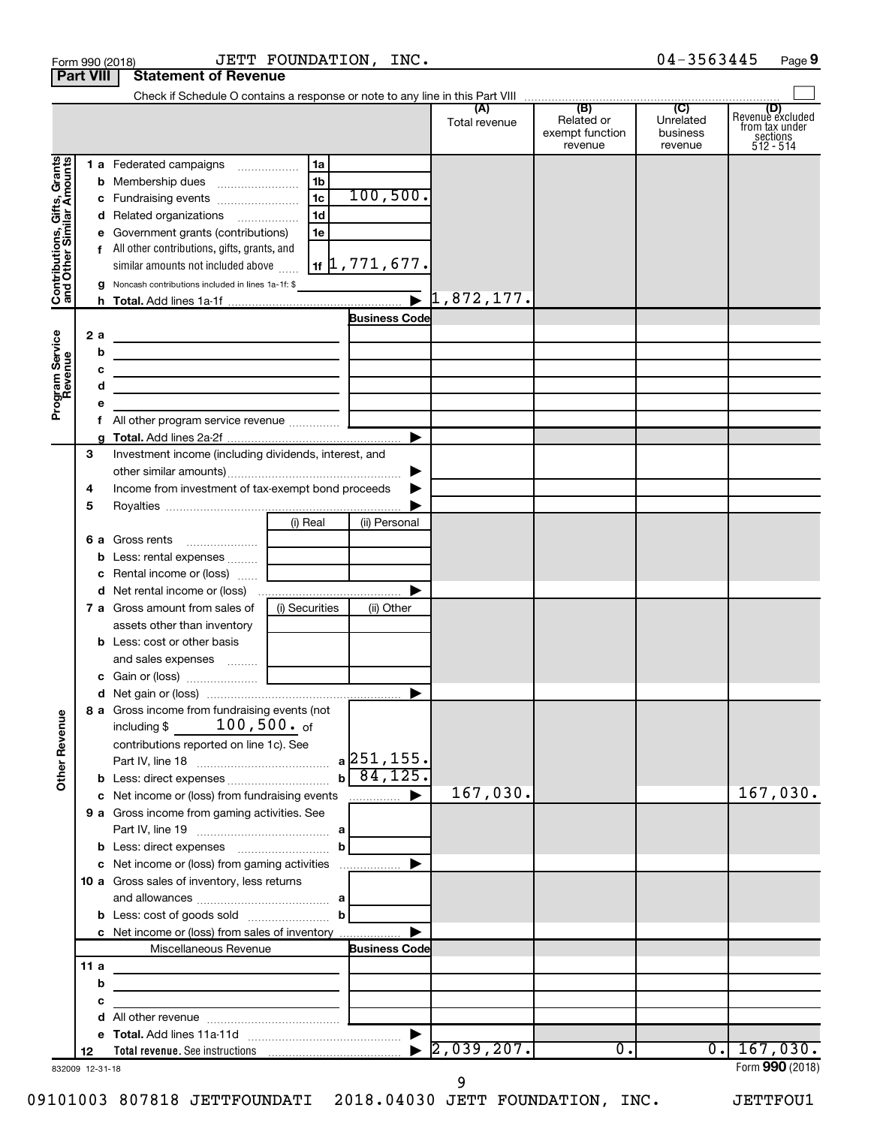|                                                           | <b>Part VIII</b>      | <b>Statement of Revenue</b>                                                                                                |                      |                                    |                      |                                          |                                         |                                                                    |
|-----------------------------------------------------------|-----------------------|----------------------------------------------------------------------------------------------------------------------------|----------------------|------------------------------------|----------------------|------------------------------------------|-----------------------------------------|--------------------------------------------------------------------|
|                                                           |                       |                                                                                                                            |                      |                                    |                      | (B)                                      |                                         |                                                                    |
|                                                           |                       |                                                                                                                            |                      |                                    | (A)<br>Total revenue | Related or<br>exempt function<br>revenue | (C)<br>Unrelated<br>business<br>revenue | (D)<br>Revenue excluded<br>trom tax under<br>sections<br>512 - 514 |
| Grants                                                    |                       | 1 a Federated campaigns                                                                                                    | 1a<br>1b             |                                    |                      |                                          |                                         |                                                                    |
|                                                           |                       |                                                                                                                            | 1 <sub>c</sub>       | 100, 500.                          |                      |                                          |                                         |                                                                    |
|                                                           |                       | d Related organizations                                                                                                    | 1 <sub>d</sub><br>1e |                                    |                      |                                          |                                         |                                                                    |
| Contributions, Gifts, Grants<br>and Other Similar Amounts |                       | e Government grants (contributions)<br>f All other contributions, gifts, grants, and<br>similar amounts not included above |                      | $\vert$ 1f $\vert$ 1 , 771 , 677 . |                      |                                          |                                         |                                                                    |
|                                                           |                       | <b>g</b> Noncash contributions included in lines 1a-1f: \$                                                                 |                      |                                    |                      |                                          |                                         |                                                                    |
|                                                           |                       |                                                                                                                            |                      |                                    |                      |                                          |                                         |                                                                    |
|                                                           |                       |                                                                                                                            |                      | <b>Business Code</b>               |                      |                                          |                                         |                                                                    |
|                                                           | 2a                    | <u> 1980 - Johann Barbara, martxa alemaniar a</u>                                                                          |                      |                                    |                      |                                          |                                         |                                                                    |
|                                                           | b                     | the control of the control of the control of the control of the control of                                                 |                      |                                    |                      |                                          |                                         |                                                                    |
|                                                           | с<br>d                | the control of the control of the control of the control of the control of                                                 |                      |                                    |                      |                                          |                                         |                                                                    |
| Program Service<br>Revenue                                | е                     | the control of the control of the control of the control of the control of                                                 |                      |                                    |                      |                                          |                                         |                                                                    |
|                                                           | f.                    | All other program service revenue  [                                                                                       |                      |                                    |                      |                                          |                                         |                                                                    |
|                                                           |                       |                                                                                                                            |                      | ▶                                  |                      |                                          |                                         |                                                                    |
|                                                           | 3                     | Investment income (including dividends, interest, and                                                                      |                      |                                    |                      |                                          |                                         |                                                                    |
|                                                           |                       |                                                                                                                            |                      | ▶                                  |                      |                                          |                                         |                                                                    |
|                                                           | 4                     | Income from investment of tax-exempt bond proceeds                                                                         |                      |                                    |                      |                                          |                                         |                                                                    |
|                                                           | 5                     |                                                                                                                            |                      |                                    |                      |                                          |                                         |                                                                    |
|                                                           |                       |                                                                                                                            | (i) Real             | (ii) Personal                      |                      |                                          |                                         |                                                                    |
|                                                           |                       | 6 a Gross rents                                                                                                            |                      |                                    |                      |                                          |                                         |                                                                    |
|                                                           |                       |                                                                                                                            |                      |                                    |                      |                                          |                                         |                                                                    |
|                                                           |                       |                                                                                                                            |                      | ▶                                  |                      |                                          |                                         |                                                                    |
|                                                           |                       | <b>7 a</b> Gross amount from sales of                                                                                      | (i) Securities       | (ii) Other                         |                      |                                          |                                         |                                                                    |
|                                                           |                       | assets other than inventory                                                                                                |                      |                                    |                      |                                          |                                         |                                                                    |
|                                                           |                       | <b>b</b> Less: cost or other basis                                                                                         |                      |                                    |                      |                                          |                                         |                                                                    |
|                                                           |                       | and sales expenses  [                                                                                                      |                      |                                    |                      |                                          |                                         |                                                                    |
|                                                           |                       |                                                                                                                            |                      |                                    |                      |                                          |                                         |                                                                    |
|                                                           |                       |                                                                                                                            |                      |                                    |                      |                                          |                                         |                                                                    |
| <b>Other Revenue</b>                                      |                       | 8 a Gross income from fundraising events (not<br>including $$100,500.$ of                                                  |                      |                                    |                      |                                          |                                         |                                                                    |
|                                                           |                       | contributions reported on line 1c). See                                                                                    |                      | $a$ 251, 155.                      |                      |                                          |                                         |                                                                    |
|                                                           |                       |                                                                                                                            |                      | $b \ 84, 125.$                     |                      |                                          |                                         |                                                                    |
|                                                           |                       | c Net income or (loss) from fundraising events                                                                             |                      |                                    | 167,030.             |                                          |                                         | 167,030.                                                           |
|                                                           |                       | 9 a Gross income from gaming activities. See                                                                               |                      |                                    |                      |                                          |                                         |                                                                    |
|                                                           |                       |                                                                                                                            |                      |                                    |                      |                                          |                                         |                                                                    |
|                                                           |                       | <b>b</b> Less: direct expenses <b>contained b</b> Less: direct expenses                                                    | $\mathbf{b}$         |                                    |                      |                                          |                                         |                                                                    |
|                                                           |                       | c Net income or (loss) from gaming activities                                                                              |                      | ▶                                  |                      |                                          |                                         |                                                                    |
|                                                           |                       | 10 a Gross sales of inventory, less returns                                                                                |                      |                                    |                      |                                          |                                         |                                                                    |
|                                                           |                       |                                                                                                                            | b                    |                                    |                      |                                          |                                         |                                                                    |
|                                                           |                       | c Net income or (loss) from sales of inventory                                                                             |                      |                                    |                      |                                          |                                         |                                                                    |
|                                                           |                       | Miscellaneous Revenue                                                                                                      |                      | <b>Business Code</b>               |                      |                                          |                                         |                                                                    |
|                                                           | 11 a                  | the control of the control of the control of the control of the control of                                                 |                      |                                    |                      |                                          |                                         |                                                                    |
|                                                           | b                     | the control of the control of the control of the control of the control of                                                 |                      |                                    |                      |                                          |                                         |                                                                    |
|                                                           | с                     | the control of the control of the control of the                                                                           |                      |                                    |                      |                                          |                                         |                                                                    |
|                                                           | d                     |                                                                                                                            |                      |                                    |                      |                                          |                                         |                                                                    |
|                                                           |                       |                                                                                                                            |                      |                                    |                      |                                          |                                         |                                                                    |
|                                                           | 12<br>832009 12-31-18 |                                                                                                                            |                      |                                    | 2,039,207.           | $\overline{0}$ .                         | $\overline{0}$ .                        | 167,030.<br>Form 990 (2018)                                        |

Form 990 (2018) Page JETT FOUNDATION, INC. 04-3563445

04-3563445 Page 9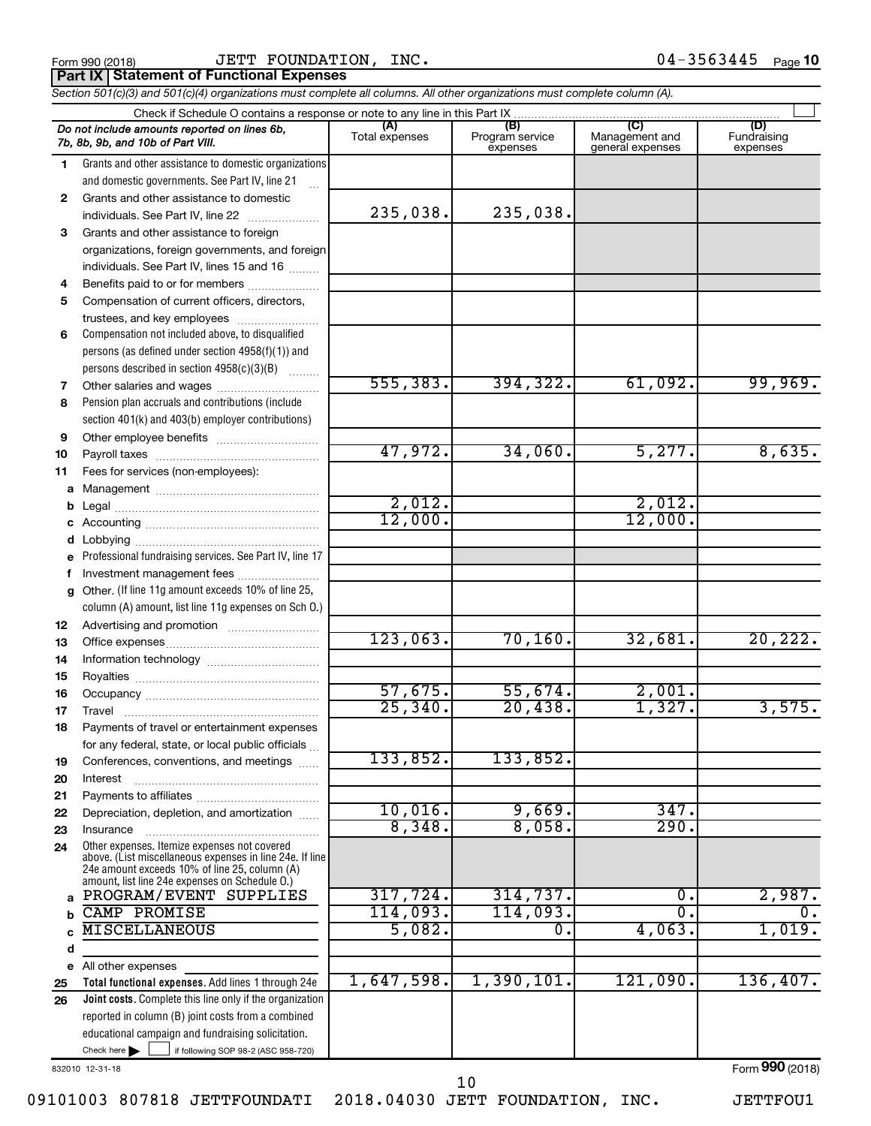|  | Form 990 (2018) |  |
|--|-----------------|--|
|  |                 |  |

Form 990 (2018) Page JETT FOUNDATION, INC. 04-3563445 **Part IX | Statement of Functional Expenses** 

*Section 501(c)(3) and 501(c)(4) organizations must complete all columns. All other organizations must complete column (A).*

|              | Check if Schedule O contains a response or note to any line in this Part IX                     |                       |                                    |                                           |                                |  |  |
|--------------|-------------------------------------------------------------------------------------------------|-----------------------|------------------------------------|-------------------------------------------|--------------------------------|--|--|
|              | Do not include amounts reported on lines 6b,<br>7b, 8b, 9b, and 10b of Part VIII.               | (A)<br>Total expenses | (B)<br>Program service<br>expenses | (C)<br>Management and<br>general expenses | (D)<br>Fundraising<br>expenses |  |  |
| 1.           | Grants and other assistance to domestic organizations                                           |                       |                                    |                                           |                                |  |  |
|              | and domestic governments. See Part IV, line 21                                                  |                       |                                    |                                           |                                |  |  |
| $\mathbf{2}$ | Grants and other assistance to domestic                                                         |                       |                                    |                                           |                                |  |  |
|              | individuals. See Part IV, line 22                                                               | 235,038.              | 235,038.                           |                                           |                                |  |  |
| 3            | Grants and other assistance to foreign                                                          |                       |                                    |                                           |                                |  |  |
|              | organizations, foreign governments, and foreign                                                 |                       |                                    |                                           |                                |  |  |
|              | individuals. See Part IV, lines 15 and 16                                                       |                       |                                    |                                           |                                |  |  |
| 4            | Benefits paid to or for members                                                                 |                       |                                    |                                           |                                |  |  |
| 5            | Compensation of current officers, directors,                                                    |                       |                                    |                                           |                                |  |  |
|              | trustees, and key employees                                                                     |                       |                                    |                                           |                                |  |  |
| 6            | Compensation not included above, to disqualified                                                |                       |                                    |                                           |                                |  |  |
|              | persons (as defined under section 4958(f)(1)) and                                               |                       |                                    |                                           |                                |  |  |
|              | persons described in section 4958(c)(3)(B)                                                      |                       |                                    |                                           |                                |  |  |
| 7            | Other salaries and wages                                                                        | 555, 383.             | 394, 322.                          | 61,092.                                   | 99,969.                        |  |  |
| 8            | Pension plan accruals and contributions (include                                                |                       |                                    |                                           |                                |  |  |
|              | section 401(k) and 403(b) employer contributions)                                               |                       |                                    |                                           |                                |  |  |
| 9            |                                                                                                 |                       |                                    |                                           |                                |  |  |
| 10           |                                                                                                 | 47,972.               | 34,060.                            | 5,277.                                    | 8,635.                         |  |  |
| 11           | Fees for services (non-employees):                                                              |                       |                                    |                                           |                                |  |  |
| а            |                                                                                                 |                       |                                    |                                           |                                |  |  |
| b            |                                                                                                 | 2,012.                |                                    | 2,012.                                    |                                |  |  |
| с            |                                                                                                 | 12,000.               |                                    | 12,000.                                   |                                |  |  |
| d            |                                                                                                 |                       |                                    |                                           |                                |  |  |
|              | Professional fundraising services. See Part IV, line 17                                         |                       |                                    |                                           |                                |  |  |
|              | Investment management fees                                                                      |                       |                                    |                                           |                                |  |  |
| g            | Other. (If line 11g amount exceeds 10% of line 25,                                              |                       |                                    |                                           |                                |  |  |
|              | column (A) amount, list line 11g expenses on Sch O.)                                            |                       |                                    |                                           |                                |  |  |
| 12           |                                                                                                 |                       |                                    |                                           |                                |  |  |
| 13           |                                                                                                 | 123,063.              | 70, 160.                           | 32,681.                                   | 20, 222.                       |  |  |
| 14           |                                                                                                 |                       |                                    |                                           |                                |  |  |
| 15           |                                                                                                 | 57,675.               | 55,674.                            | 2,001.                                    |                                |  |  |
| 16           |                                                                                                 | 25, 340.              | 20,438.                            | 1,327.                                    | 3,575.                         |  |  |
| 17           | Travel                                                                                          |                       |                                    |                                           |                                |  |  |
| 18           | Payments of travel or entertainment expenses                                                    |                       |                                    |                                           |                                |  |  |
|              | for any federal, state, or local public officials                                               | 133,852.              | 133,852.                           |                                           |                                |  |  |
| 19<br>20     | Conferences, conventions, and meetings<br>Interest                                              |                       |                                    |                                           |                                |  |  |
| 21           |                                                                                                 |                       |                                    |                                           |                                |  |  |
| 22           | Depreciation, depletion, and amortization                                                       | 10,016.               | 9,669.                             | 347.                                      |                                |  |  |
| 23           | Insurance                                                                                       | 8,348.                | 8,058.                             | 290.                                      |                                |  |  |
| 24           | Other expenses. Itemize expenses not covered                                                    |                       |                                    |                                           |                                |  |  |
|              | above. (List miscellaneous expenses in line 24e. If line                                        |                       |                                    |                                           |                                |  |  |
|              | 24e amount exceeds 10% of line 25, column (A)<br>amount, list line 24e expenses on Schedule O.) |                       |                                    |                                           |                                |  |  |
| a            | PROGRAM/EVENT SUPPLIES                                                                          | 317,724.              | 314,737.                           | О.                                        | 2,987.                         |  |  |
| b            | CAMP PROMISE                                                                                    | 114,093.              | 114,093.                           | $\overline{0}$                            | О.                             |  |  |
|              | <b>MISCELLANEOUS</b>                                                                            | 5,082.                | 0.                                 | 4,063.                                    | 1,019.                         |  |  |
| d            |                                                                                                 |                       |                                    |                                           |                                |  |  |
| е            | All other expenses                                                                              |                       |                                    |                                           |                                |  |  |
| 25           | Total functional expenses. Add lines 1 through 24e                                              | 1,647,598.            | 1,390,101.                         | 121,090.                                  | 136,407.                       |  |  |
| 26           | Joint costs. Complete this line only if the organization                                        |                       |                                    |                                           |                                |  |  |
|              | reported in column (B) joint costs from a combined                                              |                       |                                    |                                           |                                |  |  |
|              | educational campaign and fundraising solicitation.                                              |                       |                                    |                                           |                                |  |  |
|              | Check here $\blacktriangleright$<br>if following SOP 98-2 (ASC 958-720)                         |                       |                                    |                                           |                                |  |  |

832010 12-31-18

Form (2018) **990**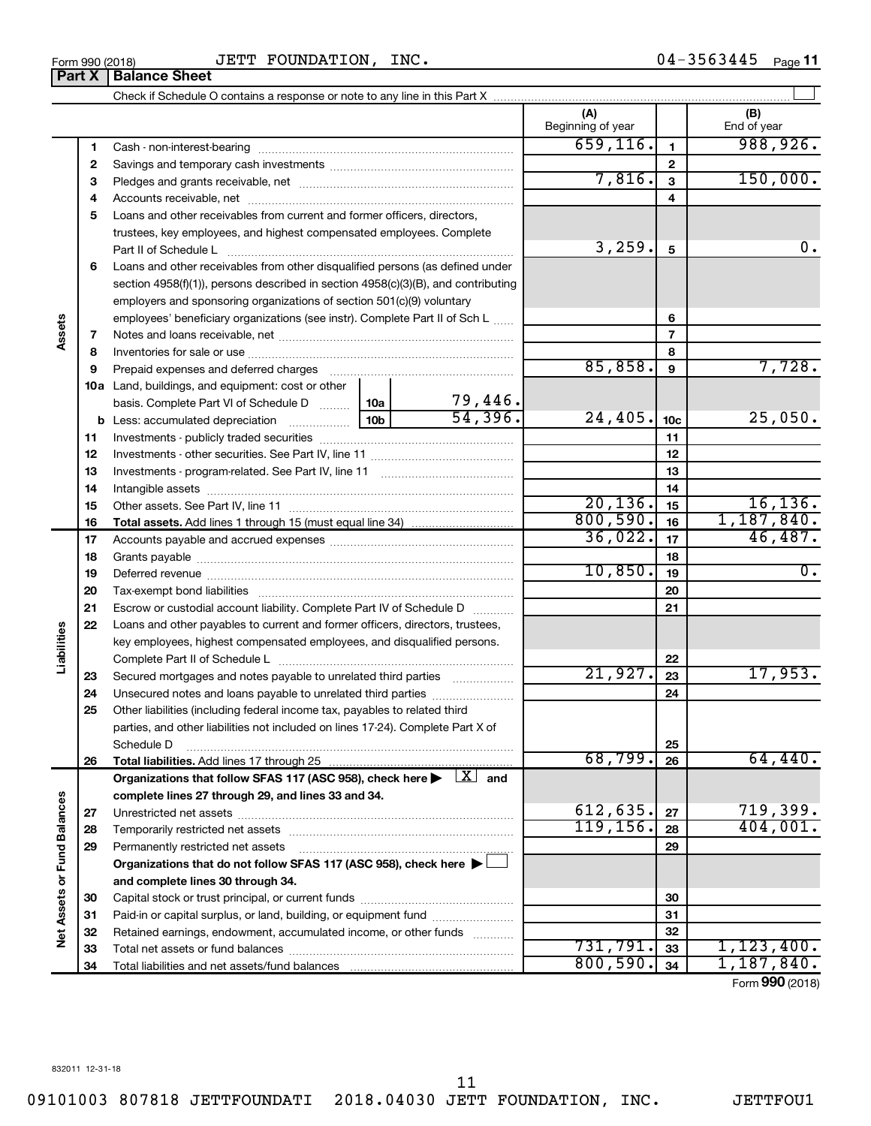**Part X Balance Sheet**

Form 990 (2018) Page JETT FOUNDATION, INC. 04-3563445 04-3563445 Page 11

|                             |    |                                                                                                                         |                 |                         | (A)<br>Beginning of year |                 | (B)<br>End of year        |
|-----------------------------|----|-------------------------------------------------------------------------------------------------------------------------|-----------------|-------------------------|--------------------------|-----------------|---------------------------|
|                             | 1  |                                                                                                                         |                 |                         | 659, 116.                | 1               | 988, 926.                 |
|                             | 2  |                                                                                                                         |                 |                         |                          | 2               |                           |
|                             | 3  |                                                                                                                         |                 |                         | 7,816.                   | 3               | 150,000.                  |
|                             | 4  |                                                                                                                         |                 |                         |                          | 4               |                           |
|                             | 5  | Loans and other receivables from current and former officers, directors,                                                |                 |                         |                          |                 |                           |
|                             |    | trustees, key employees, and highest compensated employees. Complete                                                    |                 |                         |                          |                 |                           |
|                             |    | Part II of Schedule L                                                                                                   |                 |                         | 3,259.                   | $\sqrt{5}$      | 0.                        |
|                             | 6  | Loans and other receivables from other disqualified persons (as defined under                                           |                 |                         |                          |                 |                           |
|                             |    | section 4958(f)(1)), persons described in section 4958(c)(3)(B), and contributing                                       |                 |                         |                          |                 |                           |
|                             |    | employers and sponsoring organizations of section 501(c)(9) voluntary                                                   |                 |                         |                          |                 |                           |
|                             |    | employees' beneficiary organizations (see instr). Complete Part II of Sch L                                             |                 |                         |                          | 6               |                           |
| Assets                      | 7  |                                                                                                                         |                 |                         |                          | $\overline{7}$  |                           |
|                             | 8  |                                                                                                                         |                 |                         |                          | 8               |                           |
|                             | 9  | Prepaid expenses and deferred charges                                                                                   |                 |                         | 85,858.                  | 9               | 7,728.                    |
|                             |    | 10a Land, buildings, and equipment: cost or other                                                                       |                 |                         |                          |                 |                           |
|                             |    | basis. Complete Part VI of Schedule D  10a                                                                              |                 | $\frac{79,446}{54,396}$ |                          |                 |                           |
|                             |    |                                                                                                                         | 10 <sub>b</sub> |                         | 24,405.                  | 10 <sub>c</sub> | 25,050.                   |
|                             | 11 |                                                                                                                         |                 |                         |                          | 11              |                           |
|                             | 12 |                                                                                                                         |                 |                         |                          | 12              |                           |
|                             | 13 |                                                                                                                         |                 |                         |                          | 13              |                           |
|                             | 14 |                                                                                                                         |                 |                         |                          | 14              |                           |
|                             | 15 |                                                                                                                         |                 |                         | 20, 136.                 | 15              | 16, 136.                  |
|                             | 16 |                                                                                                                         |                 |                         | 800,590.                 | 16              | 1,187,840.                |
|                             | 17 |                                                                                                                         |                 |                         | 36,022.                  | 17              | 46,487.                   |
|                             | 18 |                                                                                                                         |                 |                         |                          | 18              |                           |
|                             | 19 |                                                                                                                         |                 |                         | 10,850.                  | 19              | 0.                        |
|                             | 20 |                                                                                                                         |                 |                         |                          | 20              |                           |
|                             | 21 | Escrow or custodial account liability. Complete Part IV of Schedule D                                                   |                 |                         |                          | 21              |                           |
|                             | 22 | Loans and other payables to current and former officers, directors, trustees,                                           |                 |                         |                          |                 |                           |
|                             |    | key employees, highest compensated employees, and disqualified persons.                                                 |                 |                         |                          |                 |                           |
| Liabilities                 |    |                                                                                                                         |                 |                         | 21,927.                  | 22              |                           |
|                             | 23 | Secured mortgages and notes payable to unrelated third parties                                                          |                 |                         |                          | 23              | 17,953.                   |
|                             | 24 | Unsecured notes and loans payable to unrelated third parties                                                            |                 |                         |                          | 24              |                           |
|                             | 25 | Other liabilities (including federal income tax, payables to related third                                              |                 |                         |                          |                 |                           |
|                             |    | parties, and other liabilities not included on lines 17-24). Complete Part X of                                         |                 |                         |                          |                 |                           |
|                             | 26 | Schedule D<br>Total liabilities. Add lines 17 through 25                                                                |                 |                         | 68,799.                  | 25<br>26        | 64,440.                   |
|                             |    | Organizations that follow SFAS 117 (ASC 958), check here $\blacktriangleright \begin{array}{c} \perp X \end{array}$ and |                 |                         |                          |                 |                           |
|                             |    | complete lines 27 through 29, and lines 33 and 34.                                                                      |                 |                         |                          |                 |                           |
|                             | 27 |                                                                                                                         |                 |                         | 612,635.                 | 27              | 719,399.                  |
|                             | 28 | Temporarily restricted net assets                                                                                       |                 |                         | 119, 156.                | 28              | 404,001.                  |
|                             | 29 | Permanently restricted net assets                                                                                       |                 |                         |                          | 29              |                           |
|                             |    | Organizations that do not follow SFAS 117 (ASC 958), check here $\blacktriangleright\Box$                               |                 |                         |                          |                 |                           |
|                             |    | and complete lines 30 through 34.                                                                                       |                 |                         |                          |                 |                           |
| Net Assets or Fund Balances | 30 |                                                                                                                         |                 |                         |                          | 30              |                           |
|                             | 31 | Paid-in or capital surplus, or land, building, or equipment fund                                                        |                 |                         |                          | 31              |                           |
|                             | 32 | Retained earnings, endowment, accumulated income, or other funds                                                        |                 |                         |                          | 32              |                           |
|                             | 33 |                                                                                                                         |                 |                         | 731,791.                 | 33              | 1, 123, 400.              |
|                             | 34 | Total liabilities and net assets/fund balances                                                                          |                 |                         | 800,590.                 | 34              | 1,187,840.                |
|                             |    |                                                                                                                         |                 |                         |                          |                 | $F_{\text{c}}$ 000 (2018) |

Form (2018) **990**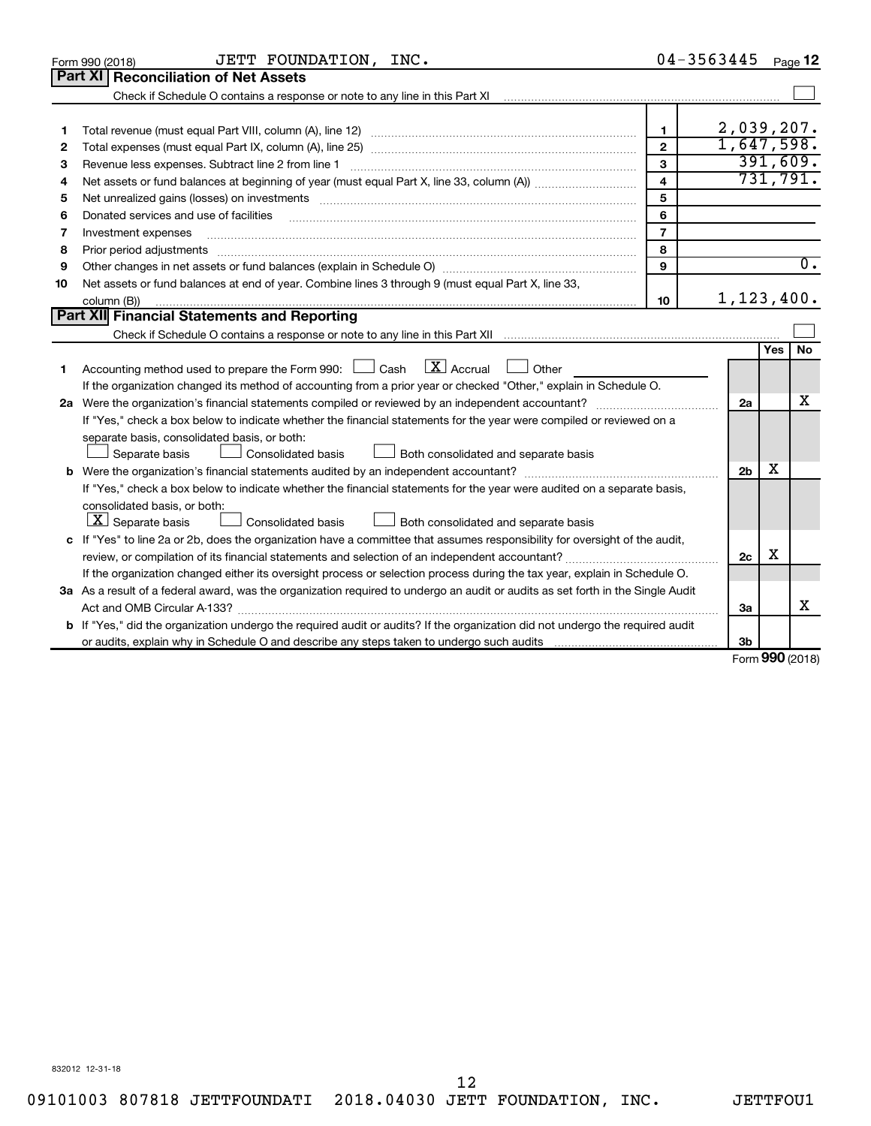|    | JETT FOUNDATION, INC.<br>Form 990 (2018)                                                                                                                          |                         | 04-3563445     |        | Page 12          |
|----|-------------------------------------------------------------------------------------------------------------------------------------------------------------------|-------------------------|----------------|--------|------------------|
|    | <b>Part XI   Reconciliation of Net Assets</b>                                                                                                                     |                         |                |        |                  |
|    | Check if Schedule O contains a response or note to any line in this Part XI [11] [12] Check if Schedule O contains a response or note to any line in this Part XI |                         |                |        |                  |
|    |                                                                                                                                                                   |                         |                |        |                  |
| 1  |                                                                                                                                                                   | $\mathbf{1}$            | 2,039,207.     |        |                  |
| 2  |                                                                                                                                                                   | $\overline{2}$          | 1,647,598.     |        |                  |
| з  |                                                                                                                                                                   | 3                       |                |        | 391,609.         |
| 4  |                                                                                                                                                                   | $\overline{\mathbf{4}}$ |                |        | 731,791.         |
| 5  | Net unrealized gains (losses) on investments [111] www.martime.community.community.community.community.communi                                                    | 5                       |                |        |                  |
| 6  | Donated services and use of facilities                                                                                                                            | 6                       |                |        |                  |
| 7  | Investment expenses                                                                                                                                               | $\overline{7}$          |                |        |                  |
| 8  |                                                                                                                                                                   | 8                       |                |        |                  |
| 9  |                                                                                                                                                                   | 9                       |                |        | $\overline{0}$ . |
| 10 | Net assets or fund balances at end of year. Combine lines 3 through 9 (must equal Part X, line 33,                                                                |                         |                |        |                  |
|    | column (B))                                                                                                                                                       | 10                      | 1,123,400.     |        |                  |
|    | Part XII Financial Statements and Reporting                                                                                                                       |                         |                |        |                  |
|    |                                                                                                                                                                   |                         |                |        |                  |
|    |                                                                                                                                                                   |                         |                | Yes    | <b>No</b>        |
| 1  | $\lfloor$ X $\rfloor$ Accrual<br>Accounting method used to prepare the Form 990: [130] Cash<br>$\Box$ Other                                                       |                         |                |        |                  |
|    | If the organization changed its method of accounting from a prior year or checked "Other," explain in Schedule O.                                                 |                         |                |        |                  |
|    |                                                                                                                                                                   |                         | 2a             |        | x                |
|    | If "Yes," check a box below to indicate whether the financial statements for the year were compiled or reviewed on a                                              |                         |                |        |                  |
|    | separate basis, consolidated basis, or both:                                                                                                                      |                         |                |        |                  |
|    | Both consolidated and separate basis<br>Separate basis<br>Consolidated basis                                                                                      |                         |                |        |                  |
|    |                                                                                                                                                                   |                         | 2 <sub>b</sub> | x      |                  |
|    | If "Yes," check a box below to indicate whether the financial statements for the year were audited on a separate basis,                                           |                         |                |        |                  |
|    | consolidated basis, or both:                                                                                                                                      |                         |                |        |                  |
|    | $ \mathbf{X} $ Separate basis<br>Consolidated basis<br>Both consolidated and separate basis                                                                       |                         |                |        |                  |
|    | c If "Yes" to line 2a or 2b, does the organization have a committee that assumes responsibility for oversight of the audit,                                       |                         |                |        |                  |
|    |                                                                                                                                                                   |                         | 2c             | X      |                  |
|    | If the organization changed either its oversight process or selection process during the tax year, explain in Schedule O.                                         |                         |                |        |                  |
|    | 3a As a result of a federal award, was the organization required to undergo an audit or audits as set forth in the Single Audit                                   |                         |                |        |                  |
|    | Act and OMB Circular A-133?                                                                                                                                       |                         | 3a             |        | х                |
|    | <b>b</b> If "Yes," did the organization undergo the required audit or audits? If the organization did not undergo the required audit                              |                         |                |        |                  |
|    |                                                                                                                                                                   |                         | 3b             | $\sim$ |                  |

Form (2018) **990**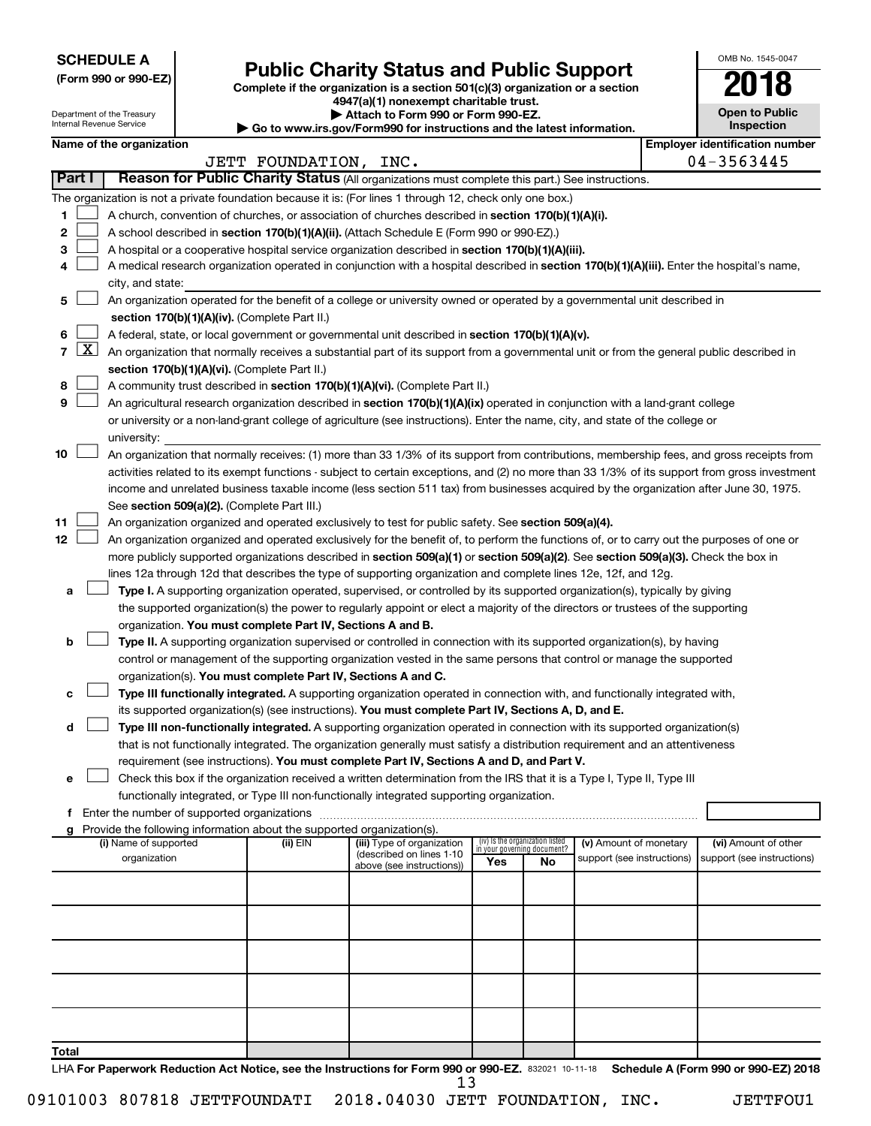**SCHEDULE A**

Department of the Treasury

# **Public Charity Status and Public Support**

**(Form 990 or 990-EZ) Complete if the organization is a section 501(c)(3) organization or a section**

**4947(a)(1) nonexempt charitable trust.**

**| Attach to Form 990 or Form 990-EZ. | Go to www.irs.gov/Form990 for instructions and the latest information.**

| <b>Open to Public</b><br>Inspection |
|-------------------------------------|
| er identification numbe             |

OMB No. 1545-0047

|                |                     | Internal Revenue Service |                                                                                    | סטט וויט טטט שערוויט וויט<br>$\triangleright$ Go to www.irs.gov/Form990 for instructions and the latest information.                          |            |                                   |                            | Inspection                            |
|----------------|---------------------|--------------------------|------------------------------------------------------------------------------------|-----------------------------------------------------------------------------------------------------------------------------------------------|------------|-----------------------------------|----------------------------|---------------------------------------|
|                |                     | Name of the organization |                                                                                    |                                                                                                                                               |            |                                   |                            | <b>Employer identification number</b> |
|                |                     |                          | JETT FOUNDATION, INC.                                                              |                                                                                                                                               |            |                                   |                            | 04-3563445                            |
|                | <b>Part I</b>       |                          |                                                                                    | Reason for Public Charity Status (All organizations must complete this part.) See instructions.                                               |            |                                   |                            |                                       |
|                |                     |                          |                                                                                    | The organization is not a private foundation because it is: (For lines 1 through 12, check only one box.)                                     |            |                                   |                            |                                       |
| 1.             |                     |                          |                                                                                    | A church, convention of churches, or association of churches described in section 170(b)(1)(A)(i).                                            |            |                                   |                            |                                       |
| 2              |                     |                          |                                                                                    | A school described in section 170(b)(1)(A)(ii). (Attach Schedule E (Form 990 or 990-EZ).)                                                     |            |                                   |                            |                                       |
| 3              |                     |                          |                                                                                    | A hospital or a cooperative hospital service organization described in section 170(b)(1)(A)(iii).                                             |            |                                   |                            |                                       |
| 4              |                     | city, and state:         |                                                                                    | A medical research organization operated in conjunction with a hospital described in section 170(b)(1)(A)(iii). Enter the hospital's name,    |            |                                   |                            |                                       |
| 5              |                     |                          |                                                                                    | An organization operated for the benefit of a college or university owned or operated by a governmental unit described in                     |            |                                   |                            |                                       |
|                |                     |                          | section 170(b)(1)(A)(iv). (Complete Part II.)                                      |                                                                                                                                               |            |                                   |                            |                                       |
| 6              |                     |                          |                                                                                    | A federal, state, or local government or governmental unit described in section 170(b)(1)(A)(v).                                              |            |                                   |                            |                                       |
| $\overline{7}$ | $\lfloor x \rfloor$ |                          |                                                                                    | An organization that normally receives a substantial part of its support from a governmental unit or from the general public described in     |            |                                   |                            |                                       |
|                |                     |                          | section 170(b)(1)(A)(vi). (Complete Part II.)                                      |                                                                                                                                               |            |                                   |                            |                                       |
| 8              |                     |                          |                                                                                    | A community trust described in section 170(b)(1)(A)(vi). (Complete Part II.)                                                                  |            |                                   |                            |                                       |
| 9              |                     |                          |                                                                                    | An agricultural research organization described in section 170(b)(1)(A)(ix) operated in conjunction with a land-grant college                 |            |                                   |                            |                                       |
|                |                     |                          |                                                                                    | or university or a non-land-grant college of agriculture (see instructions). Enter the name, city, and state of the college or                |            |                                   |                            |                                       |
|                |                     | university:              |                                                                                    |                                                                                                                                               |            |                                   |                            |                                       |
| 10             |                     |                          |                                                                                    | An organization that normally receives: (1) more than 33 1/3% of its support from contributions, membership fees, and gross receipts from     |            |                                   |                            |                                       |
|                |                     |                          |                                                                                    | activities related to its exempt functions - subject to certain exceptions, and (2) no more than 33 1/3% of its support from gross investment |            |                                   |                            |                                       |
|                |                     |                          |                                                                                    | income and unrelated business taxable income (less section 511 tax) from businesses acquired by the organization after June 30, 1975.         |            |                                   |                            |                                       |
|                |                     |                          | See section 509(a)(2). (Complete Part III.)                                        |                                                                                                                                               |            |                                   |                            |                                       |
| 11             |                     |                          |                                                                                    | An organization organized and operated exclusively to test for public safety. See section 509(a)(4).                                          |            |                                   |                            |                                       |
| 12             |                     |                          |                                                                                    | An organization organized and operated exclusively for the benefit of, to perform the functions of, or to carry out the purposes of one or    |            |                                   |                            |                                       |
|                |                     |                          |                                                                                    | more publicly supported organizations described in section 509(a)(1) or section 509(a)(2). See section 509(a)(3). Check the box in            |            |                                   |                            |                                       |
|                |                     |                          |                                                                                    | lines 12a through 12d that describes the type of supporting organization and complete lines 12e, 12f, and 12g.                                |            |                                   |                            |                                       |
| а              |                     |                          |                                                                                    | Type I. A supporting organization operated, supervised, or controlled by its supported organization(s), typically by giving                   |            |                                   |                            |                                       |
|                |                     |                          |                                                                                    | the supported organization(s) the power to regularly appoint or elect a majority of the directors or trustees of the supporting               |            |                                   |                            |                                       |
|                |                     |                          | organization. You must complete Part IV, Sections A and B.                         |                                                                                                                                               |            |                                   |                            |                                       |
| b              |                     |                          |                                                                                    | Type II. A supporting organization supervised or controlled in connection with its supported organization(s), by having                       |            |                                   |                            |                                       |
|                |                     |                          |                                                                                    | control or management of the supporting organization vested in the same persons that control or manage the supported                          |            |                                   |                            |                                       |
|                |                     |                          | organization(s). You must complete Part IV, Sections A and C.                      |                                                                                                                                               |            |                                   |                            |                                       |
| c              |                     |                          |                                                                                    | Type III functionally integrated. A supporting organization operated in connection with, and functionally integrated with,                    |            |                                   |                            |                                       |
|                |                     |                          |                                                                                    | its supported organization(s) (see instructions). You must complete Part IV, Sections A, D, and E.                                            |            |                                   |                            |                                       |
| d              |                     |                          |                                                                                    | Type III non-functionally integrated. A supporting organization operated in connection with its supported organization(s)                     |            |                                   |                            |                                       |
|                |                     |                          |                                                                                    | that is not functionally integrated. The organization generally must satisfy a distribution requirement and an attentiveness                  |            |                                   |                            |                                       |
|                |                     |                          |                                                                                    | requirement (see instructions). You must complete Part IV, Sections A and D, and Part V.                                                      |            |                                   |                            |                                       |
| e              |                     |                          |                                                                                    | Check this box if the organization received a written determination from the IRS that it is a Type I, Type II, Type III                       |            |                                   |                            |                                       |
|                |                     |                          |                                                                                    | functionally integrated, or Type III non-functionally integrated supporting organization.                                                     |            |                                   |                            |                                       |
|                |                     |                          |                                                                                    |                                                                                                                                               |            |                                   |                            |                                       |
| g              |                     | (i) Name of supported    | Provide the following information about the supported organization(s).<br>(ii) EIN | (iii) Type of organization                                                                                                                    |            | (iv) Is the organization listed   | (v) Amount of monetary     | (vi) Amount of other                  |
|                |                     | organization             |                                                                                    | (described on lines 1-10                                                                                                                      | <b>Yes</b> | in your governing document?<br>No | support (see instructions) | support (see instructions)            |
|                |                     |                          |                                                                                    | above (see instructions))                                                                                                                     |            |                                   |                            |                                       |
|                |                     |                          |                                                                                    |                                                                                                                                               |            |                                   |                            |                                       |
|                |                     |                          |                                                                                    |                                                                                                                                               |            |                                   |                            |                                       |
|                |                     |                          |                                                                                    |                                                                                                                                               |            |                                   |                            |                                       |
|                |                     |                          |                                                                                    |                                                                                                                                               |            |                                   |                            |                                       |
|                |                     |                          |                                                                                    |                                                                                                                                               |            |                                   |                            |                                       |
|                |                     |                          |                                                                                    |                                                                                                                                               |            |                                   |                            |                                       |
| Total          |                     |                          |                                                                                    |                                                                                                                                               |            |                                   |                            |                                       |

LHA For Paperwork Reduction Act Notice, see the Instructions for Form 990 or 990-EZ. 832021 10-11-18 Schedule A (Form 990 or 990-EZ) 2018 13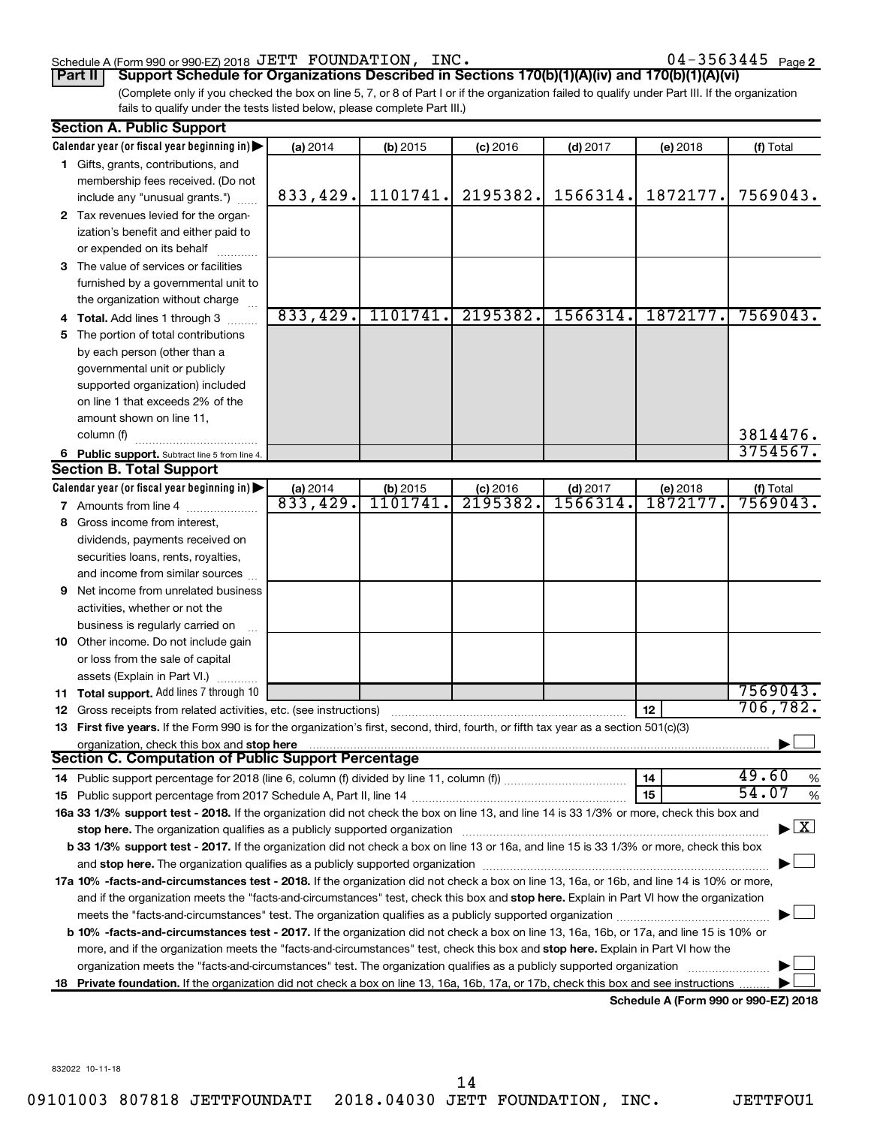## Schedule A (Form 990 or 990-EZ) 2018 Page JETT FOUNDATION, INC. 04-3563445

04-3563445 Page 2

(Complete only if you checked the box on line 5, 7, or 8 of Part I or if the organization failed to qualify under Part III. If the organization fails to qualify under the tests listed below, please complete Part III.) **Part II Support Schedule for Organizations Described in Sections 170(b)(1)(A)(iv) and 170(b)(1)(A)(vi)**

|    | <b>Section A. Public Support</b>                                                                                                               |                                |          |            |            |          |                                          |
|----|------------------------------------------------------------------------------------------------------------------------------------------------|--------------------------------|----------|------------|------------|----------|------------------------------------------|
|    | Calendar year (or fiscal year beginning in)                                                                                                    | (a) 2014                       | (b) 2015 | $(c)$ 2016 | $(d)$ 2017 | (e) 2018 | (f) Total                                |
|    | 1 Gifts, grants, contributions, and                                                                                                            |                                |          |            |            |          |                                          |
|    | membership fees received. (Do not                                                                                                              |                                |          |            |            |          |                                          |
|    | include any "unusual grants.")                                                                                                                 | 833,429.                       | 1101741. | 2195382.   | 1566314.   | 1872177. | 7569043.                                 |
|    | 2 Tax revenues levied for the organ-                                                                                                           |                                |          |            |            |          |                                          |
|    | ization's benefit and either paid to                                                                                                           |                                |          |            |            |          |                                          |
|    | or expended on its behalf                                                                                                                      |                                |          |            |            |          |                                          |
|    | 3 The value of services or facilities                                                                                                          |                                |          |            |            |          |                                          |
|    | furnished by a governmental unit to                                                                                                            |                                |          |            |            |          |                                          |
|    | the organization without charge                                                                                                                |                                |          |            |            |          |                                          |
|    | 4 Total. Add lines 1 through 3                                                                                                                 | 833,429.                       | 1101741. | 2195382.   | 1566314.   | 1872177. | 7569043.                                 |
| 5  | The portion of total contributions                                                                                                             |                                |          |            |            |          |                                          |
|    | by each person (other than a                                                                                                                   |                                |          |            |            |          |                                          |
|    | governmental unit or publicly                                                                                                                  |                                |          |            |            |          |                                          |
|    | supported organization) included                                                                                                               |                                |          |            |            |          |                                          |
|    | on line 1 that exceeds 2% of the                                                                                                               |                                |          |            |            |          |                                          |
|    | amount shown on line 11,                                                                                                                       |                                |          |            |            |          |                                          |
|    | column (f)                                                                                                                                     |                                |          |            |            |          | 3814476.                                 |
|    | 6 Public support. Subtract line 5 from line 4.                                                                                                 |                                |          |            |            |          | 3754567.                                 |
|    | <b>Section B. Total Support</b>                                                                                                                |                                |          |            |            |          |                                          |
|    | Calendar year (or fiscal year beginning in)                                                                                                    |                                | (b) 2015 | $(c)$ 2016 | $(d)$ 2017 | (e) 2018 |                                          |
|    | <b>7</b> Amounts from line 4                                                                                                                   | $\frac{$ (a) 2014<br>833, 429. | 1101741  | 2195382.   | 1566314    | 1872177  | $($ f) Total<br>7569043.                 |
| 8  | Gross income from interest,                                                                                                                    |                                |          |            |            |          |                                          |
|    | dividends, payments received on                                                                                                                |                                |          |            |            |          |                                          |
|    | securities loans, rents, royalties,                                                                                                            |                                |          |            |            |          |                                          |
|    | and income from similar sources                                                                                                                |                                |          |            |            |          |                                          |
| 9  | Net income from unrelated business                                                                                                             |                                |          |            |            |          |                                          |
|    | activities, whether or not the                                                                                                                 |                                |          |            |            |          |                                          |
|    | business is regularly carried on                                                                                                               |                                |          |            |            |          |                                          |
|    | 10 Other income. Do not include gain                                                                                                           |                                |          |            |            |          |                                          |
|    | or loss from the sale of capital                                                                                                               |                                |          |            |            |          |                                          |
|    | assets (Explain in Part VI.)                                                                                                                   |                                |          |            |            |          |                                          |
|    | 11 Total support. Add lines 7 through 10                                                                                                       |                                |          |            |            |          | 7569043.                                 |
|    | 12 Gross receipts from related activities, etc. (see instructions)                                                                             |                                |          |            |            | 12       | 706, 782.                                |
|    | 13 First five years. If the Form 990 is for the organization's first, second, third, fourth, or fifth tax year as a section 501(c)(3)          |                                |          |            |            |          |                                          |
|    | organization, check this box and stop here                                                                                                     |                                |          |            |            |          |                                          |
|    | Section C. Computation of Public Support Percentage                                                                                            |                                |          |            |            |          |                                          |
|    |                                                                                                                                                |                                |          |            |            | 14       | 49.60<br>%                               |
|    |                                                                                                                                                |                                |          |            |            | 15       | 54.07<br>%                               |
|    | 16a 33 1/3% support test - 2018. If the organization did not check the box on line 13, and line 14 is 33 1/3% or more, check this box and      |                                |          |            |            |          |                                          |
|    | stop here. The organization qualifies as a publicly supported organization                                                                     |                                |          |            |            |          | $\blacktriangleright$ $\boxed{\text{X}}$ |
|    | b 33 1/3% support test - 2017. If the organization did not check a box on line 13 or 16a, and line 15 is 33 1/3% or more, check this box       |                                |          |            |            |          |                                          |
|    |                                                                                                                                                |                                |          |            |            |          |                                          |
|    | 17a 10% -facts-and-circumstances test - 2018. If the organization did not check a box on line 13, 16a, or 16b, and line 14 is 10% or more,     |                                |          |            |            |          |                                          |
|    | and if the organization meets the "facts-and-circumstances" test, check this box and stop here. Explain in Part VI how the organization        |                                |          |            |            |          |                                          |
|    |                                                                                                                                                |                                |          |            |            |          |                                          |
|    | <b>b 10%</b> -facts-and-circumstances test - 2017. If the organization did not check a box on line 13, 16a, 16b, or 17a, and line 15 is 10% or |                                |          |            |            |          |                                          |
|    | more, and if the organization meets the "facts-and-circumstances" test, check this box and stop here. Explain in Part VI how the               |                                |          |            |            |          |                                          |
|    | organization meets the "facts-and-circumstances" test. The organization qualifies as a publicly supported organization                         |                                |          |            |            |          |                                          |
| 18 | Private foundation. If the organization did not check a box on line 13, 16a, 16b, 17a, or 17b, check this box and see instructions             |                                |          |            |            |          |                                          |
|    |                                                                                                                                                |                                |          |            |            |          | $000 - 000 F70040$                       |

**Schedule A (Form 990 or 990-EZ) 2018**

832022 10-11-18

14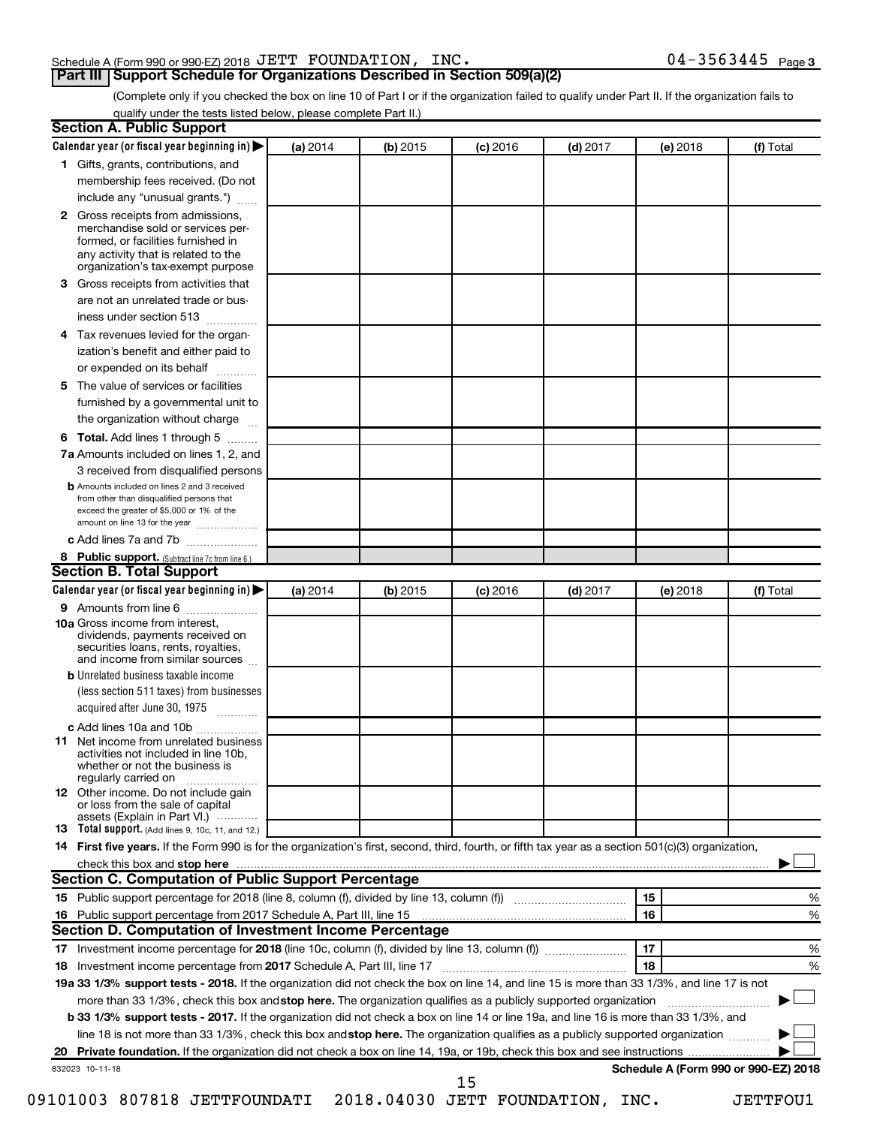# Schedule A (Form 990 or 990-EZ) 2018 Page JETT FOUNDATION, INC. 04-3563445

**Part III Support Schedule for Organizations Described in Section 509(a)(2)** 

(Complete only if you checked the box on line 10 of Part I or if the organization failed to qualify under Part II. If the organization fails to qualify under the tests listed below, please complete Part II.)

| Calendar year (or fiscal year beginning in)                                                                                                         | (a) 2014 | (b) 2015 | $(c)$ 2016 | $(d)$ 2017 | (e) 2018 | (f) Total                            |
|-----------------------------------------------------------------------------------------------------------------------------------------------------|----------|----------|------------|------------|----------|--------------------------------------|
| 1 Gifts, grants, contributions, and                                                                                                                 |          |          |            |            |          |                                      |
| membership fees received. (Do not                                                                                                                   |          |          |            |            |          |                                      |
| include any "unusual grants.")                                                                                                                      |          |          |            |            |          |                                      |
| 2 Gross receipts from admissions,<br>merchandise sold or services per-<br>formed, or facilities furnished in<br>any activity that is related to the |          |          |            |            |          |                                      |
| organization's tax-exempt purpose                                                                                                                   |          |          |            |            |          |                                      |
| Gross receipts from activities that<br>3                                                                                                            |          |          |            |            |          |                                      |
| are not an unrelated trade or bus-<br>iness under section 513                                                                                       |          |          |            |            |          |                                      |
| Tax revenues levied for the organ-<br>4                                                                                                             |          |          |            |            |          |                                      |
| ization's benefit and either paid to<br>or expended on its behalf<br>.                                                                              |          |          |            |            |          |                                      |
| The value of services or facilities<br>5.                                                                                                           |          |          |            |            |          |                                      |
| furnished by a governmental unit to<br>the organization without charge                                                                              |          |          |            |            |          |                                      |
| Total. Add lines 1 through 5<br>6                                                                                                                   |          |          |            |            |          |                                      |
| 7a Amounts included on lines 1, 2, and                                                                                                              |          |          |            |            |          |                                      |
| 3 received from disqualified persons                                                                                                                |          |          |            |            |          |                                      |
| <b>b</b> Amounts included on lines 2 and 3 received                                                                                                 |          |          |            |            |          |                                      |
| from other than disqualified persons that<br>exceed the greater of \$5,000 or 1% of the<br>amount on line 13 for the year                           |          |          |            |            |          |                                      |
| c Add lines 7a and 7b                                                                                                                               |          |          |            |            |          |                                      |
| 8 Public support. (Subtract line 7c from line 6.)                                                                                                   |          |          |            |            |          |                                      |
| <b>Section B. Total Support</b>                                                                                                                     |          |          |            |            |          |                                      |
| Calendar year (or fiscal year beginning in)                                                                                                         | (a) 2014 | (b) 2015 | $(c)$ 2016 | $(d)$ 2017 | (e) 2018 | (f) Total                            |
| <b>9</b> Amounts from line 6                                                                                                                        |          |          |            |            |          |                                      |
| <b>10a</b> Gross income from interest,<br>dividends, payments received on<br>securities loans, rents, royalties,<br>and income from similar sources |          |          |            |            |          |                                      |
| <b>b</b> Unrelated business taxable income                                                                                                          |          |          |            |            |          |                                      |
| (less section 511 taxes) from businesses<br>acquired after June 30, 1975 [[11, 11, 11, 11]                                                          |          |          |            |            |          |                                      |
| c Add lines 10a and 10b                                                                                                                             |          |          |            |            |          |                                      |
| Net income from unrelated business<br>11<br>activities not included in line 10b.<br>whether or not the business is<br>regularly carried on          |          |          |            |            |          |                                      |
| <b>12</b> Other income. Do not include gain<br>or loss from the sale of capital<br>assets (Explain in Part VI.)                                     |          |          |            |            |          |                                      |
| <b>13</b> Total support. (Add lines 9, 10c, 11, and 12.)                                                                                            |          |          |            |            |          |                                      |
| 14 First five years. If the Form 990 is for the organization's first, second, third, fourth, or fifth tax year as a section 501(c)(3) organization, |          |          |            |            |          |                                      |
|                                                                                                                                                     |          |          |            |            |          |                                      |
| <b>Section C. Computation of Public Support Percentage</b>                                                                                          |          |          |            |            |          |                                      |
|                                                                                                                                                     |          |          |            |            | 15       | %                                    |
|                                                                                                                                                     |          |          |            |            | 16       | %                                    |
| Section D. Computation of Investment Income Percentage                                                                                              |          |          |            |            |          |                                      |
|                                                                                                                                                     |          |          |            |            | 17       | %                                    |
| 18 Investment income percentage from 2017 Schedule A, Part III, line 17                                                                             |          |          |            |            | 18       | %                                    |
| 19a 33 1/3% support tests - 2018. If the organization did not check the box on line 14, and line 15 is more than 33 1/3%, and line 17 is not        |          |          |            |            |          |                                      |
| more than 33 1/3%, check this box and stop here. The organization qualifies as a publicly supported organization                                    |          |          |            |            |          |                                      |
| <b>b 33 1/3% support tests - 2017.</b> If the organization did not check a box on line 14 or line 19a, and line 16 is more than 33 1/3%, and        |          |          |            |            |          |                                      |
|                                                                                                                                                     |          |          |            |            |          |                                      |
| line 18 is not more than 33 1/3%, check this box and stop here. The organization qualifies as a publicly supported organization                     |          |          |            |            |          |                                      |
|                                                                                                                                                     |          |          |            |            |          |                                      |
| 832023 10-11-18                                                                                                                                     |          |          | 15         |            |          | Schedule A (Form 990 or 990-EZ) 2018 |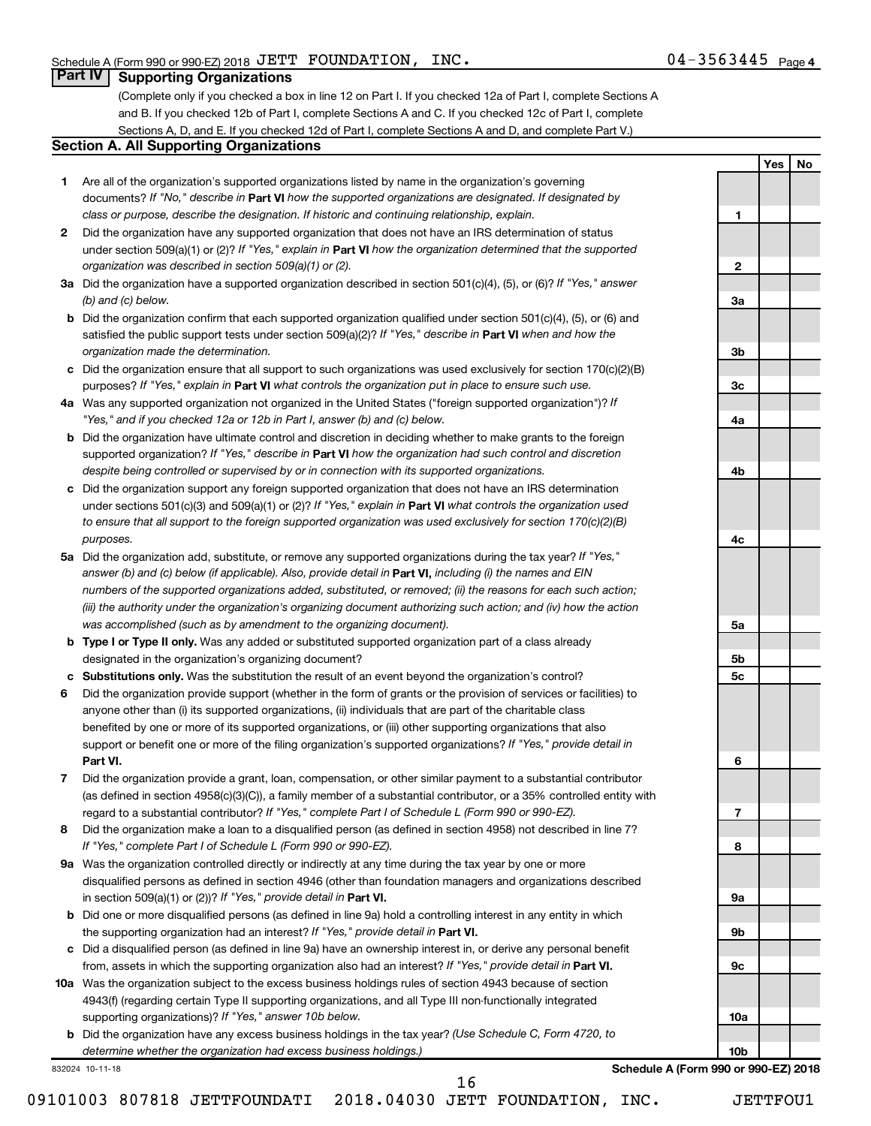**1**

**2**

**3a**

**3b**

**3c**

**4a**

**4b**

**4c**

**5a**

**5b 5c**

**6**

**7**

**8**

**9a**

**9b**

**9c**

**10a**

**10b**

**Yes No**

# **Part IV Supporting Organizations**

(Complete only if you checked a box in line 12 on Part I. If you checked 12a of Part I, complete Sections A and B. If you checked 12b of Part I, complete Sections A and C. If you checked 12c of Part I, complete Sections A, D, and E. If you checked 12d of Part I, complete Sections A and D, and complete Part V.)

## **Section A. All Supporting Organizations**

- **1** Are all of the organization's supported organizations listed by name in the organization's governing documents? If "No," describe in Part VI how the supported organizations are designated. If designated by *class or purpose, describe the designation. If historic and continuing relationship, explain.*
- **2** Did the organization have any supported organization that does not have an IRS determination of status under section 509(a)(1) or (2)? If "Yes," explain in Part **VI** how the organization determined that the supported *organization was described in section 509(a)(1) or (2).*
- **3a** Did the organization have a supported organization described in section 501(c)(4), (5), or (6)? If "Yes," answer *(b) and (c) below.*
- **b** Did the organization confirm that each supported organization qualified under section 501(c)(4), (5), or (6) and satisfied the public support tests under section 509(a)(2)? If "Yes," describe in Part VI when and how the *organization made the determination.*
- **c** Did the organization ensure that all support to such organizations was used exclusively for section 170(c)(2)(B) purposes? If "Yes," explain in Part VI what controls the organization put in place to ensure such use.
- **4 a** *If* Was any supported organization not organized in the United States ("foreign supported organization")? *"Yes," and if you checked 12a or 12b in Part I, answer (b) and (c) below.*
- **b** Did the organization have ultimate control and discretion in deciding whether to make grants to the foreign supported organization? If "Yes," describe in Part VI how the organization had such control and discretion *despite being controlled or supervised by or in connection with its supported organizations.*
- **c** Did the organization support any foreign supported organization that does not have an IRS determination under sections 501(c)(3) and 509(a)(1) or (2)? If "Yes," explain in Part VI what controls the organization used *to ensure that all support to the foreign supported organization was used exclusively for section 170(c)(2)(B) purposes.*
- **5a** Did the organization add, substitute, or remove any supported organizations during the tax year? If "Yes," answer (b) and (c) below (if applicable). Also, provide detail in **Part VI,** including (i) the names and EIN *numbers of the supported organizations added, substituted, or removed; (ii) the reasons for each such action; (iii) the authority under the organization's organizing document authorizing such action; and (iv) how the action was accomplished (such as by amendment to the organizing document).*
- **b** Type I or Type II only. Was any added or substituted supported organization part of a class already designated in the organization's organizing document?
- **c Substitutions only.**  Was the substitution the result of an event beyond the organization's control?
- **6** Did the organization provide support (whether in the form of grants or the provision of services or facilities) to **Part VI.** support or benefit one or more of the filing organization's supported organizations? If "Yes," provide detail in anyone other than (i) its supported organizations, (ii) individuals that are part of the charitable class benefited by one or more of its supported organizations, or (iii) other supporting organizations that also
- **7** Did the organization provide a grant, loan, compensation, or other similar payment to a substantial contributor regard to a substantial contributor? If "Yes," complete Part I of Schedule L (Form 990 or 990-EZ). (as defined in section 4958(c)(3)(C)), a family member of a substantial contributor, or a 35% controlled entity with
- **8** Did the organization make a loan to a disqualified person (as defined in section 4958) not described in line 7? *If "Yes," complete Part I of Schedule L (Form 990 or 990-EZ).*
- **9 a** Was the organization controlled directly or indirectly at any time during the tax year by one or more in section 509(a)(1) or (2))? If "Yes," provide detail in **Part VI.** disqualified persons as defined in section 4946 (other than foundation managers and organizations described
- **b** Did one or more disqualified persons (as defined in line 9a) hold a controlling interest in any entity in which the supporting organization had an interest? If "Yes," provide detail in Part VI.
- **c** Did a disqualified person (as defined in line 9a) have an ownership interest in, or derive any personal benefit from, assets in which the supporting organization also had an interest? If "Yes," provide detail in Part VI.
- **10 a** Was the organization subject to the excess business holdings rules of section 4943 because of section supporting organizations)? If "Yes," answer 10b below. 4943(f) (regarding certain Type II supporting organizations, and all Type III non-functionally integrated
	- **b** Did the organization have any excess business holdings in the tax year? (Use Schedule C, Form 4720, to *determine whether the organization had excess business holdings.)*

16

832024 10-11-18

**Schedule A (Form 990 or 990-EZ) 2018**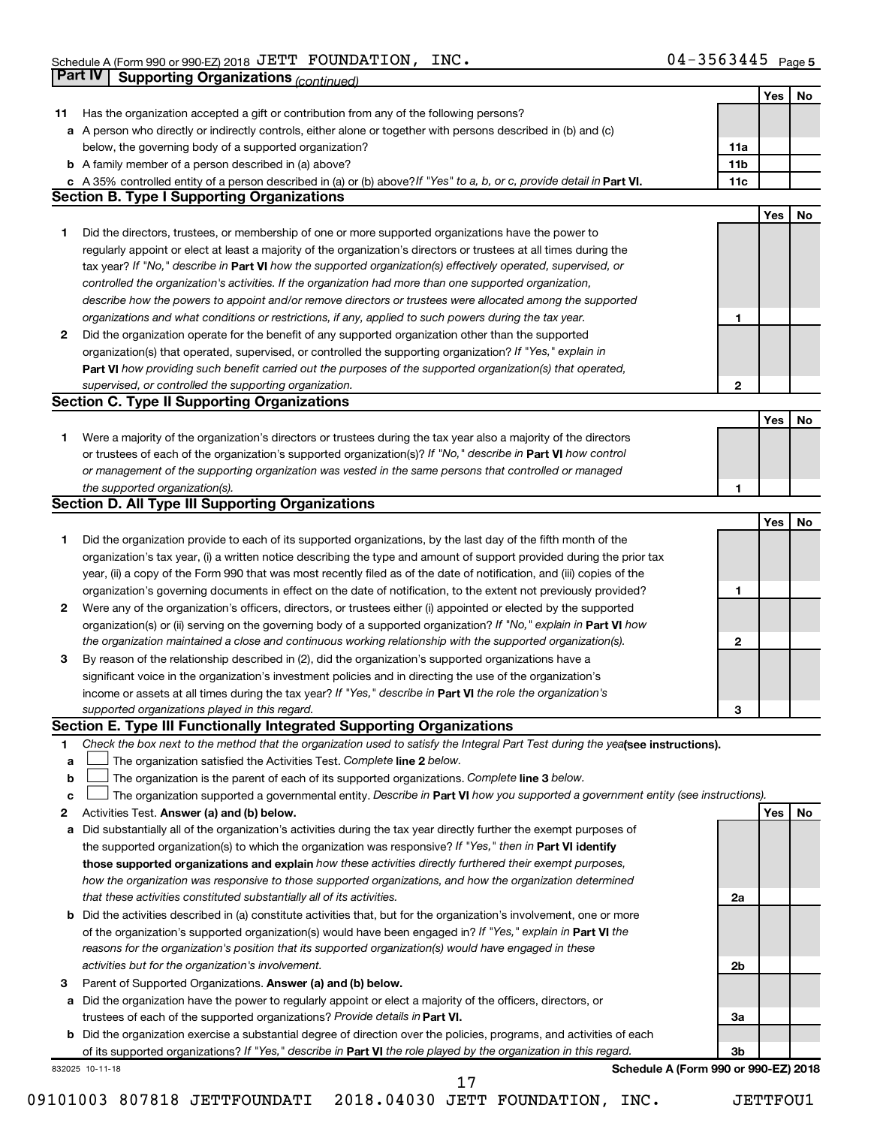|    | Part IV<br><b>Supporting Organizations (continued)</b>                                                                          |                 |     |    |
|----|---------------------------------------------------------------------------------------------------------------------------------|-----------------|-----|----|
|    |                                                                                                                                 |                 | Yes | No |
| 11 | Has the organization accepted a gift or contribution from any of the following persons?                                         |                 |     |    |
|    | a A person who directly or indirectly controls, either alone or together with persons described in (b) and (c)                  |                 |     |    |
|    | below, the governing body of a supported organization?                                                                          | 11a             |     |    |
|    | <b>b</b> A family member of a person described in (a) above?                                                                    | 11 <sub>b</sub> |     |    |
|    | c A 35% controlled entity of a person described in (a) or (b) above? If "Yes" to a, b, or c, provide detail in Part VI.         | 11c             |     |    |
|    | <b>Section B. Type I Supporting Organizations</b>                                                                               |                 |     |    |
|    |                                                                                                                                 |                 | Yes | No |
| 1  | Did the directors, trustees, or membership of one or more supported organizations have the power to                             |                 |     |    |
|    | regularly appoint or elect at least a majority of the organization's directors or trustees at all times during the              |                 |     |    |
|    | tax year? If "No," describe in Part VI how the supported organization(s) effectively operated, supervised, or                   |                 |     |    |
|    | controlled the organization's activities. If the organization had more than one supported organization,                         |                 |     |    |
|    | describe how the powers to appoint and/or remove directors or trustees were allocated among the supported                       |                 |     |    |
|    | organizations and what conditions or restrictions, if any, applied to such powers during the tax year.                          | 1               |     |    |
| 2  | Did the organization operate for the benefit of any supported organization other than the supported                             |                 |     |    |
|    | organization(s) that operated, supervised, or controlled the supporting organization? If "Yes," explain in                      |                 |     |    |
|    | Part VI how providing such benefit carried out the purposes of the supported organization(s) that operated,                     |                 |     |    |
|    | supervised, or controlled the supporting organization.                                                                          | 2               |     |    |
|    | <b>Section C. Type II Supporting Organizations</b>                                                                              |                 |     |    |
|    |                                                                                                                                 |                 | Yes | No |
| 1. | Were a majority of the organization's directors or trustees during the tax year also a majority of the directors                |                 |     |    |
|    | or trustees of each of the organization's supported organization(s)? If "No," describe in Part VI how control                   |                 |     |    |
|    | or management of the supporting organization was vested in the same persons that controlled or managed                          |                 |     |    |
|    | the supported organization(s).                                                                                                  | 1               |     |    |
|    | <b>Section D. All Type III Supporting Organizations</b>                                                                         |                 |     |    |
|    |                                                                                                                                 |                 | Yes | No |
| 1  | Did the organization provide to each of its supported organizations, by the last day of the fifth month of the                  |                 |     |    |
|    | organization's tax year, (i) a written notice describing the type and amount of support provided during the prior tax           |                 |     |    |
|    | year, (ii) a copy of the Form 990 that was most recently filed as of the date of notification, and (iii) copies of the          |                 |     |    |
|    | organization's governing documents in effect on the date of notification, to the extent not previously provided?                | 1               |     |    |
| 2  | Were any of the organization's officers, directors, or trustees either (i) appointed or elected by the supported                |                 |     |    |
|    | organization(s) or (ii) serving on the governing body of a supported organization? If "No," explain in Part VI how              |                 |     |    |
|    | the organization maintained a close and continuous working relationship with the supported organization(s).                     | $\mathbf{2}$    |     |    |
| 3  | By reason of the relationship described in (2), did the organization's supported organizations have a                           |                 |     |    |
|    | significant voice in the organization's investment policies and in directing the use of the organization's                      |                 |     |    |
|    | income or assets at all times during the tax year? If "Yes," describe in Part VI the role the organization's                    |                 |     |    |
|    | supported organizations played in this regard.                                                                                  | з               |     |    |
|    | Section E. Type III Functionally Integrated Supporting Organizations                                                            |                 |     |    |
| 1  | Check the box next to the method that the organization used to satisfy the Integral Part Test during the yealsee instructions). |                 |     |    |
| a  | The organization satisfied the Activities Test. Complete line 2 below.                                                          |                 |     |    |
| b  | The organization is the parent of each of its supported organizations. Complete line 3 below.                                   |                 |     |    |
| c  | The organization supported a governmental entity. Describe in Part VI how you supported a government entity (see instructions). |                 |     |    |
| 2  | Activities Test. Answer (a) and (b) below.                                                                                      |                 | Yes | No |
| а  | Did substantially all of the organization's activities during the tax year directly further the exempt purposes of              |                 |     |    |
|    | the supported organization(s) to which the organization was responsive? If "Yes," then in Part VI identify                      |                 |     |    |
|    | those supported organizations and explain how these activities directly furthered their exempt purposes,                        |                 |     |    |
|    | how the organization was responsive to those supported organizations, and how the organization determined                       |                 |     |    |
|    | that these activities constituted substantially all of its activities.                                                          | 2a              |     |    |
| b  | Did the activities described in (a) constitute activities that, but for the organization's involvement, one or more             |                 |     |    |
|    | of the organization's supported organization(s) would have been engaged in? If "Yes," explain in Part VI the                    |                 |     |    |
|    | reasons for the organization's position that its supported organization(s) would have engaged in these                          |                 |     |    |
|    | activities but for the organization's involvement.                                                                              | 2b              |     |    |
| 3  | Parent of Supported Organizations. Answer (a) and (b) below.                                                                    |                 |     |    |
| а  | Did the organization have the power to regularly appoint or elect a majority of the officers, directors, or                     |                 |     |    |
|    | trustees of each of the supported organizations? Provide details in Part VI.                                                    | За              |     |    |
|    | <b>b</b> Did the organization exercise a substantial degree of direction over the policies, programs, and activities of each    |                 |     |    |
|    | of its supported organizations? If "Yes," describe in Part VI the role played by the organization in this regard.               | 3b              |     |    |
|    | Schedule A (Form 990 or 990-EZ) 2018<br>832025 10-11-18                                                                         |                 |     |    |
|    | 17                                                                                                                              |                 |     |    |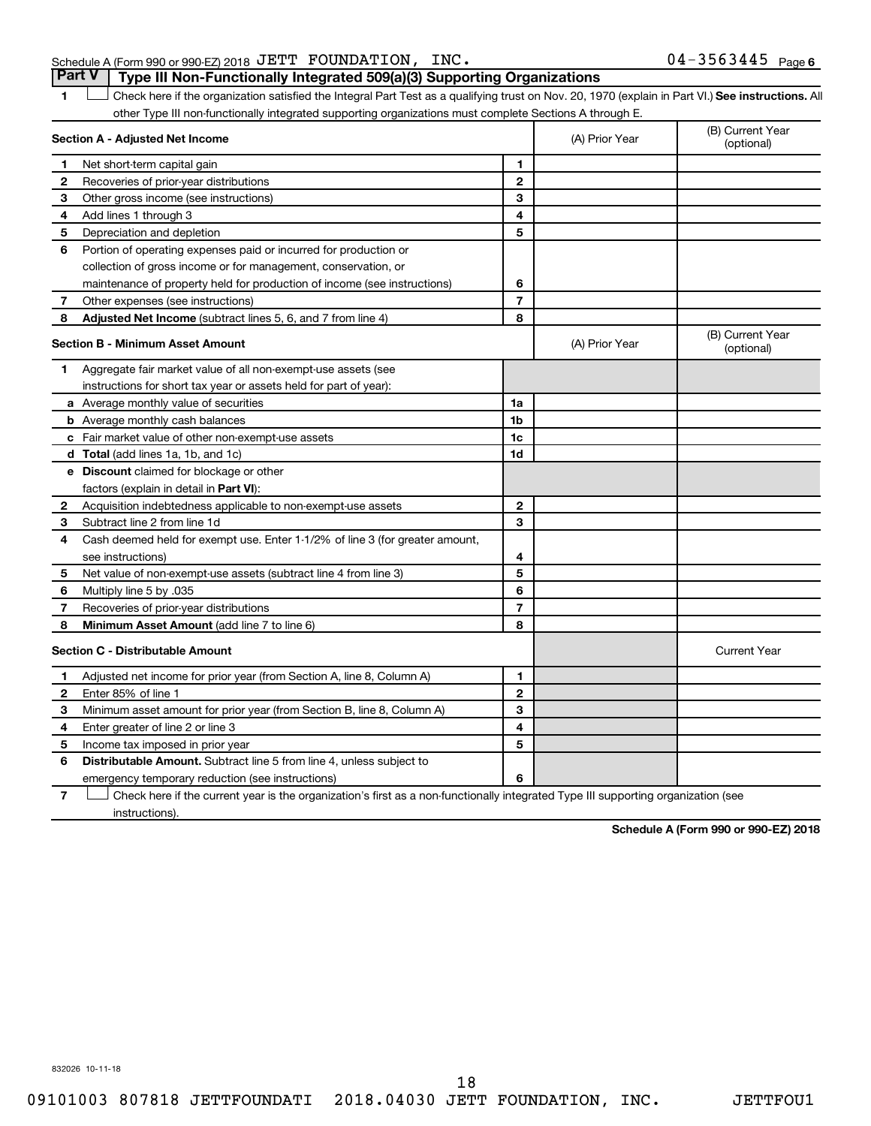# Schedule A (Form 990 or 990-EZ) 2018 Page JETT FOUNDATION, INC. 04-3563445 **Part V Type III Non-Functionally Integrated 509(a)(3) Supporting Organizations**

1 **Letter See instructions.** All Check here if the organization satisfied the Integral Part Test as a qualifying trust on Nov. 20, 1970 (explain in Part VI.) See instructions. All other Type III non-functionally integrated supporting organizations must complete Sections A through E.

|                | Section A - Adjusted Net Income                                                                                                   |                          | (A) Prior Year | (B) Current Year<br>(optional) |
|----------------|-----------------------------------------------------------------------------------------------------------------------------------|--------------------------|----------------|--------------------------------|
| 1              | Net short-term capital gain                                                                                                       | 1                        |                |                                |
| 2              | Recoveries of prior-year distributions                                                                                            | $\overline{2}$           |                |                                |
| З              | Other gross income (see instructions)                                                                                             | 3                        |                |                                |
| 4              | Add lines 1 through 3                                                                                                             | 4                        |                |                                |
| 5              | Depreciation and depletion                                                                                                        | 5                        |                |                                |
| 6              | Portion of operating expenses paid or incurred for production or                                                                  |                          |                |                                |
|                | collection of gross income or for management, conservation, or                                                                    |                          |                |                                |
|                | maintenance of property held for production of income (see instructions)                                                          | 6                        |                |                                |
| 7              | Other expenses (see instructions)                                                                                                 | $\overline{7}$           |                |                                |
| 8              | Adjusted Net Income (subtract lines 5, 6, and 7 from line 4)                                                                      | 8                        |                |                                |
|                | <b>Section B - Minimum Asset Amount</b>                                                                                           |                          | (A) Prior Year | (B) Current Year<br>(optional) |
| 1              | Aggregate fair market value of all non-exempt-use assets (see                                                                     |                          |                |                                |
|                | instructions for short tax year or assets held for part of year):                                                                 |                          |                |                                |
|                | <b>a</b> Average monthly value of securities                                                                                      | 1a                       |                |                                |
|                | <b>b</b> Average monthly cash balances                                                                                            | 1b                       |                |                                |
|                | c Fair market value of other non-exempt-use assets                                                                                | 1c                       |                |                                |
|                | d Total (add lines 1a, 1b, and 1c)                                                                                                | 1d                       |                |                                |
|                | e Discount claimed for blockage or other                                                                                          |                          |                |                                |
|                | factors (explain in detail in Part VI):                                                                                           |                          |                |                                |
| 2              | Acquisition indebtedness applicable to non-exempt-use assets                                                                      | $\mathbf{2}$             |                |                                |
| 3              | Subtract line 2 from line 1d                                                                                                      | 3                        |                |                                |
| 4              | Cash deemed held for exempt use. Enter 1-1/2% of line 3 (for greater amount,                                                      |                          |                |                                |
|                | see instructions)                                                                                                                 | 4                        |                |                                |
| 5              | Net value of non-exempt-use assets (subtract line 4 from line 3)                                                                  | 5                        |                |                                |
| 6              | 035. Multiply line 5 by                                                                                                           | 6                        |                |                                |
| 7              | Recoveries of prior-year distributions                                                                                            | $\overline{\phantom{a}}$ |                |                                |
| 8              | <b>Minimum Asset Amount (add line 7 to line 6)</b>                                                                                | 8                        |                |                                |
|                | <b>Section C - Distributable Amount</b>                                                                                           |                          |                | <b>Current Year</b>            |
| 1              | Adjusted net income for prior year (from Section A, line 8, Column A)                                                             | 1                        |                |                                |
| 2              | Enter 85% of line 1                                                                                                               | $\mathbf{2}$             |                |                                |
| з              | Minimum asset amount for prior year (from Section B, line 8, Column A)                                                            | 3                        |                |                                |
| 4              | Enter greater of line 2 or line 3                                                                                                 | 4                        |                |                                |
| 5              | Income tax imposed in prior year                                                                                                  | 5                        |                |                                |
| 6              | <b>Distributable Amount.</b> Subtract line 5 from line 4, unless subject to                                                       |                          |                |                                |
|                | emergency temporary reduction (see instructions)                                                                                  | 6                        |                |                                |
| $\overline{7}$ | Check here if the current year is the organization's first as a non-functionally integrated Type III supporting organization (see |                          |                |                                |

instructions).

**Schedule A (Form 990 or 990-EZ) 2018**

832026 10-11-18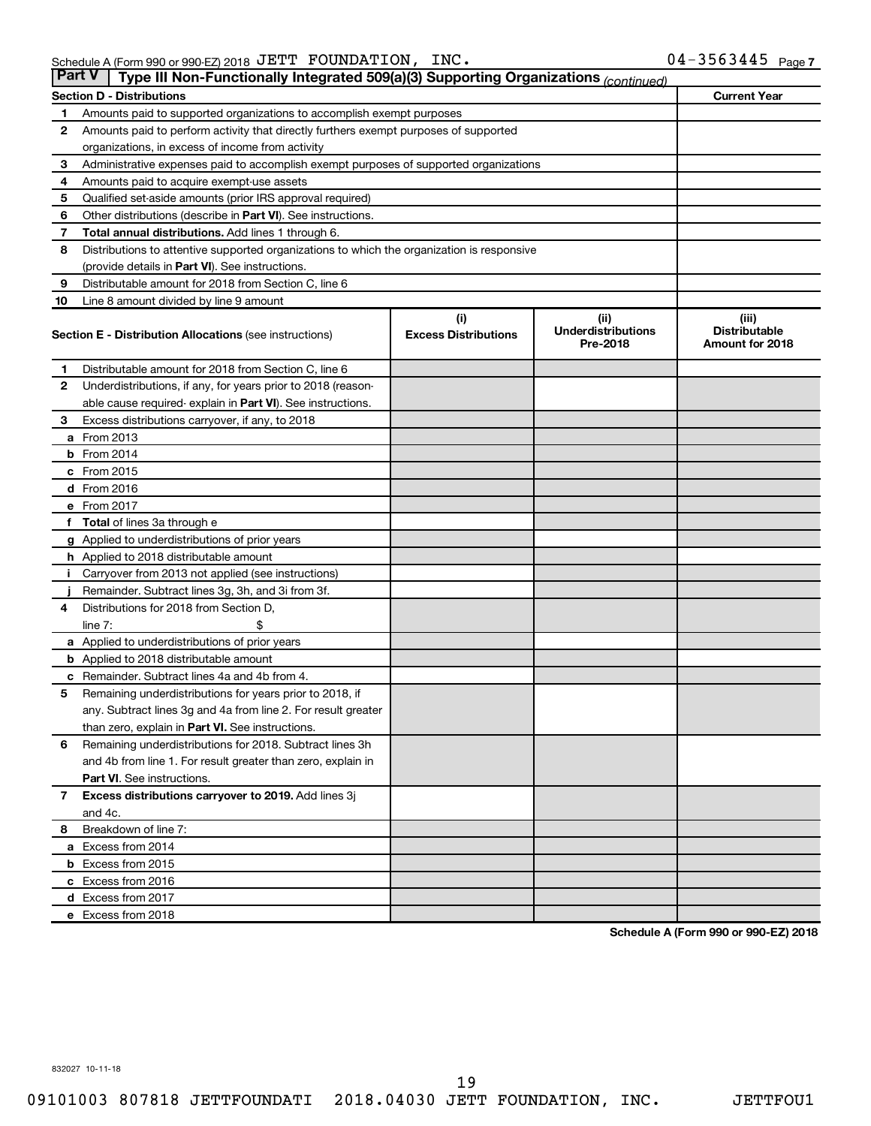| <b>Part V</b>  | Type III Non-Functionally Integrated 509(a)(3) Supporting Organizations (continued)        |                             |                                       |                                                |
|----------------|--------------------------------------------------------------------------------------------|-----------------------------|---------------------------------------|------------------------------------------------|
|                | <b>Section D - Distributions</b>                                                           |                             |                                       | <b>Current Year</b>                            |
| 1              | Amounts paid to supported organizations to accomplish exempt purposes                      |                             |                                       |                                                |
| $\mathbf{2}$   | Amounts paid to perform activity that directly furthers exempt purposes of supported       |                             |                                       |                                                |
|                | organizations, in excess of income from activity                                           |                             |                                       |                                                |
| 3              | Administrative expenses paid to accomplish exempt purposes of supported organizations      |                             |                                       |                                                |
| 4              | Amounts paid to acquire exempt-use assets                                                  |                             |                                       |                                                |
| 5              | Qualified set-aside amounts (prior IRS approval required)                                  |                             |                                       |                                                |
| 6              | Other distributions (describe in Part VI). See instructions.                               |                             |                                       |                                                |
| 7              | Total annual distributions. Add lines 1 through 6.                                         |                             |                                       |                                                |
| 8              | Distributions to attentive supported organizations to which the organization is responsive |                             |                                       |                                                |
|                | (provide details in Part VI). See instructions.                                            |                             |                                       |                                                |
| 9              | Distributable amount for 2018 from Section C, line 6                                       |                             |                                       |                                                |
| 10             | Line 8 amount divided by line 9 amount                                                     |                             |                                       |                                                |
|                |                                                                                            | (i)                         | (ii)                                  | (iii)                                          |
|                | <b>Section E - Distribution Allocations (see instructions)</b>                             | <b>Excess Distributions</b> | <b>Underdistributions</b><br>Pre-2018 | <b>Distributable</b><br><b>Amount for 2018</b> |
| 1              | Distributable amount for 2018 from Section C, line 6                                       |                             |                                       |                                                |
| $\mathbf{2}$   | Underdistributions, if any, for years prior to 2018 (reason-                               |                             |                                       |                                                |
|                | able cause required- explain in Part VI). See instructions.                                |                             |                                       |                                                |
| 3              | Excess distributions carryover, if any, to 2018                                            |                             |                                       |                                                |
|                | a From 2013                                                                                |                             |                                       |                                                |
|                | <b>b</b> From 2014                                                                         |                             |                                       |                                                |
|                | c From 2015                                                                                |                             |                                       |                                                |
|                | d From 2016                                                                                |                             |                                       |                                                |
|                | e From 2017                                                                                |                             |                                       |                                                |
|                | f Total of lines 3a through e                                                              |                             |                                       |                                                |
|                | <b>g</b> Applied to underdistributions of prior years                                      |                             |                                       |                                                |
|                | h Applied to 2018 distributable amount                                                     |                             |                                       |                                                |
| Ť.             | Carryover from 2013 not applied (see instructions)                                         |                             |                                       |                                                |
|                | Remainder. Subtract lines 3g, 3h, and 3i from 3f.                                          |                             |                                       |                                                |
| 4              | Distributions for 2018 from Section D,                                                     |                             |                                       |                                                |
|                | line $7:$                                                                                  |                             |                                       |                                                |
|                | a Applied to underdistributions of prior years                                             |                             |                                       |                                                |
|                | <b>b</b> Applied to 2018 distributable amount                                              |                             |                                       |                                                |
| с              | Remainder. Subtract lines 4a and 4b from 4.                                                |                             |                                       |                                                |
| 5              | Remaining underdistributions for years prior to 2018, if                                   |                             |                                       |                                                |
|                | any. Subtract lines 3g and 4a from line 2. For result greater                              |                             |                                       |                                                |
|                | than zero, explain in Part VI. See instructions.                                           |                             |                                       |                                                |
| 6              | Remaining underdistributions for 2018. Subtract lines 3h                                   |                             |                                       |                                                |
|                | and 4b from line 1. For result greater than zero, explain in                               |                             |                                       |                                                |
|                | <b>Part VI.</b> See instructions.                                                          |                             |                                       |                                                |
| $\overline{7}$ | Excess distributions carryover to 2019. Add lines 3j                                       |                             |                                       |                                                |
|                | and 4c.                                                                                    |                             |                                       |                                                |
| 8              | Breakdown of line 7:                                                                       |                             |                                       |                                                |
|                | a Excess from 2014                                                                         |                             |                                       |                                                |
|                | <b>b</b> Excess from 2015                                                                  |                             |                                       |                                                |
|                | c Excess from 2016                                                                         |                             |                                       |                                                |
|                | d Excess from 2017                                                                         |                             |                                       |                                                |
|                | e Excess from 2018                                                                         |                             |                                       |                                                |

**Schedule A (Form 990 or 990-EZ) 2018**

832027 10-11-18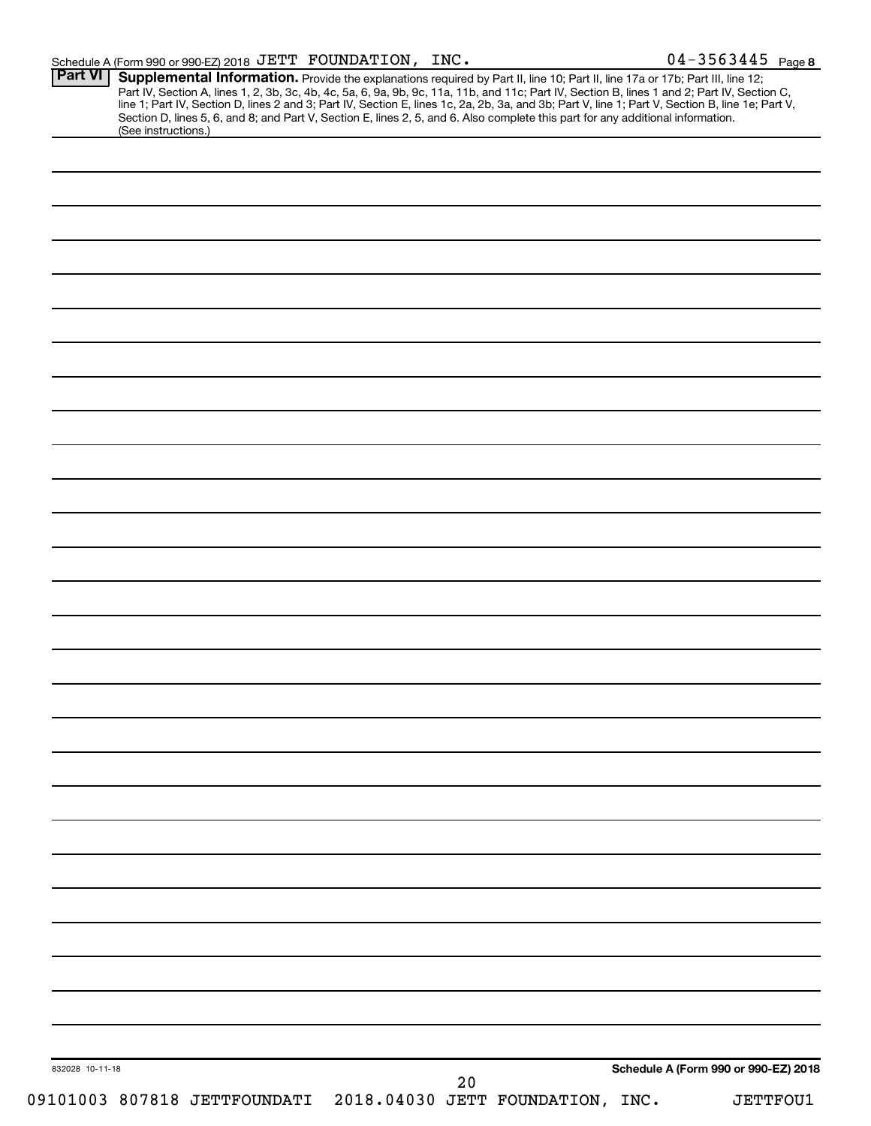|  | Schedule A (Form 990 or 990 EZ) 2018 $\rm\,JETT$ $\rm\,FOUNDATION$ , |  | INC. | $04 - 3563445$ Page |  |
|--|----------------------------------------------------------------------|--|------|---------------------|--|
|--|----------------------------------------------------------------------|--|------|---------------------|--|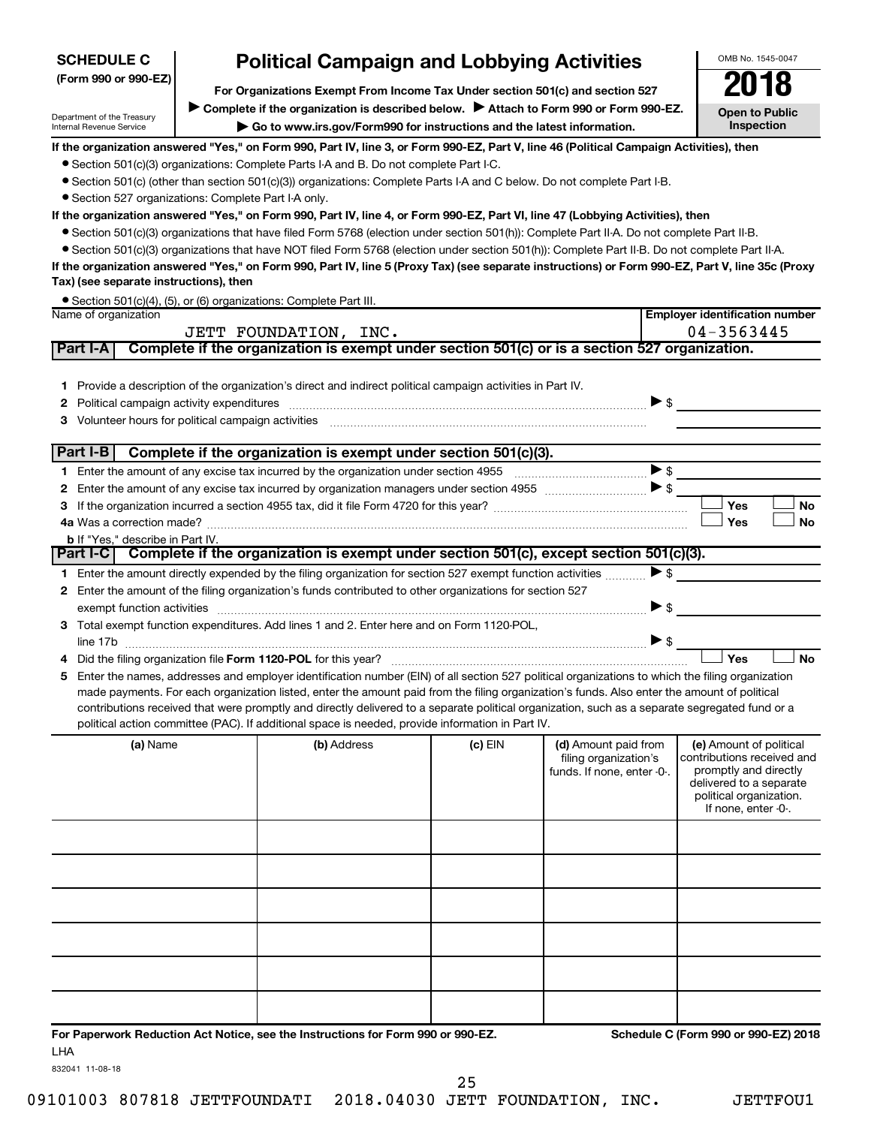| <b>SCHEDULE C</b>                                    | <b>Political Campaign and Lobbying Activities</b>                                                                                                                                                                              |           |                            | OMB No. 1545-0047                                  |
|------------------------------------------------------|--------------------------------------------------------------------------------------------------------------------------------------------------------------------------------------------------------------------------------|-----------|----------------------------|----------------------------------------------------|
| (Form 990 or 990-EZ)                                 |                                                                                                                                                                                                                                |           |                            |                                                    |
|                                                      | For Organizations Exempt From Income Tax Under section 501(c) and section 527                                                                                                                                                  |           |                            |                                                    |
| Department of the Treasury                           | Complete if the organization is described below. Attach to Form 990 or Form 990-EZ.                                                                                                                                            |           |                            | <b>Open to Public</b>                              |
| Internal Revenue Service                             | Go to www.irs.gov/Form990 for instructions and the latest information.                                                                                                                                                         |           |                            | <b>Inspection</b>                                  |
|                                                      | If the organization answered "Yes," on Form 990, Part IV, line 3, or Form 990-EZ, Part V, line 46 (Political Campaign Activities), then                                                                                        |           |                            |                                                    |
|                                                      | • Section 501(c)(3) organizations: Complete Parts I-A and B. Do not complete Part I-C.                                                                                                                                         |           |                            |                                                    |
|                                                      | • Section 501(c) (other than section 501(c)(3)) organizations: Complete Parts I-A and C below. Do not complete Part I-B.                                                                                                       |           |                            |                                                    |
| • Section 527 organizations: Complete Part I-A only. | If the organization answered "Yes," on Form 990, Part IV, line 4, or Form 990-EZ, Part VI, line 47 (Lobbying Activities), then                                                                                                 |           |                            |                                                    |
|                                                      | • Section 501(c)(3) organizations that have filed Form 5768 (election under section 501(h)): Complete Part II-A. Do not complete Part II-B.                                                                                    |           |                            |                                                    |
|                                                      | • Section 501(c)(3) organizations that have NOT filed Form 5768 (election under section 501(h)): Complete Part II-B. Do not complete Part II-A.                                                                                |           |                            |                                                    |
|                                                      | If the organization answered "Yes," on Form 990, Part IV, line 5 (Proxy Tax) (see separate instructions) or Form 990-EZ, Part V, line 35c (Proxy                                                                               |           |                            |                                                    |
| Tax) (see separate instructions), then               |                                                                                                                                                                                                                                |           |                            |                                                    |
|                                                      | • Section 501(c)(4), (5), or (6) organizations: Complete Part III.                                                                                                                                                             |           |                            |                                                    |
| Name of organization                                 |                                                                                                                                                                                                                                |           |                            | <b>Employer identification number</b>              |
|                                                      | JETT FOUNDATION, INC.                                                                                                                                                                                                          |           |                            | 04-3563445                                         |
| Part I-A                                             | Complete if the organization is exempt under section 501(c) or is a section 527 organization.                                                                                                                                  |           |                            |                                                    |
|                                                      |                                                                                                                                                                                                                                |           |                            |                                                    |
|                                                      | 1 Provide a description of the organization's direct and indirect political campaign activities in Part IV.                                                                                                                    |           |                            |                                                    |
| 2                                                    | Political campaign activity expenditures [11,11] [11] The contract of the contract of the contract of the contract of the contract of the contract of the contract of the contract of the contract of the contract of the cont |           | $\triangleright$ \$        |                                                    |
| 3.                                                   | Volunteer hours for political campaign activities [11] matter content to the content of the content of the content of the content of the content of the content of the content of the content of the content of the content of |           |                            |                                                    |
|                                                      |                                                                                                                                                                                                                                |           |                            |                                                    |
| Part I-B                                             | Complete if the organization is exempt under section 501(c)(3).                                                                                                                                                                |           |                            |                                                    |
|                                                      |                                                                                                                                                                                                                                |           | $\blacktriangleright$ \$   |                                                    |
| 2                                                    |                                                                                                                                                                                                                                |           |                            |                                                    |
| 3                                                    |                                                                                                                                                                                                                                |           |                            | Yes<br><b>No</b>                                   |
|                                                      |                                                                                                                                                                                                                                |           |                            | Yes<br>No                                          |
| <b>b</b> If "Yes," describe in Part IV.              | Part I-C Complete if the organization is exempt under section 501(c), except section 501(c)(3).                                                                                                                                |           |                            |                                                    |
|                                                      |                                                                                                                                                                                                                                |           |                            |                                                    |
|                                                      | 1 Enter the amount directly expended by the filing organization for section 527 exempt function activities                                                                                                                     |           | $\blacktriangleright$ \$   |                                                    |
|                                                      | 2 Enter the amount of the filing organization's funds contributed to other organizations for section 527                                                                                                                       |           |                            |                                                    |
|                                                      |                                                                                                                                                                                                                                |           | $\blacktriangleright$ \$   |                                                    |
|                                                      | 3 Total exempt function expenditures. Add lines 1 and 2. Enter here and on Form 1120-POL,                                                                                                                                      |           |                            |                                                    |
|                                                      |                                                                                                                                                                                                                                |           | ▶ \$                       | Yes<br><b>No</b>                                   |
|                                                      | Enter the names, addresses and employer identification number (EIN) of all section 527 political organizations to which the filing organization                                                                                |           |                            |                                                    |
| 5.                                                   | made payments. For each organization listed, enter the amount paid from the filing organization's funds. Also enter the amount of political                                                                                    |           |                            |                                                    |
|                                                      | contributions received that were promptly and directly delivered to a separate political organization, such as a separate segregated fund or a                                                                                 |           |                            |                                                    |
|                                                      | political action committee (PAC). If additional space is needed, provide information in Part IV.                                                                                                                               |           |                            |                                                    |
| (a) Name                                             | (b) Address                                                                                                                                                                                                                    | $(c)$ EIN | (d) Amount paid from       | (e) Amount of political                            |
|                                                      |                                                                                                                                                                                                                                |           | filing organization's      | contributions received and                         |
|                                                      |                                                                                                                                                                                                                                |           | funds. If none, enter -0-. | promptly and directly                              |
|                                                      |                                                                                                                                                                                                                                |           |                            | delivered to a separate<br>political organization. |
|                                                      |                                                                                                                                                                                                                                |           |                            | If none, enter -0-.                                |
|                                                      |                                                                                                                                                                                                                                |           |                            |                                                    |
|                                                      |                                                                                                                                                                                                                                |           |                            |                                                    |
|                                                      |                                                                                                                                                                                                                                |           |                            |                                                    |
|                                                      |                                                                                                                                                                                                                                |           |                            |                                                    |
|                                                      |                                                                                                                                                                                                                                |           |                            |                                                    |
|                                                      |                                                                                                                                                                                                                                |           |                            |                                                    |
|                                                      |                                                                                                                                                                                                                                |           |                            |                                                    |
|                                                      |                                                                                                                                                                                                                                |           |                            |                                                    |
|                                                      |                                                                                                                                                                                                                                |           |                            |                                                    |
|                                                      |                                                                                                                                                                                                                                |           |                            |                                                    |
|                                                      |                                                                                                                                                                                                                                |           |                            |                                                    |
|                                                      |                                                                                                                                                                                                                                |           |                            |                                                    |

**For Paperwork Reduction Act Notice, see the Instructions for Form 990 or 990-EZ. Schedule C (Form 990 or 990-EZ) 2018** LHA

832041 11-08-18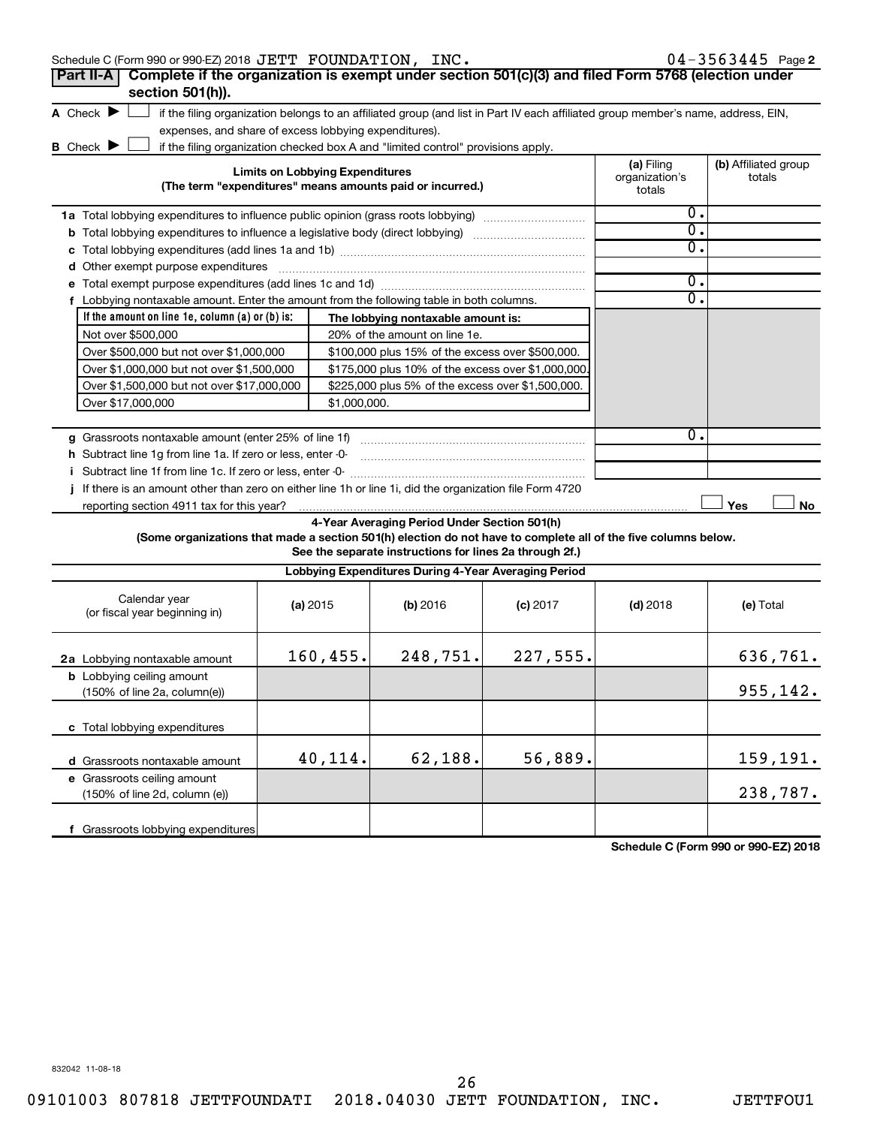| Schedule C (Form 990 or 990-EZ) 2018 JETT FOUNDATION, INC.                                                                          |                                                       |                                                                                                                                                                                                                                                                                                                                                                                                                             |                                                                                                                                   |                                        | $04 - 3563445$ Page 2          |
|-------------------------------------------------------------------------------------------------------------------------------------|-------------------------------------------------------|-----------------------------------------------------------------------------------------------------------------------------------------------------------------------------------------------------------------------------------------------------------------------------------------------------------------------------------------------------------------------------------------------------------------------------|-----------------------------------------------------------------------------------------------------------------------------------|----------------------------------------|--------------------------------|
| Complete if the organization is exempt under section 501(c)(3) and filed Form 5768 (election under<br>Part II-A<br>section 501(h)). |                                                       |                                                                                                                                                                                                                                                                                                                                                                                                                             |                                                                                                                                   |                                        |                                |
| A Check $\blacktriangleright$<br><b>B</b> Check $\blacktriangleright$                                                               | expenses, and share of excess lobbying expenditures). | if the filing organization checked box A and "limited control" provisions apply.                                                                                                                                                                                                                                                                                                                                            | if the filing organization belongs to an affiliated group (and list in Part IV each affiliated group member's name, address, EIN, |                                        |                                |
|                                                                                                                                     | <b>Limits on Lobbying Expenditures</b>                | (The term "expenditures" means amounts paid or incurred.)                                                                                                                                                                                                                                                                                                                                                                   |                                                                                                                                   | (a) Filing<br>organization's<br>totals | (b) Affiliated group<br>totals |
| <b>1a</b> Total lobbying expenditures to influence public opinion (grass roots lobbying) <i>marroummannes</i>                       |                                                       |                                                                                                                                                                                                                                                                                                                                                                                                                             |                                                                                                                                   | Ο.<br>$\overline{0}$ .                 |                                |
|                                                                                                                                     |                                                       |                                                                                                                                                                                                                                                                                                                                                                                                                             |                                                                                                                                   | σ.                                     |                                |
|                                                                                                                                     |                                                       |                                                                                                                                                                                                                                                                                                                                                                                                                             |                                                                                                                                   |                                        |                                |
| <b>d</b> Other exempt purpose expenditures                                                                                          |                                                       | $\overline{a_1, \ldots, a_n, \ldots, a_n, \ldots, a_n, \ldots, a_n, \ldots, \ldots, a_n, \ldots, a_n, \ldots, a_n, \ldots, a_n, \ldots, a_n, \ldots, a_n, \ldots, a_n, \ldots, a_n, \ldots, a_n, \ldots, a_n, \ldots, a_n, \ldots, a_n, \ldots, a_n, \ldots, a_n, \ldots, a_n, \ldots, a_n, \ldots, a_n, \ldots, a_n, \ldots, a_n, \ldots, a_n, \ldots, a_n, \ldots, a_n, \ldots, a_n, \ldots, a_n, \ldots, a_n, \ldots, a$ |                                                                                                                                   |                                        |                                |
|                                                                                                                                     |                                                       |                                                                                                                                                                                                                                                                                                                                                                                                                             |                                                                                                                                   | 0.                                     |                                |
| f Lobbying nontaxable amount. Enter the amount from the following table in both columns.                                            |                                                       |                                                                                                                                                                                                                                                                                                                                                                                                                             |                                                                                                                                   | $\mathbf{0}$ .                         |                                |
| If the amount on line 1e, column $(a)$ or $(b)$ is:                                                                                 |                                                       | The lobbying nontaxable amount is:                                                                                                                                                                                                                                                                                                                                                                                          |                                                                                                                                   |                                        |                                |
| Not over \$500,000                                                                                                                  |                                                       | 20% of the amount on line 1e.                                                                                                                                                                                                                                                                                                                                                                                               |                                                                                                                                   |                                        |                                |
| Over \$500,000 but not over \$1,000,000                                                                                             |                                                       | \$100,000 plus 15% of the excess over \$500,000.                                                                                                                                                                                                                                                                                                                                                                            |                                                                                                                                   |                                        |                                |
| Over \$1,000,000 but not over \$1,500,000                                                                                           |                                                       | \$175,000 plus 10% of the excess over \$1,000,000                                                                                                                                                                                                                                                                                                                                                                           |                                                                                                                                   |                                        |                                |
| Over \$1,500,000 but not over \$17,000,000                                                                                          |                                                       | \$225,000 plus 5% of the excess over \$1,500,000.                                                                                                                                                                                                                                                                                                                                                                           |                                                                                                                                   |                                        |                                |
| Over \$17,000,000                                                                                                                   | \$1,000,000.                                          |                                                                                                                                                                                                                                                                                                                                                                                                                             |                                                                                                                                   |                                        |                                |
|                                                                                                                                     |                                                       |                                                                                                                                                                                                                                                                                                                                                                                                                             |                                                                                                                                   |                                        |                                |
| g Grassroots nontaxable amount (enter 25% of line 1f)                                                                               |                                                       |                                                                                                                                                                                                                                                                                                                                                                                                                             |                                                                                                                                   | о.                                     |                                |
| <b>h</b> Subtract line 1g from line 1a. If zero or less, enter -0-                                                                  |                                                       |                                                                                                                                                                                                                                                                                                                                                                                                                             |                                                                                                                                   |                                        |                                |
|                                                                                                                                     |                                                       |                                                                                                                                                                                                                                                                                                                                                                                                                             |                                                                                                                                   |                                        |                                |
| j If there is an amount other than zero on either line 1h or line 1i, did the organization file Form 4720                           |                                                       |                                                                                                                                                                                                                                                                                                                                                                                                                             |                                                                                                                                   |                                        |                                |
| reporting section 4911 tax for this year?                                                                                           |                                                       |                                                                                                                                                                                                                                                                                                                                                                                                                             |                                                                                                                                   |                                        | Yes<br>No                      |
|                                                                                                                                     |                                                       | 4-Year Averaging Period Under Section 501(h)                                                                                                                                                                                                                                                                                                                                                                                |                                                                                                                                   |                                        |                                |
| (Some organizations that made a section 501(h) election do not have to complete all of the five columns below.                      |                                                       | See the separate instructions for lines 2a through 2f.)                                                                                                                                                                                                                                                                                                                                                                     |                                                                                                                                   |                                        |                                |
|                                                                                                                                     |                                                       | Lobbying Expenditures During 4-Year Averaging Period                                                                                                                                                                                                                                                                                                                                                                        |                                                                                                                                   |                                        |                                |
| Calendar year<br>(or fiscal year beginning in)                                                                                      | (a) 2015                                              | (b) 2016                                                                                                                                                                                                                                                                                                                                                                                                                    | $(c)$ 2017                                                                                                                        | $(d)$ 2018                             | (e) Total                      |
| 2a Lobbying nontaxable amount                                                                                                       | 160,455.                                              | 248,751.                                                                                                                                                                                                                                                                                                                                                                                                                    | 227,555.                                                                                                                          |                                        | 636,761.                       |
| <b>b</b> Lobbying ceiling amount<br>(150% of line 2a, column(e))                                                                    |                                                       |                                                                                                                                                                                                                                                                                                                                                                                                                             |                                                                                                                                   |                                        | 955,142.                       |
| c Total lobbying expenditures                                                                                                       |                                                       |                                                                                                                                                                                                                                                                                                                                                                                                                             |                                                                                                                                   |                                        |                                |
| d Grassroots nontaxable amount                                                                                                      | 40, 114.                                              | 62,188.                                                                                                                                                                                                                                                                                                                                                                                                                     | 56,889.                                                                                                                           |                                        | 159,191.                       |

**Schedule C (Form 990 or 990-EZ) 2018**

832042 11-08-18

**e** Grassroots ceiling amount

(150% of line 2d, column (e))

**f** Grassroots lobbying expenditures

238,787.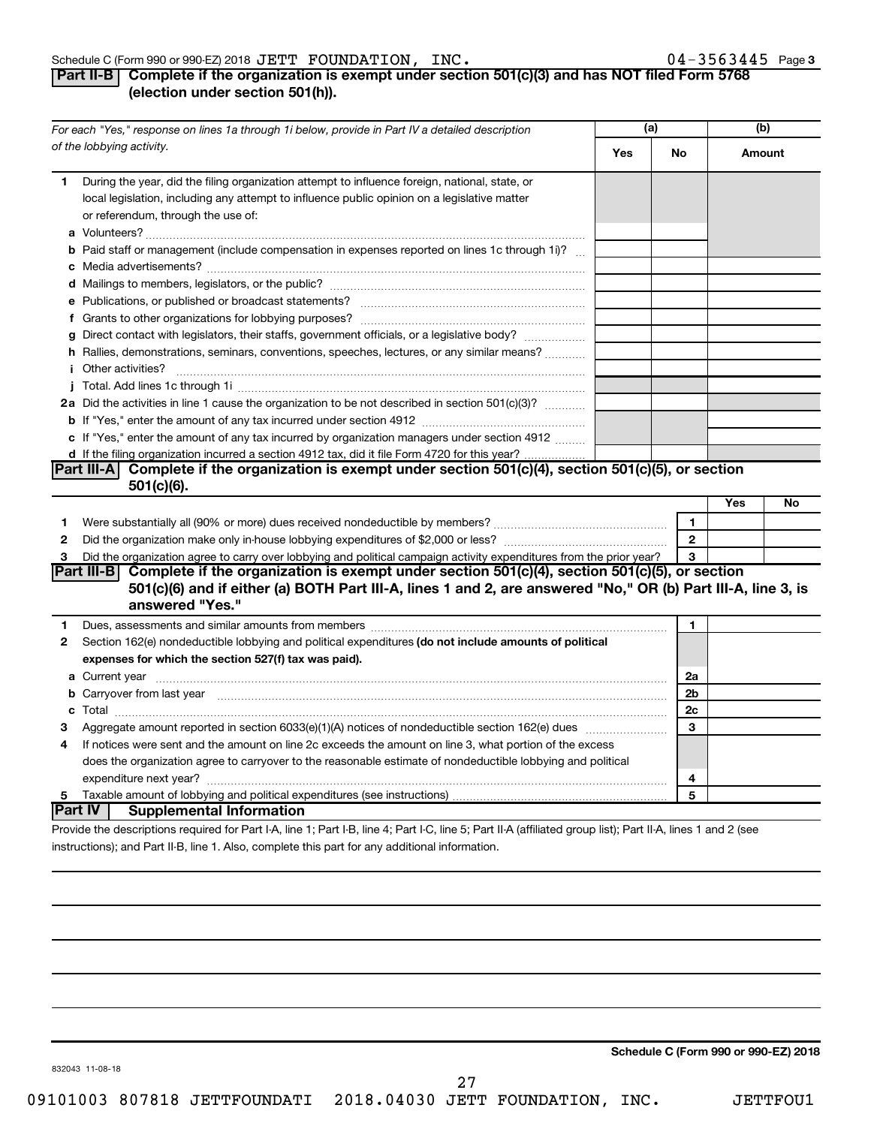#### Schedule C (Form 990 or 990-EZ) 2018 Page JETT FOUNDATION, INC. 04-3563445

# **Part II-B Complete if the organization is exempt under section 501(c)(3) and has NOT filed Form 5768 (election under section 501(h)).**

|              | For each "Yes," response on lines 1a through 1i below, provide in Part IV a detailed description                                                                                                                                            | (a) |              | (b)    |    |
|--------------|---------------------------------------------------------------------------------------------------------------------------------------------------------------------------------------------------------------------------------------------|-----|--------------|--------|----|
|              | of the lobbying activity.                                                                                                                                                                                                                   | Yes | No           | Amount |    |
| 1            | During the year, did the filing organization attempt to influence foreign, national, state, or<br>local legislation, including any attempt to influence public opinion on a legislative matter<br>or referendum, through the use of:        |     |              |        |    |
|              | <b>b</b> Paid staff or management (include compensation in expenses reported on lines 1c through 1i)?                                                                                                                                       |     |              |        |    |
|              |                                                                                                                                                                                                                                             |     |              |        |    |
|              |                                                                                                                                                                                                                                             |     |              |        |    |
|              |                                                                                                                                                                                                                                             |     |              |        |    |
|              | g Direct contact with legislators, their staffs, government officials, or a legislative body?                                                                                                                                               |     |              |        |    |
|              | h Rallies, demonstrations, seminars, conventions, speeches, lectures, or any similar means?                                                                                                                                                 |     |              |        |    |
|              | <i>i</i> Other activities?                                                                                                                                                                                                                  |     |              |        |    |
|              |                                                                                                                                                                                                                                             |     |              |        |    |
|              | 2a Did the activities in line 1 cause the organization to be not described in section 501(c)(3)?                                                                                                                                            |     |              |        |    |
|              |                                                                                                                                                                                                                                             |     |              |        |    |
|              | c If "Yes," enter the amount of any tax incurred by organization managers under section 4912                                                                                                                                                |     |              |        |    |
|              | d If the filing organization incurred a section 4912 tax, did it file Form 4720 for this year?                                                                                                                                              |     |              |        |    |
|              | Part III-A Complete if the organization is exempt under section $501(c)(4)$ , section $501(c)(5)$ , or section                                                                                                                              |     |              |        |    |
|              | $501(c)(6)$ .                                                                                                                                                                                                                               |     |              |        |    |
|              |                                                                                                                                                                                                                                             |     |              | Yes    | No |
| 1            |                                                                                                                                                                                                                                             |     | 1            |        |    |
| $\mathbf{2}$ |                                                                                                                                                                                                                                             |     | $\mathbf{2}$ |        |    |
| 3            | Did the organization agree to carry over lobbying and political campaign activity expenditures from the prior year?                                                                                                                         |     | 3            |        |    |
|              | Part III-B Complete if the organization is exempt under section 501(c)(4), section 501(c)(5), or section<br>501(c)(6) and if either (a) BOTH Part III-A, lines 1 and 2, are answered "No," OR (b) Part III-A, line 3, is<br>answered "Yes." |     |              |        |    |
| 1            | Dues, assessments and similar amounts from members [111] www.community.community.community.com                                                                                                                                              |     | 1            |        |    |
| 2            | Section 162(e) nondeductible lobbying and political expenditures (do not include amounts of political                                                                                                                                       |     |              |        |    |
|              | expenses for which the section 527(f) tax was paid).                                                                                                                                                                                        |     |              |        |    |
|              |                                                                                                                                                                                                                                             |     | 2a           |        |    |
|              | b Carryover from last year manufactured and content to content the content of the content of the content of the content of the content of the content of the content of the content of the content of the content of the conte              |     | 2b           |        |    |
|              |                                                                                                                                                                                                                                             |     | 2c           |        |    |
| 3            |                                                                                                                                                                                                                                             |     | 3            |        |    |
| 4            | If notices were sent and the amount on line 2c exceeds the amount on line 3, what portion of the excess                                                                                                                                     |     |              |        |    |
|              | does the organization agree to carryover to the reasonable estimate of nondeductible lobbying and political                                                                                                                                 |     |              |        |    |
|              |                                                                                                                                                                                                                                             |     | 4            |        |    |
| 5            |                                                                                                                                                                                                                                             |     | 5            |        |    |
|              | Part IV  <br><b>Supplemental Information</b>                                                                                                                                                                                                |     |              |        |    |
|              | Provide the descriptions required for Part I-A, line 1; Part I-B, line 4; Part I-C, line 5; Part II-A (affiliated group list); Part II-A, lines 1 and 2 (see                                                                                |     |              |        |    |

instructions); and Part II-B, line 1. Also, complete this part for any additional information.

**Schedule C (Form 990 or 990-EZ) 2018**

832043 11-08-18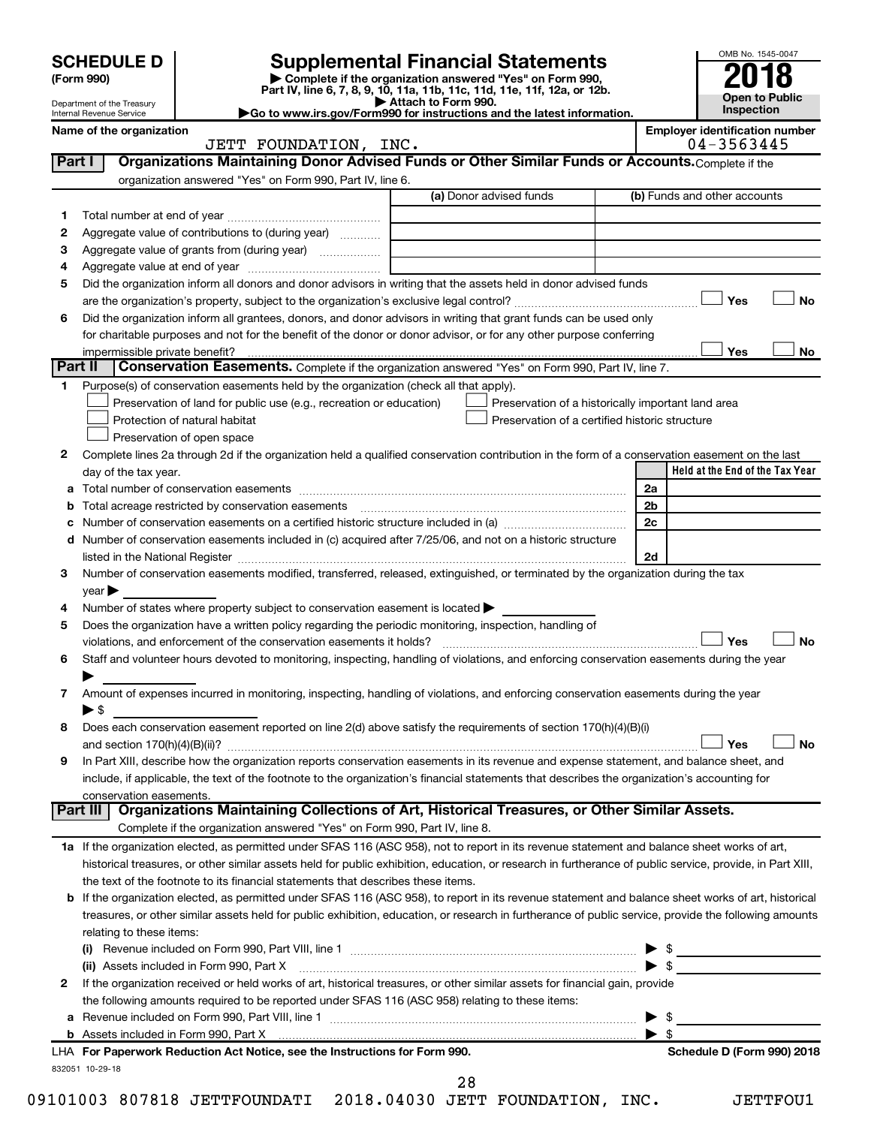|        |                                                        |                                                                                                        |                                                                                                                                                                                                                               |                | OMB No. 1545-0047                     |
|--------|--------------------------------------------------------|--------------------------------------------------------------------------------------------------------|-------------------------------------------------------------------------------------------------------------------------------------------------------------------------------------------------------------------------------|----------------|---------------------------------------|
|        | <b>SCHEDULE D</b><br>(Form 990)                        |                                                                                                        | <b>Supplemental Financial Statements</b><br>Complete if the organization answered "Yes" on Form 990,                                                                                                                          |                |                                       |
|        |                                                        |                                                                                                        | Part IV, line 6, 7, 8, 9, 10, 11a, 11b, 11c, 11d, 11e, 11f, 12a, or 12b.                                                                                                                                                      |                |                                       |
|        | Department of the Treasury<br>Internal Revenue Service |                                                                                                        | Attach to Form 990.<br>Go to www.irs.gov/Form990 for instructions and the latest information.                                                                                                                                 |                | <b>Open to Public</b><br>Inspection   |
|        | Name of the organization                               |                                                                                                        |                                                                                                                                                                                                                               |                | <b>Employer identification number</b> |
|        |                                                        | JETT FOUNDATION, INC.                                                                                  |                                                                                                                                                                                                                               |                | 04-3563445                            |
| Part I |                                                        |                                                                                                        | Organizations Maintaining Donor Advised Funds or Other Similar Funds or Accounts. Complete if the                                                                                                                             |                |                                       |
|        |                                                        | organization answered "Yes" on Form 990, Part IV, line 6.                                              |                                                                                                                                                                                                                               |                |                                       |
|        |                                                        |                                                                                                        | (a) Donor advised funds                                                                                                                                                                                                       |                | (b) Funds and other accounts          |
| 1      |                                                        |                                                                                                        |                                                                                                                                                                                                                               |                |                                       |
| 2      |                                                        | Aggregate value of contributions to (during year)                                                      |                                                                                                                                                                                                                               |                |                                       |
| з      |                                                        | Aggregate value of grants from (during year)                                                           |                                                                                                                                                                                                                               |                |                                       |
| 4      |                                                        |                                                                                                        |                                                                                                                                                                                                                               |                |                                       |
| 5      |                                                        |                                                                                                        | Did the organization inform all donors and donor advisors in writing that the assets held in donor advised funds                                                                                                              |                |                                       |
|        |                                                        |                                                                                                        |                                                                                                                                                                                                                               |                | No<br>Yes                             |
| 6      |                                                        |                                                                                                        | Did the organization inform all grantees, donors, and donor advisors in writing that grant funds can be used only                                                                                                             |                |                                       |
|        |                                                        |                                                                                                        | for charitable purposes and not for the benefit of the donor or donor advisor, or for any other purpose conferring                                                                                                            |                | Yes<br>No                             |
|        | impermissible private benefit?<br>Part II              |                                                                                                        | Conservation Easements. Complete if the organization answered "Yes" on Form 990, Part IV, line 7.                                                                                                                             |                |                                       |
| 1.     |                                                        | Purpose(s) of conservation easements held by the organization (check all that apply).                  |                                                                                                                                                                                                                               |                |                                       |
|        |                                                        | Preservation of land for public use (e.g., recreation or education)                                    | Preservation of a historically important land area                                                                                                                                                                            |                |                                       |
|        |                                                        | Protection of natural habitat                                                                          | Preservation of a certified historic structure                                                                                                                                                                                |                |                                       |
|        |                                                        | Preservation of open space                                                                             |                                                                                                                                                                                                                               |                |                                       |
| 2      |                                                        |                                                                                                        | Complete lines 2a through 2d if the organization held a qualified conservation contribution in the form of a conservation easement on the last                                                                                |                |                                       |
|        | day of the tax year.                                   |                                                                                                        |                                                                                                                                                                                                                               |                | Held at the End of the Tax Year       |
| а      |                                                        |                                                                                                        |                                                                                                                                                                                                                               | 2a             |                                       |
| b      |                                                        | Total acreage restricted by conservation easements                                                     |                                                                                                                                                                                                                               | 2 <sub>b</sub> |                                       |
| с      |                                                        |                                                                                                        | Number of conservation easements on a certified historic structure included in (a) manufacture included in (a)                                                                                                                | 2c             |                                       |
|        |                                                        |                                                                                                        | d Number of conservation easements included in (c) acquired after 7/25/06, and not on a historic structure                                                                                                                    |                |                                       |
|        |                                                        |                                                                                                        | listed in the National Register [111] Marshall Register [11] Marshall Register [11] Marshall Register [11] Marshall Register [11] Marshall Register [11] Marshall Register [11] Marshall Register [11] Marshall Register [11] | 2d             |                                       |
| 3      |                                                        |                                                                                                        | Number of conservation easements modified, transferred, released, extinguished, or terminated by the organization during the tax                                                                                              |                |                                       |
|        | year                                                   |                                                                                                        |                                                                                                                                                                                                                               |                |                                       |
| 4      |                                                        | Number of states where property subject to conservation easement is located >                          |                                                                                                                                                                                                                               |                |                                       |
| 5      |                                                        | Does the organization have a written policy regarding the periodic monitoring, inspection, handling of |                                                                                                                                                                                                                               |                |                                       |
|        |                                                        | violations, and enforcement of the conservation easements it holds?                                    |                                                                                                                                                                                                                               |                | Yes<br><b>No</b>                      |
| 6      |                                                        |                                                                                                        | Staff and volunteer hours devoted to monitoring, inspecting, handling of violations, and enforcing conservation easements during the year                                                                                     |                |                                       |
|        |                                                        |                                                                                                        |                                                                                                                                                                                                                               |                |                                       |
| 7      |                                                        |                                                                                                        | Amount of expenses incurred in monitoring, inspecting, handling of violations, and enforcing conservation easements during the year                                                                                           |                |                                       |
|        | $\blacktriangleright$ \$                               |                                                                                                        |                                                                                                                                                                                                                               |                |                                       |
| 8      |                                                        |                                                                                                        | Does each conservation easement reported on line 2(d) above satisfy the requirements of section 170(h)(4)(B)(i)                                                                                                               |                | <b>No</b><br>Yes                      |
| 9      |                                                        |                                                                                                        | In Part XIII, describe how the organization reports conservation easements in its revenue and expense statement, and balance sheet, and                                                                                       |                |                                       |
|        |                                                        |                                                                                                        | include, if applicable, the text of the footnote to the organization's financial statements that describes the organization's accounting for                                                                                  |                |                                       |
|        | conservation easements.                                |                                                                                                        |                                                                                                                                                                                                                               |                |                                       |
|        | Part III I                                             |                                                                                                        | Organizations Maintaining Collections of Art, Historical Treasures, or Other Similar Assets.                                                                                                                                  |                |                                       |
|        |                                                        | Complete if the organization answered "Yes" on Form 990, Part IV, line 8.                              |                                                                                                                                                                                                                               |                |                                       |
|        |                                                        |                                                                                                        | 1a If the organization elected, as permitted under SFAS 116 (ASC 958), not to report in its revenue statement and balance sheet works of art,                                                                                 |                |                                       |
|        |                                                        |                                                                                                        | historical treasures, or other similar assets held for public exhibition, education, or research in furtherance of public service, provide, in Part XIII,                                                                     |                |                                       |
|        |                                                        | the text of the footnote to its financial statements that describes these items.                       |                                                                                                                                                                                                                               |                |                                       |
|        |                                                        |                                                                                                        | <b>b</b> If the organization elected, as permitted under SFAS 116 (ASC 958), to report in its revenue statement and balance sheet works of art, historical                                                                    |                |                                       |
|        |                                                        |                                                                                                        | treasures, or other similar assets held for public exhibition, education, or research in furtherance of public service, provide the following amounts                                                                         |                |                                       |
|        | relating to these items:                               |                                                                                                        |                                                                                                                                                                                                                               |                |                                       |
|        |                                                        |                                                                                                        |                                                                                                                                                                                                                               |                |                                       |
|        |                                                        |                                                                                                        |                                                                                                                                                                                                                               |                | $\triangleright$ \$                   |
| 2      |                                                        |                                                                                                        | If the organization received or held works of art, historical treasures, or other similar assets for financial gain, provide                                                                                                  |                |                                       |
|        |                                                        | the following amounts required to be reported under SFAS 116 (ASC 958) relating to these items:        |                                                                                                                                                                                                                               |                |                                       |
|        |                                                        |                                                                                                        |                                                                                                                                                                                                                               |                | - 56                                  |
|        |                                                        |                                                                                                        |                                                                                                                                                                                                                               |                | \$                                    |
|        |                                                        | LHA For Paperwork Reduction Act Notice, see the Instructions for Form 990.                             |                                                                                                                                                                                                                               |                | Schedule D (Form 990) 2018            |
|        | 832051 10-29-18                                        |                                                                                                        |                                                                                                                                                                                                                               |                |                                       |

28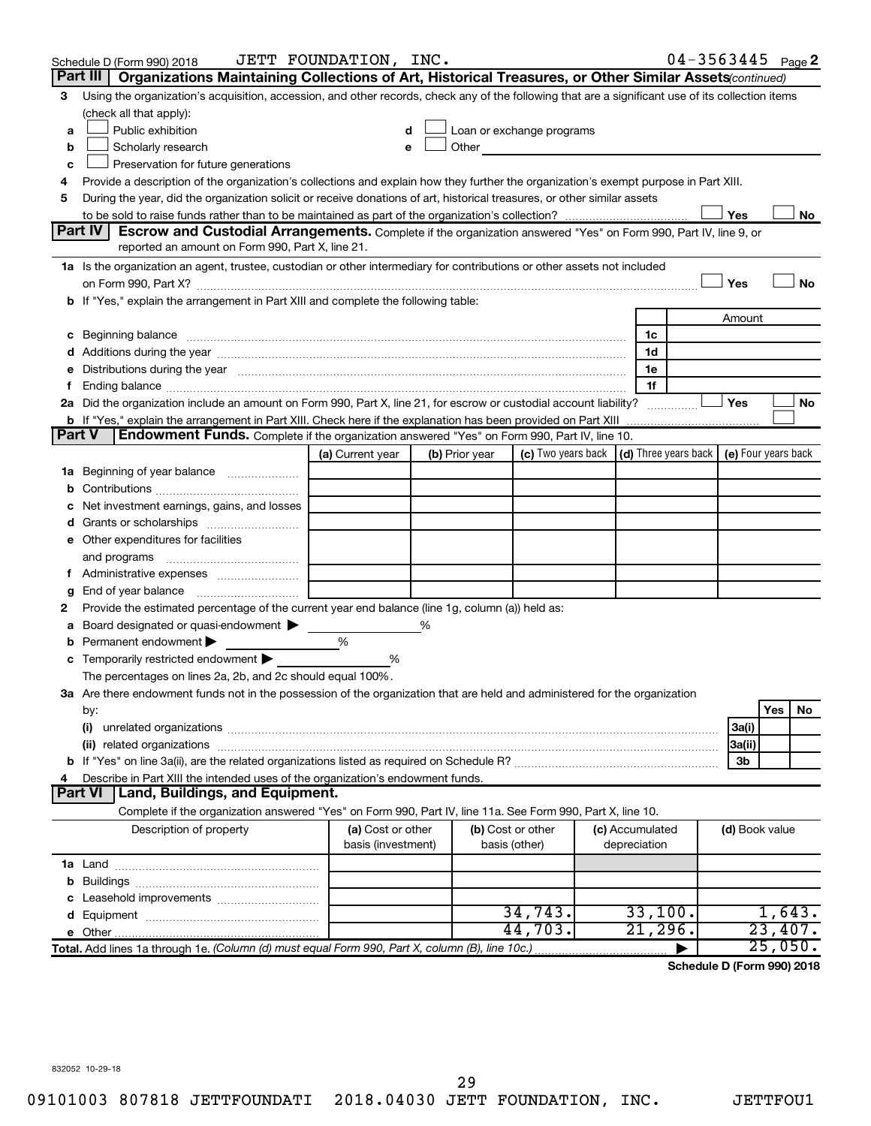|               | Schedule D (Form 990) 2018                                                                                                                                                                                                     | JETT FOUNDATION, INC.                   |   |                |                                                                                                                                                                                                                               |                                 | $04 - 3563445$ Page 2 |                |         |         |
|---------------|--------------------------------------------------------------------------------------------------------------------------------------------------------------------------------------------------------------------------------|-----------------------------------------|---|----------------|-------------------------------------------------------------------------------------------------------------------------------------------------------------------------------------------------------------------------------|---------------------------------|-----------------------|----------------|---------|---------|
|               | Part III<br>Organizations Maintaining Collections of Art, Historical Treasures, or Other Similar Assets (continued)                                                                                                            |                                         |   |                |                                                                                                                                                                                                                               |                                 |                       |                |         |         |
| 3             | Using the organization's acquisition, accession, and other records, check any of the following that are a significant use of its collection items                                                                              |                                         |   |                |                                                                                                                                                                                                                               |                                 |                       |                |         |         |
|               | (check all that apply):                                                                                                                                                                                                        |                                         |   |                |                                                                                                                                                                                                                               |                                 |                       |                |         |         |
| a             | Public exhibition                                                                                                                                                                                                              | d                                       |   |                | Loan or exchange programs                                                                                                                                                                                                     |                                 |                       |                |         |         |
| b             | Scholarly research                                                                                                                                                                                                             |                                         |   |                | Other and the contract of the contract of the contract of the contract of the contract of the contract of the contract of the contract of the contract of the contract of the contract of the contract of the contract of the |                                 |                       |                |         |         |
| с             | Preservation for future generations                                                                                                                                                                                            |                                         |   |                |                                                                                                                                                                                                                               |                                 |                       |                |         |         |
| 4             | Provide a description of the organization's collections and explain how they further the organization's exempt purpose in Part XIII.                                                                                           |                                         |   |                |                                                                                                                                                                                                                               |                                 |                       |                |         |         |
| 5             | During the year, did the organization solicit or receive donations of art, historical treasures, or other similar assets                                                                                                       |                                         |   |                |                                                                                                                                                                                                                               |                                 |                       |                |         |         |
|               | Part IV I<br><b>Escrow and Custodial Arrangements.</b> Complete if the organization answered "Yes" on Form 990, Part IV, line 9, or                                                                                            |                                         |   |                |                                                                                                                                                                                                                               |                                 |                       | Yes            |         | No      |
|               | reported an amount on Form 990, Part X, line 21.                                                                                                                                                                               |                                         |   |                |                                                                                                                                                                                                                               |                                 |                       |                |         |         |
|               | 1a Is the organization an agent, trustee, custodian or other intermediary for contributions or other assets not included                                                                                                       |                                         |   |                |                                                                                                                                                                                                                               |                                 |                       |                |         |         |
|               | on Form 990, Part X? [11] matter contracts and contracts and contracts are contracted as a form 990, Part X?                                                                                                                   |                                         |   |                |                                                                                                                                                                                                                               |                                 |                       | Yes            |         | No      |
|               | b If "Yes," explain the arrangement in Part XIII and complete the following table:                                                                                                                                             |                                         |   |                |                                                                                                                                                                                                                               |                                 |                       |                |         |         |
|               |                                                                                                                                                                                                                                |                                         |   |                |                                                                                                                                                                                                                               |                                 |                       | Amount         |         |         |
|               |                                                                                                                                                                                                                                |                                         |   |                |                                                                                                                                                                                                                               | 1c                              |                       |                |         |         |
|               |                                                                                                                                                                                                                                |                                         |   |                |                                                                                                                                                                                                                               | 1d                              |                       |                |         |         |
|               | e Distributions during the year measurement contained and all the control of the set of the set of the set of the set of the set of the set of the set of the set of the set of the set of the set of the set of the set of th |                                         |   |                |                                                                                                                                                                                                                               | 1e                              |                       |                |         |         |
|               |                                                                                                                                                                                                                                |                                         |   |                |                                                                                                                                                                                                                               | 1f                              |                       |                |         |         |
|               | 2a Did the organization include an amount on Form 990, Part X, line 21, for escrow or custodial account liability?                                                                                                             |                                         |   |                |                                                                                                                                                                                                                               |                                 |                       | Yes            |         | No      |
|               | b If "Yes," explain the arrangement in Part XIII. Check here if the explanation has been provided on Part XIII                                                                                                                 |                                         |   |                |                                                                                                                                                                                                                               |                                 |                       |                |         |         |
| <b>Part V</b> | Endowment Funds. Complete if the organization answered "Yes" on Form 990, Part IV, line 10.                                                                                                                                    |                                         |   |                |                                                                                                                                                                                                                               |                                 |                       |                |         |         |
|               |                                                                                                                                                                                                                                | (a) Current year                        |   | (b) Prior year | (c) Two years back $\vert$ (d) Three years back $\vert$ (e) Four years back                                                                                                                                                   |                                 |                       |                |         |         |
|               | 1a Beginning of year balance                                                                                                                                                                                                   |                                         |   |                |                                                                                                                                                                                                                               |                                 |                       |                |         |         |
| b             |                                                                                                                                                                                                                                |                                         |   |                |                                                                                                                                                                                                                               |                                 |                       |                |         |         |
| с             | Net investment earnings, gains, and losses                                                                                                                                                                                     |                                         |   |                |                                                                                                                                                                                                                               |                                 |                       |                |         |         |
|               |                                                                                                                                                                                                                                |                                         |   |                |                                                                                                                                                                                                                               |                                 |                       |                |         |         |
|               | e Other expenditures for facilities                                                                                                                                                                                            |                                         |   |                |                                                                                                                                                                                                                               |                                 |                       |                |         |         |
|               | and programs                                                                                                                                                                                                                   |                                         |   |                |                                                                                                                                                                                                                               |                                 |                       |                |         |         |
|               |                                                                                                                                                                                                                                |                                         |   |                |                                                                                                                                                                                                                               |                                 |                       |                |         |         |
| g<br>2        | Provide the estimated percentage of the current year end balance (line 1g, column (a)) held as:                                                                                                                                |                                         |   |                |                                                                                                                                                                                                                               |                                 |                       |                |         |         |
| а             | Board designated or quasi-endowment $\blacktriangleright$                                                                                                                                                                      |                                         | % |                |                                                                                                                                                                                                                               |                                 |                       |                |         |         |
| b             | Permanent endowment                                                                                                                                                                                                            | %                                       |   |                |                                                                                                                                                                                                                               |                                 |                       |                |         |         |
|               | <b>c</b> Temporarily restricted endowment $\blacktriangleright$                                                                                                                                                                | %                                       |   |                |                                                                                                                                                                                                                               |                                 |                       |                |         |         |
|               | The percentages on lines 2a, 2b, and 2c should equal 100%.                                                                                                                                                                     |                                         |   |                |                                                                                                                                                                                                                               |                                 |                       |                |         |         |
|               | 3a Are there endowment funds not in the possession of the organization that are held and administered for the organization                                                                                                     |                                         |   |                |                                                                                                                                                                                                                               |                                 |                       |                |         |         |
|               | by:                                                                                                                                                                                                                            |                                         |   |                |                                                                                                                                                                                                                               |                                 |                       |                | Yes     | No      |
|               | (i)                                                                                                                                                                                                                            |                                         |   |                |                                                                                                                                                                                                                               |                                 |                       | 3a(i)          |         |         |
|               |                                                                                                                                                                                                                                |                                         |   |                |                                                                                                                                                                                                                               |                                 |                       | 3a(ii)         |         |         |
|               |                                                                                                                                                                                                                                |                                         |   |                |                                                                                                                                                                                                                               |                                 |                       | 3b             |         |         |
| 4             | Describe in Part XIII the intended uses of the organization's endowment funds.                                                                                                                                                 |                                         |   |                |                                                                                                                                                                                                                               |                                 |                       |                |         |         |
|               | <b>Land, Buildings, and Equipment.</b><br><b>Part VI</b>                                                                                                                                                                       |                                         |   |                |                                                                                                                                                                                                                               |                                 |                       |                |         |         |
|               | Complete if the organization answered "Yes" on Form 990, Part IV, line 11a. See Form 990, Part X, line 10.                                                                                                                     |                                         |   |                |                                                                                                                                                                                                                               |                                 |                       |                |         |         |
|               | Description of property                                                                                                                                                                                                        | (a) Cost or other<br>basis (investment) |   |                | (b) Cost or other<br>basis (other)                                                                                                                                                                                            | (c) Accumulated<br>depreciation |                       | (d) Book value |         |         |
|               |                                                                                                                                                                                                                                |                                         |   |                |                                                                                                                                                                                                                               |                                 |                       |                |         |         |
| b             |                                                                                                                                                                                                                                |                                         |   |                |                                                                                                                                                                                                                               |                                 |                       |                |         |         |
|               |                                                                                                                                                                                                                                |                                         |   |                |                                                                                                                                                                                                                               |                                 |                       |                |         |         |
|               |                                                                                                                                                                                                                                |                                         |   |                | 34,743.                                                                                                                                                                                                                       | 33,100.                         |                       |                |         | 1,643.  |
|               |                                                                                                                                                                                                                                |                                         |   |                | 44,703.                                                                                                                                                                                                                       | $21,296$ .                      |                       |                |         | 23,407. |
|               | Total. Add lines 1a through 1e. (Column (d) must equal Form 990, Part X, column (B), line 10c.)                                                                                                                                |                                         |   |                |                                                                                                                                                                                                                               |                                 |                       |                | 25,050. |         |

**Schedule D (Form 990) 2018**

832052 10-29-18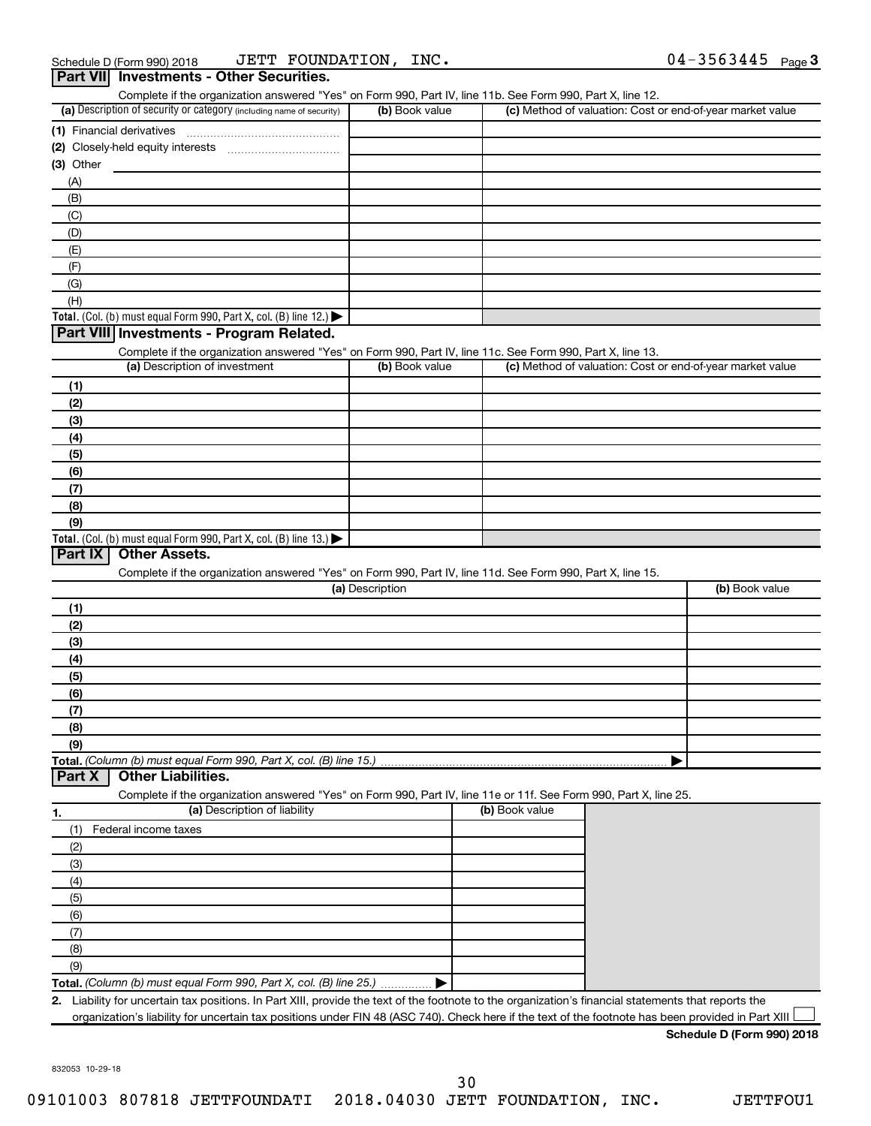|             |                                                                                                                   |                 | Complete if the organization answered "Yes" on Form 990, Part IV, line 11b. See Form 990, Part X, line 12. |                                                           |
|-------------|-------------------------------------------------------------------------------------------------------------------|-----------------|------------------------------------------------------------------------------------------------------------|-----------------------------------------------------------|
|             | (a) Description of security or category (including name of security)                                              | (b) Book value  |                                                                                                            | (c) Method of valuation: Cost or end-of-year market value |
|             | (1) Financial derivatives                                                                                         |                 |                                                                                                            |                                                           |
|             |                                                                                                                   |                 |                                                                                                            |                                                           |
| $(3)$ Other |                                                                                                                   |                 |                                                                                                            |                                                           |
| (A)         |                                                                                                                   |                 |                                                                                                            |                                                           |
| (B)         |                                                                                                                   |                 |                                                                                                            |                                                           |
| (C)         |                                                                                                                   |                 |                                                                                                            |                                                           |
| (D)         |                                                                                                                   |                 |                                                                                                            |                                                           |
| (E)         |                                                                                                                   |                 |                                                                                                            |                                                           |
| (F)         |                                                                                                                   |                 |                                                                                                            |                                                           |
| (G)         |                                                                                                                   |                 |                                                                                                            |                                                           |
| (H)         |                                                                                                                   |                 |                                                                                                            |                                                           |
|             | Total. (Col. (b) must equal Form 990, Part X, col. (B) line 12.) $\blacktriangleright$                            |                 |                                                                                                            |                                                           |
|             | Part VIII Investments - Program Related.                                                                          |                 |                                                                                                            |                                                           |
|             | Complete if the organization answered "Yes" on Form 990, Part IV, line 11c. See Form 990, Part X, line 13.        |                 |                                                                                                            |                                                           |
|             | (a) Description of investment                                                                                     | (b) Book value  |                                                                                                            | (c) Method of valuation: Cost or end-of-year market value |
| (1)         |                                                                                                                   |                 |                                                                                                            |                                                           |
| (2)         |                                                                                                                   |                 |                                                                                                            |                                                           |
| (3)         |                                                                                                                   |                 |                                                                                                            |                                                           |
| (4)         |                                                                                                                   |                 |                                                                                                            |                                                           |
| (5)         |                                                                                                                   |                 |                                                                                                            |                                                           |
| (6)         |                                                                                                                   |                 |                                                                                                            |                                                           |
| (7)         |                                                                                                                   |                 |                                                                                                            |                                                           |
| (8)         |                                                                                                                   |                 |                                                                                                            |                                                           |
| (9)         |                                                                                                                   |                 |                                                                                                            |                                                           |
|             | Total. (Col. (b) must equal Form 990, Part X, col. (B) line 13.) $\blacktriangleright$                            |                 |                                                                                                            |                                                           |
| Part IX     | <b>Other Assets.</b>                                                                                              |                 |                                                                                                            |                                                           |
|             | Complete if the organization answered "Yes" on Form 990, Part IV, line 11d. See Form 990, Part X, line 15.        |                 |                                                                                                            |                                                           |
|             |                                                                                                                   | (a) Description |                                                                                                            | (b) Book value                                            |
| (1)         |                                                                                                                   |                 |                                                                                                            |                                                           |
| (2)         |                                                                                                                   |                 |                                                                                                            |                                                           |
| (3)         |                                                                                                                   |                 |                                                                                                            |                                                           |
|             |                                                                                                                   |                 |                                                                                                            |                                                           |
| (4)         |                                                                                                                   |                 |                                                                                                            |                                                           |
| (5)         |                                                                                                                   |                 |                                                                                                            |                                                           |
| (6)         |                                                                                                                   |                 |                                                                                                            |                                                           |
| (7)         |                                                                                                                   |                 |                                                                                                            |                                                           |
| (8)         |                                                                                                                   |                 |                                                                                                            |                                                           |
| (9)         |                                                                                                                   |                 |                                                                                                            |                                                           |
|             | Total. (Column (b) must equal Form 990, Part X, col. (B) line 15.)                                                |                 |                                                                                                            |                                                           |
| Part X      | <b>Other Liabilities.</b>                                                                                         |                 |                                                                                                            |                                                           |
|             | Complete if the organization answered "Yes" on Form 990, Part IV, line 11e or 11f. See Form 990, Part X, line 25. |                 |                                                                                                            |                                                           |
|             | (a) Description of liability                                                                                      |                 | (b) Book value                                                                                             |                                                           |
| (1)         | Federal income taxes                                                                                              |                 |                                                                                                            |                                                           |
| (2)         |                                                                                                                   |                 |                                                                                                            |                                                           |
| (3)         |                                                                                                                   |                 |                                                                                                            |                                                           |
| (4)         |                                                                                                                   |                 |                                                                                                            |                                                           |
|             |                                                                                                                   |                 |                                                                                                            |                                                           |
| 1.<br>(5)   |                                                                                                                   |                 |                                                                                                            |                                                           |
| (6)         |                                                                                                                   |                 |                                                                                                            |                                                           |
| (7)         |                                                                                                                   |                 |                                                                                                            |                                                           |
| (8)         |                                                                                                                   |                 |                                                                                                            |                                                           |
| (9)         | Total. (Column (b) must equal Form 990, Part X, col. (B) line 25.)                                                |                 |                                                                                                            |                                                           |

30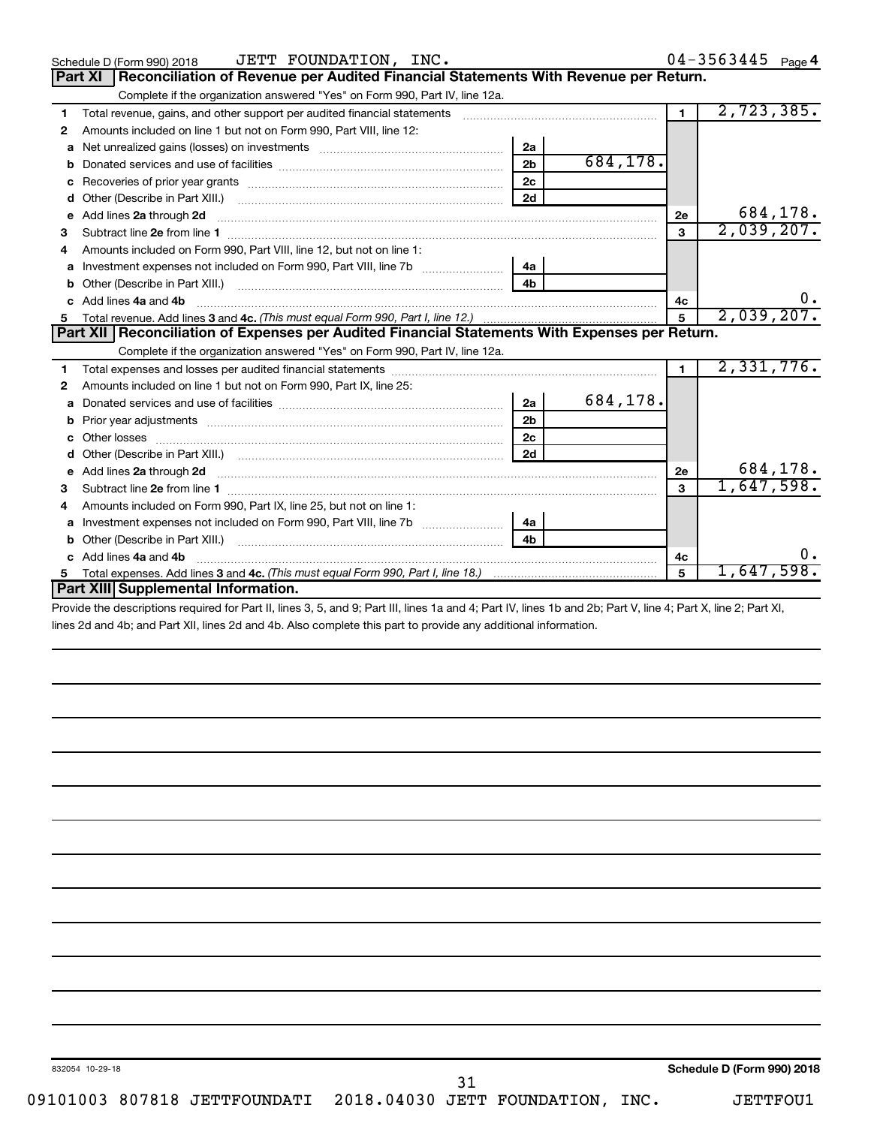|                                                                                                                                                                                                                                          |                |          |                | $04 - 3563445$ Page 4 |
|------------------------------------------------------------------------------------------------------------------------------------------------------------------------------------------------------------------------------------------|----------------|----------|----------------|-----------------------|
| Reconciliation of Revenue per Audited Financial Statements With Revenue per Return.<br><b>Part XI</b>                                                                                                                                    |                |          |                |                       |
| Complete if the organization answered "Yes" on Form 990, Part IV, line 12a.                                                                                                                                                              |                |          |                |                       |
| Total revenue, gains, and other support per audited financial statements [[[[[[[[[[[[[[[[[[[[[[[[[]]]]]]]]]]]<br>1                                                                                                                       |                |          | $\mathbf{1}$   | 2,723,385.            |
| Amounts included on line 1 but not on Form 990, Part VIII, line 12:<br>2                                                                                                                                                                 |                |          |                |                       |
| a                                                                                                                                                                                                                                        | 2a             |          |                |                       |
| b                                                                                                                                                                                                                                        | 2 <sub>b</sub> | 684,178. |                |                       |
| с                                                                                                                                                                                                                                        | 2 <sub>c</sub> |          |                |                       |
| d                                                                                                                                                                                                                                        | 2d             |          |                |                       |
| Add lines 2a through 2d<br>e                                                                                                                                                                                                             |                |          | 2e             | 684,178.              |
| 3                                                                                                                                                                                                                                        |                |          | 3              | 2,039,207.            |
| Amounts included on Form 990, Part VIII, line 12, but not on line 1:<br>4                                                                                                                                                                |                |          |                |                       |
| a                                                                                                                                                                                                                                        | 4a             |          |                |                       |
| b                                                                                                                                                                                                                                        | 4 <sub>h</sub> |          |                |                       |
| Add lines 4a and 4b<br>c.                                                                                                                                                                                                                |                |          | 4c             | 0.                    |
|                                                                                                                                                                                                                                          |                |          | $\mathbf{5}$   | 2,039,207.            |
| Part XII   Reconciliation of Expenses per Audited Financial Statements With Expenses per Return.                                                                                                                                         |                |          |                |                       |
| Complete if the organization answered "Yes" on Form 990, Part IV, line 12a.                                                                                                                                                              |                |          |                |                       |
| 1                                                                                                                                                                                                                                        |                |          | $\blacksquare$ | 2,331,776.            |
| Amounts included on line 1 but not on Form 990, Part IX, line 25:<br>2                                                                                                                                                                   |                |          |                |                       |
|                                                                                                                                                                                                                                          |                |          |                |                       |
| a                                                                                                                                                                                                                                        | 2a             | 684,178. |                |                       |
| Prior year adjustments [ www.communications of the contract of the contract of the contract of the contract of<br>b                                                                                                                      | 2 <sub>b</sub> |          |                |                       |
| Other losses                                                                                                                                                                                                                             | 2c             |          |                |                       |
| d                                                                                                                                                                                                                                        | 2d             |          |                |                       |
| Add lines 2a through 2d <b>contained a contained a contained a contained a</b> contained a contact the contact of the contact of the contact of the contact of the contact of the contact of the contact of the contact of the cont<br>е |                |          | 2e             | 684,178.              |
| Subtract line 2e from line 1 <b>manufacture in the contract of the 2e</b> from line 1<br>з                                                                                                                                               |                |          | 3              | 1,647,598.            |
| Amounts included on Form 990, Part IX, line 25, but not on line 1:                                                                                                                                                                       |                |          |                |                       |
| Investment expenses not included on Form 990, Part VIII, line 7b [100] [100] [100] [100] [100] [100] [100] [10<br>a                                                                                                                      | 4a             |          |                |                       |
| b                                                                                                                                                                                                                                        | 4 <sub>b</sub> |          |                |                       |
| Add lines 4a and 4b<br>C.                                                                                                                                                                                                                |                |          | 4c             | ο.                    |
| 5<br>Part XIII Supplemental Information.                                                                                                                                                                                                 |                |          | 5              | 1,647,598.            |

Provide the descriptions required for Part II, lines 3, 5, and 9; Part III, lines 1a and 4; Part IV, lines 1b and 2b; Part V, line 4; Part X, line 2; Part XI, lines 2d and 4b; and Part XII, lines 2d and 4b. Also complete this part to provide any additional information.

31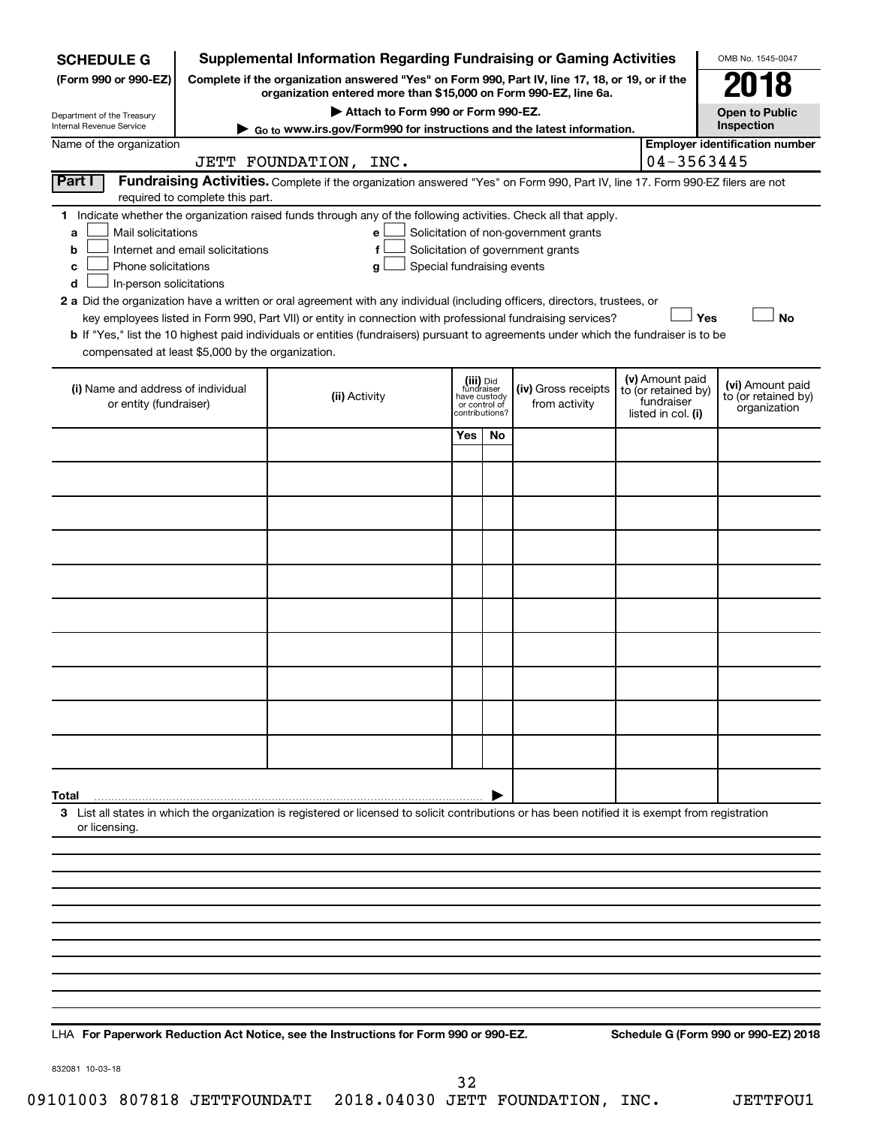| <b>SCHEDULE G</b>                                                                                                                             |                                                                                                                                                                     | <b>Supplemental Information Regarding Fundraising or Gaming Activities</b>                                                                                                                                                                                                                                                                                                                                                                                                                                                                         |                                                                            |    |                                                                            |  |                                                                            | OMB No. 1545-0047                                       |  |  |  |
|-----------------------------------------------------------------------------------------------------------------------------------------------|---------------------------------------------------------------------------------------------------------------------------------------------------------------------|----------------------------------------------------------------------------------------------------------------------------------------------------------------------------------------------------------------------------------------------------------------------------------------------------------------------------------------------------------------------------------------------------------------------------------------------------------------------------------------------------------------------------------------------------|----------------------------------------------------------------------------|----|----------------------------------------------------------------------------|--|----------------------------------------------------------------------------|---------------------------------------------------------|--|--|--|
| (Form 990 or 990-EZ)                                                                                                                          | Complete if the organization answered "Yes" on Form 990, Part IV, line 17, 18, or 19, or if the<br>organization entered more than \$15,000 on Form 990-EZ, line 6a. |                                                                                                                                                                                                                                                                                                                                                                                                                                                                                                                                                    |                                                                            |    |                                                                            |  |                                                                            |                                                         |  |  |  |
|                                                                                                                                               |                                                                                                                                                                     | Attach to Form 990 or Form 990-EZ.                                                                                                                                                                                                                                                                                                                                                                                                                                                                                                                 |                                                                            |    |                                                                            |  |                                                                            | <b>Open to Public</b>                                   |  |  |  |
| Department of the Treasury<br>Internal Revenue Service                                                                                        | Inspection<br>Go to www.irs.gov/Form990 for instructions and the latest information.                                                                                |                                                                                                                                                                                                                                                                                                                                                                                                                                                                                                                                                    |                                                                            |    |                                                                            |  |                                                                            |                                                         |  |  |  |
| Name of the organization                                                                                                                      |                                                                                                                                                                     | JETT FOUNDATION, INC.                                                                                                                                                                                                                                                                                                                                                                                                                                                                                                                              |                                                                            |    |                                                                            |  | 04-3563445                                                                 | <b>Employer identification number</b>                   |  |  |  |
| Part I                                                                                                                                        | required to complete this part.                                                                                                                                     | Fundraising Activities. Complete if the organization answered "Yes" on Form 990, Part IV, line 17. Form 990-EZ filers are not                                                                                                                                                                                                                                                                                                                                                                                                                      |                                                                            |    |                                                                            |  |                                                                            |                                                         |  |  |  |
| Mail solicitations<br>a<br>b<br>Phone solicitations<br>с<br>In-person solicitations<br>d<br>compensated at least \$5,000 by the organization. | Internet and email solicitations                                                                                                                                    | 1 Indicate whether the organization raised funds through any of the following activities. Check all that apply.<br>е<br>f<br>Special fundraising events<br>g<br>2 a Did the organization have a written or oral agreement with any individual (including officers, directors, trustees, or<br>key employees listed in Form 990, Part VII) or entity in connection with professional fundraising services?<br>b If "Yes," list the 10 highest paid individuals or entities (fundraisers) pursuant to agreements under which the fundraiser is to be |                                                                            |    | Solicitation of non-government grants<br>Solicitation of government grants |  | Yes                                                                        | No                                                      |  |  |  |
| (i) Name and address of individual<br>or entity (fundraiser)                                                                                  |                                                                                                                                                                     | (ii) Activity                                                                                                                                                                                                                                                                                                                                                                                                                                                                                                                                      | (iii) Did<br>fundraiser<br>have custody<br>or control of<br>contributions? |    | (iv) Gross receipts<br>from activity                                       |  | (v) Amount paid<br>to (or retained by)<br>fundraiser<br>listed in col. (i) | (vi) Amount paid<br>to (or retained by)<br>organization |  |  |  |
|                                                                                                                                               |                                                                                                                                                                     |                                                                                                                                                                                                                                                                                                                                                                                                                                                                                                                                                    | Yes                                                                        | No |                                                                            |  |                                                                            |                                                         |  |  |  |
|                                                                                                                                               |                                                                                                                                                                     |                                                                                                                                                                                                                                                                                                                                                                                                                                                                                                                                                    |                                                                            |    |                                                                            |  |                                                                            |                                                         |  |  |  |
|                                                                                                                                               |                                                                                                                                                                     |                                                                                                                                                                                                                                                                                                                                                                                                                                                                                                                                                    |                                                                            |    |                                                                            |  |                                                                            |                                                         |  |  |  |
|                                                                                                                                               |                                                                                                                                                                     |                                                                                                                                                                                                                                                                                                                                                                                                                                                                                                                                                    |                                                                            |    |                                                                            |  |                                                                            |                                                         |  |  |  |
|                                                                                                                                               |                                                                                                                                                                     |                                                                                                                                                                                                                                                                                                                                                                                                                                                                                                                                                    |                                                                            |    |                                                                            |  |                                                                            |                                                         |  |  |  |
|                                                                                                                                               |                                                                                                                                                                     |                                                                                                                                                                                                                                                                                                                                                                                                                                                                                                                                                    |                                                                            |    |                                                                            |  |                                                                            |                                                         |  |  |  |
|                                                                                                                                               |                                                                                                                                                                     |                                                                                                                                                                                                                                                                                                                                                                                                                                                                                                                                                    |                                                                            |    |                                                                            |  |                                                                            |                                                         |  |  |  |
|                                                                                                                                               |                                                                                                                                                                     |                                                                                                                                                                                                                                                                                                                                                                                                                                                                                                                                                    |                                                                            |    |                                                                            |  |                                                                            |                                                         |  |  |  |
|                                                                                                                                               |                                                                                                                                                                     |                                                                                                                                                                                                                                                                                                                                                                                                                                                                                                                                                    |                                                                            |    |                                                                            |  |                                                                            |                                                         |  |  |  |
|                                                                                                                                               |                                                                                                                                                                     |                                                                                                                                                                                                                                                                                                                                                                                                                                                                                                                                                    |                                                                            |    |                                                                            |  |                                                                            |                                                         |  |  |  |
|                                                                                                                                               |                                                                                                                                                                     |                                                                                                                                                                                                                                                                                                                                                                                                                                                                                                                                                    |                                                                            |    |                                                                            |  |                                                                            |                                                         |  |  |  |
| Total<br>or licensing.                                                                                                                        |                                                                                                                                                                     | 3 List all states in which the organization is registered or licensed to solicit contributions or has been notified it is exempt from registration                                                                                                                                                                                                                                                                                                                                                                                                 |                                                                            |    |                                                                            |  |                                                                            |                                                         |  |  |  |
|                                                                                                                                               |                                                                                                                                                                     |                                                                                                                                                                                                                                                                                                                                                                                                                                                                                                                                                    |                                                                            |    |                                                                            |  |                                                                            |                                                         |  |  |  |
|                                                                                                                                               |                                                                                                                                                                     |                                                                                                                                                                                                                                                                                                                                                                                                                                                                                                                                                    |                                                                            |    |                                                                            |  |                                                                            |                                                         |  |  |  |
|                                                                                                                                               |                                                                                                                                                                     |                                                                                                                                                                                                                                                                                                                                                                                                                                                                                                                                                    |                                                                            |    |                                                                            |  |                                                                            |                                                         |  |  |  |
|                                                                                                                                               |                                                                                                                                                                     |                                                                                                                                                                                                                                                                                                                                                                                                                                                                                                                                                    |                                                                            |    |                                                                            |  |                                                                            |                                                         |  |  |  |
|                                                                                                                                               |                                                                                                                                                                     |                                                                                                                                                                                                                                                                                                                                                                                                                                                                                                                                                    |                                                                            |    |                                                                            |  |                                                                            |                                                         |  |  |  |
|                                                                                                                                               |                                                                                                                                                                     |                                                                                                                                                                                                                                                                                                                                                                                                                                                                                                                                                    |                                                                            |    |                                                                            |  |                                                                            |                                                         |  |  |  |
|                                                                                                                                               |                                                                                                                                                                     |                                                                                                                                                                                                                                                                                                                                                                                                                                                                                                                                                    |                                                                            |    |                                                                            |  |                                                                            |                                                         |  |  |  |
|                                                                                                                                               |                                                                                                                                                                     |                                                                                                                                                                                                                                                                                                                                                                                                                                                                                                                                                    |                                                                            |    |                                                                            |  |                                                                            |                                                         |  |  |  |

**For Paperwork Reduction Act Notice, see the Instructions for Form 990 or 990-EZ. Schedule G (Form 990 or 990-EZ) 2018** LHA

832081 10-03-18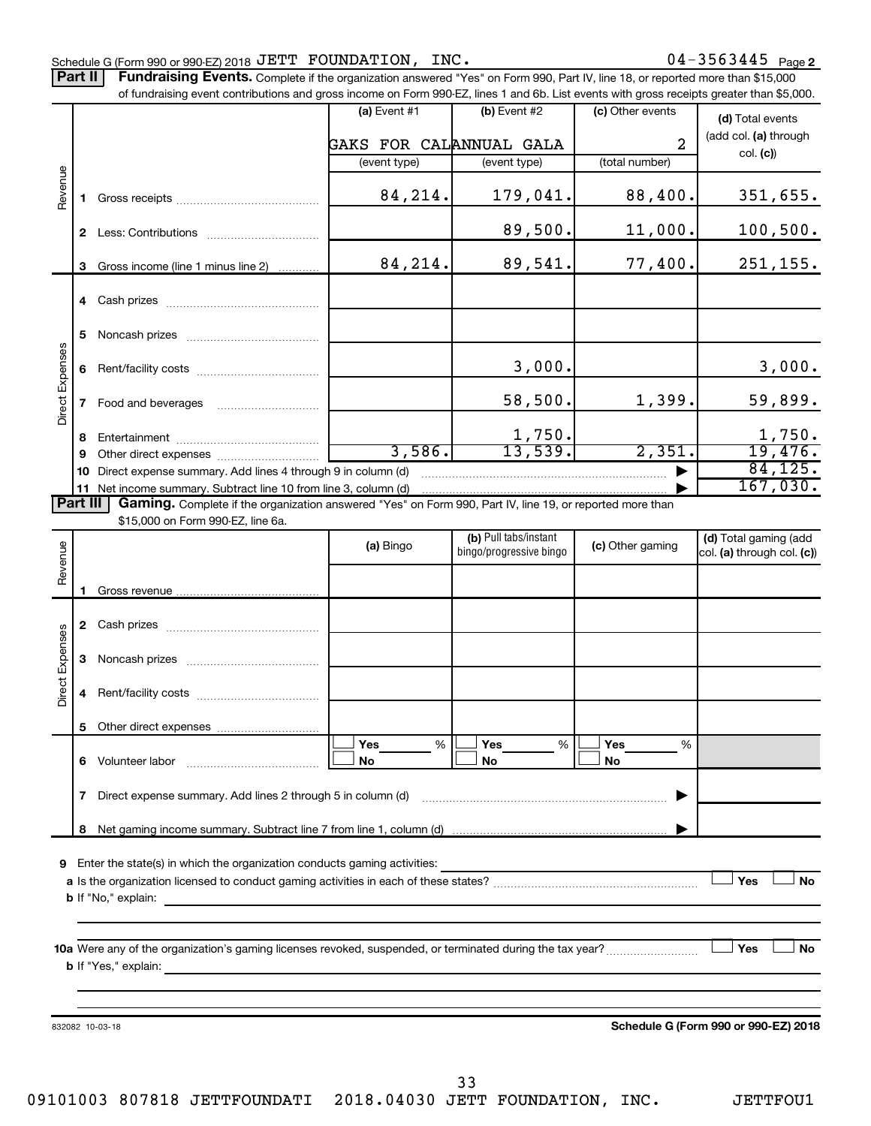Part II | Fundraising Events. Complete if the organization answered "Yes" on Form 990, Part IV, line 18, or reported more than \$15,000 of fundraising event contributions and gross income on Form 990-EZ, lines 1 and 6b. List events with gross receipts greater than \$5,000.

|                        |    | ovent contributions and gross income on Form over LL, illies it and ob. List events with gross receipts grouter than \$0,000.                                                                                                             |                         |                         |                  |                                      |
|------------------------|----|-------------------------------------------------------------------------------------------------------------------------------------------------------------------------------------------------------------------------------------------|-------------------------|-------------------------|------------------|--------------------------------------|
|                        |    |                                                                                                                                                                                                                                           | $(a)$ Event #1          | $(b)$ Event #2          | (c) Other events | (d) Total events                     |
|                        |    |                                                                                                                                                                                                                                           |                         |                         |                  | (add col. (a) through                |
|                        |    |                                                                                                                                                                                                                                           | GAKS FOR CALANNUAL GALA |                         | $\overline{2}$   | col. (c)                             |
|                        |    |                                                                                                                                                                                                                                           | (event type)            | (event type)            | (total number)   |                                      |
| Revenue                |    |                                                                                                                                                                                                                                           |                         |                         |                  |                                      |
|                        |    |                                                                                                                                                                                                                                           | 84,214.                 | 179,041.                | 88,400.          | 351,655.                             |
|                        |    |                                                                                                                                                                                                                                           |                         |                         |                  |                                      |
|                        |    |                                                                                                                                                                                                                                           |                         | 89,500.                 | 11,000.          | 100,500.                             |
|                        |    |                                                                                                                                                                                                                                           |                         |                         |                  |                                      |
|                        |    | 3 Gross income (line 1 minus line 2)                                                                                                                                                                                                      | 84,214.                 | 89,541.                 | 77,400.          | 251, 155.                            |
|                        |    |                                                                                                                                                                                                                                           |                         |                         |                  |                                      |
|                        |    |                                                                                                                                                                                                                                           |                         |                         |                  |                                      |
|                        |    |                                                                                                                                                                                                                                           |                         |                         |                  |                                      |
|                        | 5. |                                                                                                                                                                                                                                           |                         |                         |                  |                                      |
| Direct Expenses        |    |                                                                                                                                                                                                                                           |                         |                         |                  |                                      |
|                        | 6  |                                                                                                                                                                                                                                           |                         | 3,000.                  |                  | 3,000.                               |
|                        |    |                                                                                                                                                                                                                                           |                         |                         |                  |                                      |
|                        |    | 7 Food and beverages                                                                                                                                                                                                                      |                         | 58,500.                 | 1,399.           | 59,899.                              |
|                        |    |                                                                                                                                                                                                                                           |                         | 1,750.                  |                  |                                      |
|                        | 8  |                                                                                                                                                                                                                                           | 3,586.                  | 13,539.                 | 2,351.           | $\frac{1,750}{19,476}$               |
|                        | 9  |                                                                                                                                                                                                                                           |                         |                         |                  | 84, 125.                             |
|                        | 10 | Direct expense summary. Add lines 4 through 9 in column (d)                                                                                                                                                                               |                         |                         |                  | 167,030.                             |
| <b>Part III</b>        |    | 11 Net income summary. Subtract line 10 from line 3, column (d)                                                                                                                                                                           |                         |                         |                  |                                      |
|                        |    | Gaming. Complete if the organization answered "Yes" on Form 990, Part IV, line 19, or reported more than<br>\$15,000 on Form 990-EZ, line 6a.                                                                                             |                         |                         |                  |                                      |
|                        |    |                                                                                                                                                                                                                                           |                         | (b) Pull tabs/instant   |                  | (d) Total gaming (add                |
|                        |    |                                                                                                                                                                                                                                           | (a) Bingo               | bingo/progressive bingo | (c) Other gaming | col. (a) through col. (c))           |
| Revenue                |    |                                                                                                                                                                                                                                           |                         |                         |                  |                                      |
|                        |    |                                                                                                                                                                                                                                           |                         |                         |                  |                                      |
|                        |    |                                                                                                                                                                                                                                           |                         |                         |                  |                                      |
|                        |    |                                                                                                                                                                                                                                           |                         |                         |                  |                                      |
|                        |    |                                                                                                                                                                                                                                           |                         |                         |                  |                                      |
| <b>Direct Expenses</b> |    |                                                                                                                                                                                                                                           |                         |                         |                  |                                      |
|                        |    |                                                                                                                                                                                                                                           |                         |                         |                  |                                      |
|                        |    |                                                                                                                                                                                                                                           |                         |                         |                  |                                      |
|                        |    |                                                                                                                                                                                                                                           |                         |                         |                  |                                      |
|                        |    |                                                                                                                                                                                                                                           |                         |                         |                  |                                      |
|                        |    |                                                                                                                                                                                                                                           | <b>Yes</b><br>%         | Yes<br>%                | Yes<br>%         |                                      |
|                        | 6  | Volunteer labor van die verschiedenische verschiedenische verschiedenische verschiedenische verschiedenische v                                                                                                                            | No                      | No                      | No               |                                      |
|                        |    |                                                                                                                                                                                                                                           |                         |                         |                  |                                      |
|                        | 7  | Direct expense summary. Add lines 2 through 5 in column (d)                                                                                                                                                                               |                         |                         |                  |                                      |
|                        |    |                                                                                                                                                                                                                                           |                         |                         |                  |                                      |
|                        | 8  |                                                                                                                                                                                                                                           |                         |                         |                  |                                      |
|                        |    |                                                                                                                                                                                                                                           |                         |                         |                  |                                      |
| 9                      |    | Enter the state(s) in which the organization conducts gaming activities:                                                                                                                                                                  |                         |                         |                  |                                      |
|                        |    |                                                                                                                                                                                                                                           |                         |                         |                  | Yes<br>No                            |
|                        |    | <b>b</b> If "No," explain:                                                                                                                                                                                                                |                         |                         |                  |                                      |
|                        |    |                                                                                                                                                                                                                                           |                         |                         |                  |                                      |
|                        |    |                                                                                                                                                                                                                                           |                         |                         |                  |                                      |
|                        |    |                                                                                                                                                                                                                                           |                         |                         |                  | <b>」Yes</b><br><b>No</b>             |
|                        |    | <b>b</b> If "Yes," explain: <b>contract to the explaint of the explanation of the explanation of the explanation of the explanation of the explanation of the explanation of the explanation of the explanation of the explanation of</b> |                         |                         |                  |                                      |
|                        |    |                                                                                                                                                                                                                                           |                         |                         |                  |                                      |
|                        |    |                                                                                                                                                                                                                                           |                         |                         |                  |                                      |
|                        |    | 832082 10-03-18                                                                                                                                                                                                                           |                         |                         |                  | Schedule G (Form 990 or 990-EZ) 2018 |
|                        |    |                                                                                                                                                                                                                                           |                         |                         |                  |                                      |
|                        |    |                                                                                                                                                                                                                                           |                         |                         |                  |                                      |
|                        |    |                                                                                                                                                                                                                                           |                         |                         |                  |                                      |
|                        |    |                                                                                                                                                                                                                                           |                         | 33                      |                  |                                      |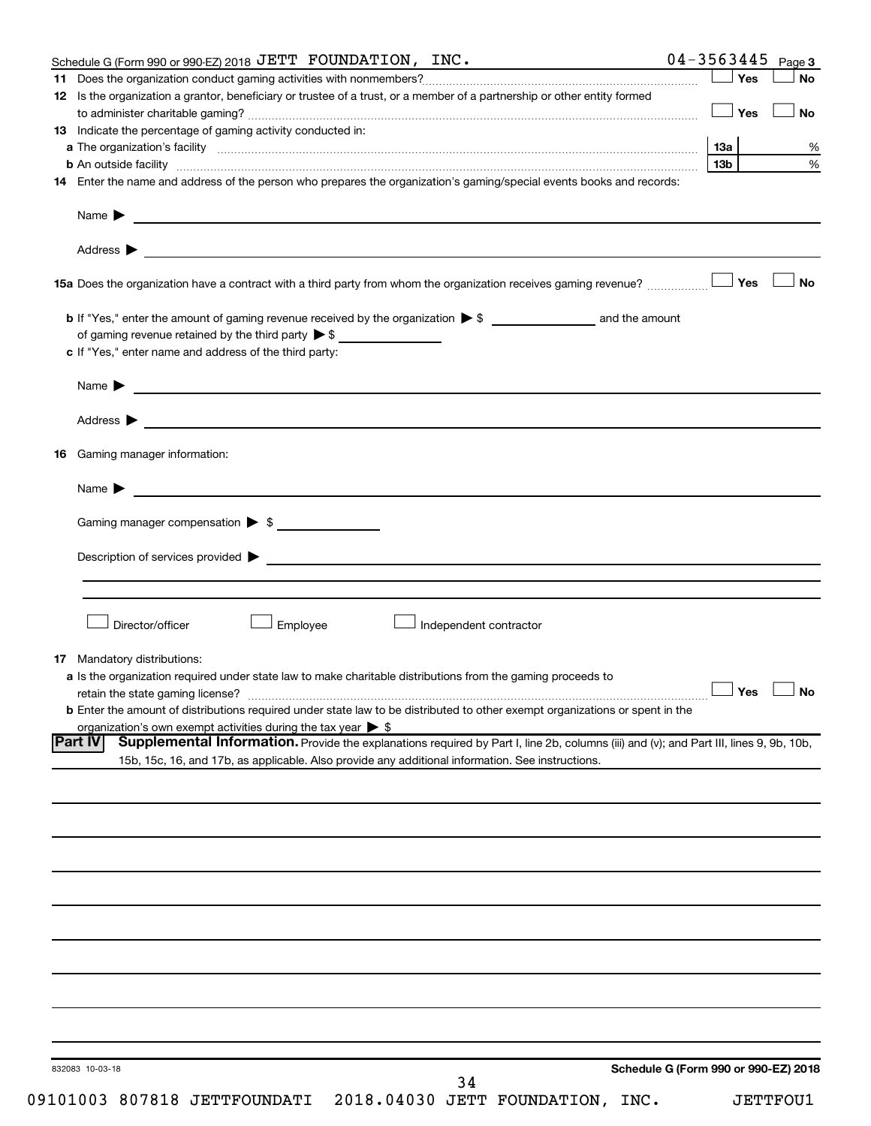| Schedule G (Form 990 or 990-EZ) 2018 JETT FOUNDATION, INC.                                                                                                    |                                      | $04 - 3563445$ Page 3 |                      |
|---------------------------------------------------------------------------------------------------------------------------------------------------------------|--------------------------------------|-----------------------|----------------------|
|                                                                                                                                                               |                                      | Yes                   | No                   |
| 12 Is the organization a grantor, beneficiary or trustee of a trust, or a member of a partnership or other entity formed                                      |                                      |                       |                      |
|                                                                                                                                                               |                                      | Yes                   | <b>No</b>            |
| 13 Indicate the percentage of gaming activity conducted in:                                                                                                   |                                      |                       |                      |
|                                                                                                                                                               |                                      | 1За                   | %                    |
| <b>b</b> An outside facility <i>www.communicality www.communicality.communicality www.communicality www.communicality.communicality www.communicality.com</i> |                                      | 13 <sub>b</sub>       | %                    |
| 14 Enter the name and address of the person who prepares the organization's gaming/special events books and records:                                          |                                      |                       |                      |
| Name $\blacktriangleright$<br><u> 1989 - Johann Harry Harry Harry Harry Harry Harry Harry Harry Harry Harry Harry Harry Harry Harry Harry Harry</u>           |                                      |                       |                      |
|                                                                                                                                                               |                                      |                       |                      |
|                                                                                                                                                               |                                      |                       |                      |
| 15a Does the organization have a contract with a third party from whom the organization receives gaming revenue?                                              |                                      | Yes                   | <b>No</b>            |
|                                                                                                                                                               |                                      |                       |                      |
| of gaming revenue retained by the third party $\triangleright$ \$                                                                                             |                                      |                       |                      |
| c If "Yes," enter name and address of the third party:                                                                                                        |                                      |                       |                      |
| <u>and the contract of the contract of the contract of the contract of the contract of the contract of the contract of</u><br>Name $\blacktriangleright$      |                                      |                       |                      |
|                                                                                                                                                               |                                      |                       |                      |
|                                                                                                                                                               |                                      |                       |                      |
| Gaming manager information:<br>16                                                                                                                             |                                      |                       |                      |
| <u>and the contract of the contract of the contract of the contract of the contract of the contract of the contract of</u><br>Name $\blacktriangleright$      |                                      |                       |                      |
| Gaming manager compensation > \$                                                                                                                              |                                      |                       |                      |
|                                                                                                                                                               |                                      |                       |                      |
|                                                                                                                                                               |                                      |                       |                      |
|                                                                                                                                                               |                                      |                       |                      |
| Director/officer                                                                                                                                              |                                      |                       |                      |
| Employee<br>Independent contractor                                                                                                                            |                                      |                       |                      |
| <b>17</b> Mandatory distributions:                                                                                                                            |                                      |                       |                      |
| a Is the organization required under state law to make charitable distributions from the gaming proceeds to                                                   |                                      |                       |                      |
| retain the state gaming license?                                                                                                                              |                                      |                       | $\Box$ Yes $\Box$ No |
| <b>b</b> Enter the amount of distributions required under state law to be distributed to other exempt organizations or spent in the                           |                                      |                       |                      |
| organization's own exempt activities during the tax year $\triangleright$ \$                                                                                  |                                      |                       |                      |
| Supplemental Information. Provide the explanations required by Part I, line 2b, columns (iii) and (v); and Part III, lines 9, 9b, 10b,<br><b>Part IV</b>      |                                      |                       |                      |
| 15b, 15c, 16, and 17b, as applicable. Also provide any additional information. See instructions.                                                              |                                      |                       |                      |
|                                                                                                                                                               |                                      |                       |                      |
|                                                                                                                                                               |                                      |                       |                      |
|                                                                                                                                                               |                                      |                       |                      |
|                                                                                                                                                               |                                      |                       |                      |
|                                                                                                                                                               |                                      |                       |                      |
|                                                                                                                                                               |                                      |                       |                      |
|                                                                                                                                                               |                                      |                       |                      |
|                                                                                                                                                               |                                      |                       |                      |
|                                                                                                                                                               |                                      |                       |                      |
|                                                                                                                                                               |                                      |                       |                      |
|                                                                                                                                                               |                                      |                       |                      |
|                                                                                                                                                               |                                      |                       |                      |
|                                                                                                                                                               |                                      |                       |                      |
| 832083 10-03-18<br>34                                                                                                                                         | Schedule G (Form 990 or 990-EZ) 2018 |                       |                      |
|                                                                                                                                                               |                                      |                       |                      |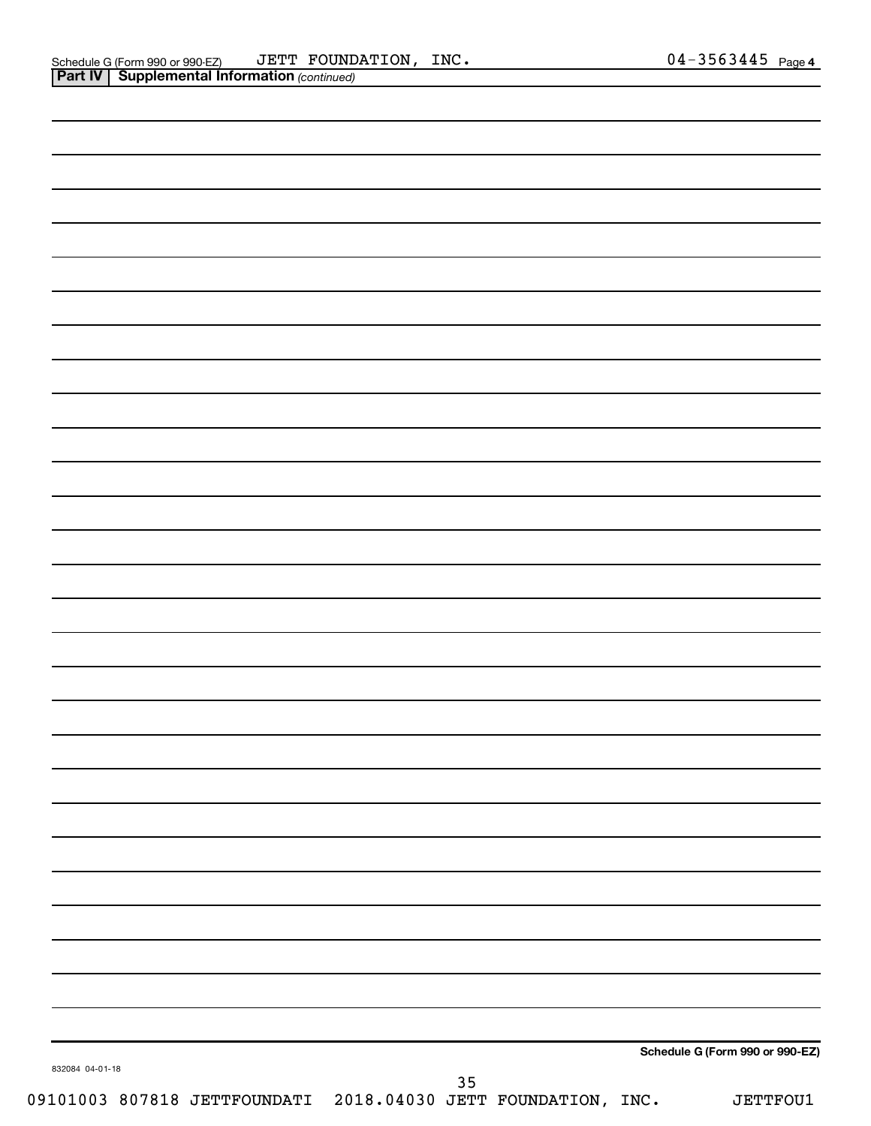|                 |        | Schedule G (Form 990 or 990-EZ) |
|-----------------|--------|---------------------------------|
| 832084 04-01-18 | $35\,$ |                                 |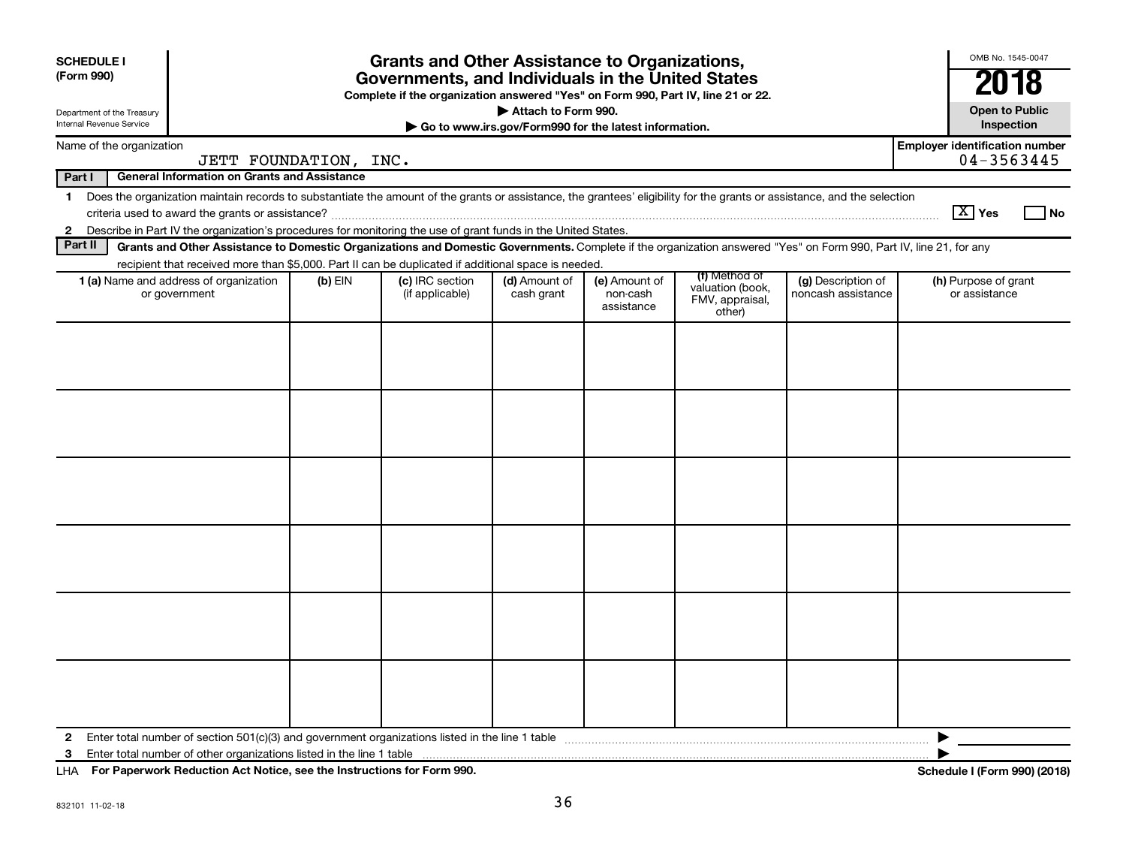| <b>Grants and Other Assistance to Organizations,</b><br><b>SCHEDULE I</b><br>(Form 990)<br>Governments, and Individuals in the United States<br>Complete if the organization answered "Yes" on Form 990, Part IV, line 21 or 22.<br>Attach to Form 990.<br>Department of the Treasury<br><b>Internal Revenue Service</b><br>Go to www.irs.gov/Form990 for the latest information. |                                                                                                                                                                          |           |                                    |                             |                                         |                                                                |                                          |                                       |      |
|-----------------------------------------------------------------------------------------------------------------------------------------------------------------------------------------------------------------------------------------------------------------------------------------------------------------------------------------------------------------------------------|--------------------------------------------------------------------------------------------------------------------------------------------------------------------------|-----------|------------------------------------|-----------------------------|-----------------------------------------|----------------------------------------------------------------|------------------------------------------|---------------------------------------|------|
| Name of the organization                                                                                                                                                                                                                                                                                                                                                          |                                                                                                                                                                          |           |                                    |                             |                                         |                                                                |                                          | <b>Employer identification number</b> |      |
|                                                                                                                                                                                                                                                                                                                                                                                   | JETT FOUNDATION, INC.                                                                                                                                                    |           |                                    |                             |                                         |                                                                |                                          | 04-3563445                            |      |
| Part I                                                                                                                                                                                                                                                                                                                                                                            | <b>General Information on Grants and Assistance</b>                                                                                                                      |           |                                    |                             |                                         |                                                                |                                          |                                       |      |
| $\mathbf 1$                                                                                                                                                                                                                                                                                                                                                                       | Does the organization maintain records to substantiate the amount of the grants or assistance, the grantees' eligibility for the grants or assistance, and the selection |           |                                    |                             |                                         |                                                                |                                          | $\sqrt{X}$ Yes                        | l No |
| $\mathbf{2}$                                                                                                                                                                                                                                                                                                                                                                      | Describe in Part IV the organization's procedures for monitoring the use of grant funds in the United States.                                                            |           |                                    |                             |                                         |                                                                |                                          |                                       |      |
| Part II                                                                                                                                                                                                                                                                                                                                                                           | Grants and Other Assistance to Domestic Organizations and Domestic Governments. Complete if the organization answered "Yes" on Form 990, Part IV, line 21, for any       |           |                                    |                             |                                         |                                                                |                                          |                                       |      |
|                                                                                                                                                                                                                                                                                                                                                                                   | recipient that received more than \$5,000. Part II can be duplicated if additional space is needed.                                                                      |           |                                    |                             |                                         |                                                                |                                          |                                       |      |
|                                                                                                                                                                                                                                                                                                                                                                                   | 1 (a) Name and address of organization<br>or government                                                                                                                  | $(b)$ EIN | (c) IRC section<br>(if applicable) | (d) Amount of<br>cash grant | (e) Amount of<br>non-cash<br>assistance | (f) Method of<br>valuation (book,<br>FMV, appraisal,<br>other) | (g) Description of<br>noncash assistance | (h) Purpose of grant<br>or assistance |      |
|                                                                                                                                                                                                                                                                                                                                                                                   |                                                                                                                                                                          |           |                                    |                             |                                         |                                                                |                                          |                                       |      |
| 2                                                                                                                                                                                                                                                                                                                                                                                 |                                                                                                                                                                          |           |                                    |                             |                                         |                                                                |                                          | ▶                                     |      |

**For Paperwork Reduction Act Notice, see the Instructions for Form 990. Schedule I (Form 990) (2018)** LHA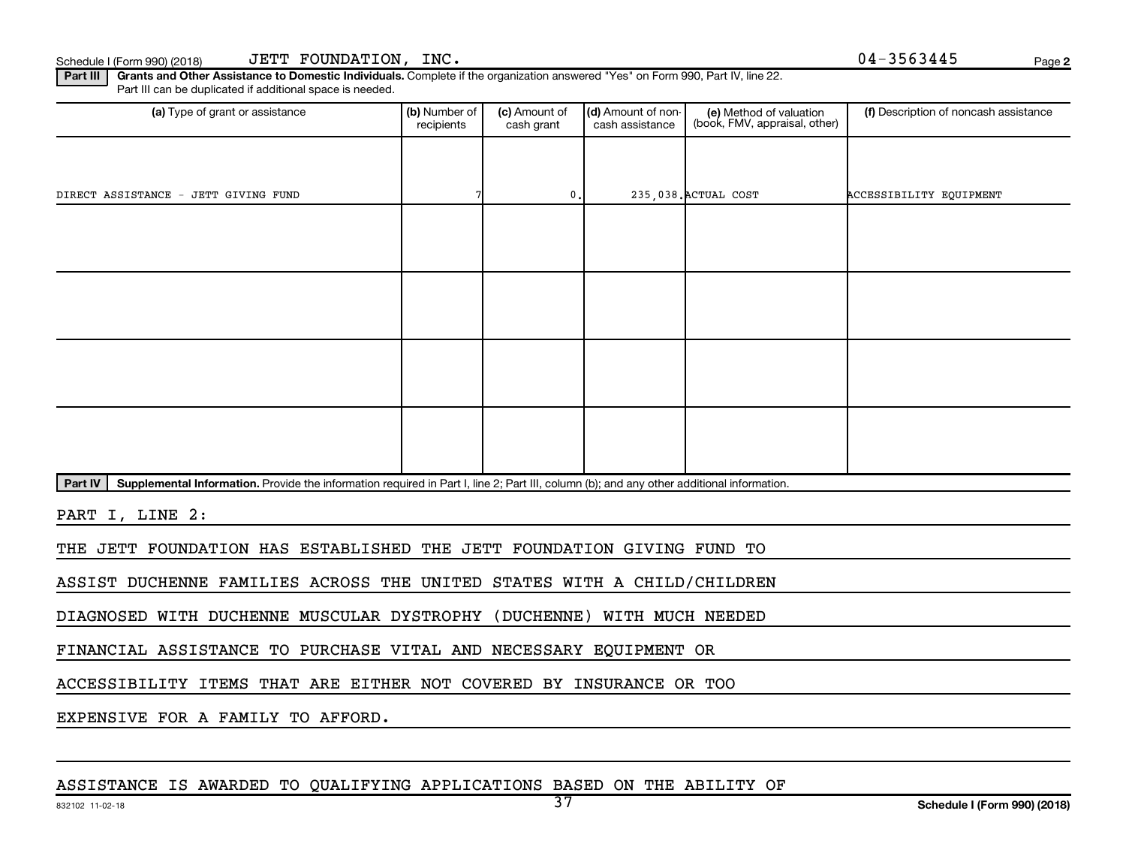**2**

Part III | Grants and Other Assistance to Domestic Individuals. Complete if the organization answered "Yes" on Form 990, Part IV, line 22. Part III can be duplicated if additional space is needed.

| (a) Type of grant or assistance                                                                                                                      | (b) Number of<br>recipients | (c) Amount of<br>cash grant | (d) Amount of non-<br>cash assistance | (e) Method of valuation<br>(book, FMV, appraisal, other) | (f) Description of noncash assistance |
|------------------------------------------------------------------------------------------------------------------------------------------------------|-----------------------------|-----------------------------|---------------------------------------|----------------------------------------------------------|---------------------------------------|
|                                                                                                                                                      |                             |                             |                                       |                                                          |                                       |
| DIRECT ASSISTANCE<br>- JETT GIVING FUND                                                                                                              |                             | 0.                          |                                       | 235,038. ACTUAL COST                                     | ACCESSIBILITY EQUIPMENT               |
|                                                                                                                                                      |                             |                             |                                       |                                                          |                                       |
|                                                                                                                                                      |                             |                             |                                       |                                                          |                                       |
|                                                                                                                                                      |                             |                             |                                       |                                                          |                                       |
|                                                                                                                                                      |                             |                             |                                       |                                                          |                                       |
|                                                                                                                                                      |                             |                             |                                       |                                                          |                                       |
|                                                                                                                                                      |                             |                             |                                       |                                                          |                                       |
|                                                                                                                                                      |                             |                             |                                       |                                                          |                                       |
|                                                                                                                                                      |                             |                             |                                       |                                                          |                                       |
| Part IV<br>Supplemental Information. Provide the information required in Part I, line 2; Part III, column (b); and any other additional information. |                             |                             |                                       |                                                          |                                       |

PART I, LINE 2:

THE JETT FOUNDATION HAS ESTABLISHED THE JETT FOUNDATION GIVING FUND TO

ASSIST DUCHENNE FAMILIES ACROSS THE UNITED STATES WITH A CHILD/CHILDREN

DIAGNOSED WITH DUCHENNE MUSCULAR DYSTROPHY (DUCHENNE) WITH MUCH NEEDED

FINANCIAL ASSISTANCE TO PURCHASE VITAL AND NECESSARY EQUIPMENT OR

ACCESSIBILITY ITEMS THAT ARE EITHER NOT COVERED BY INSURANCE OR TOO

EXPENSIVE FOR A FAMILY TO AFFORD.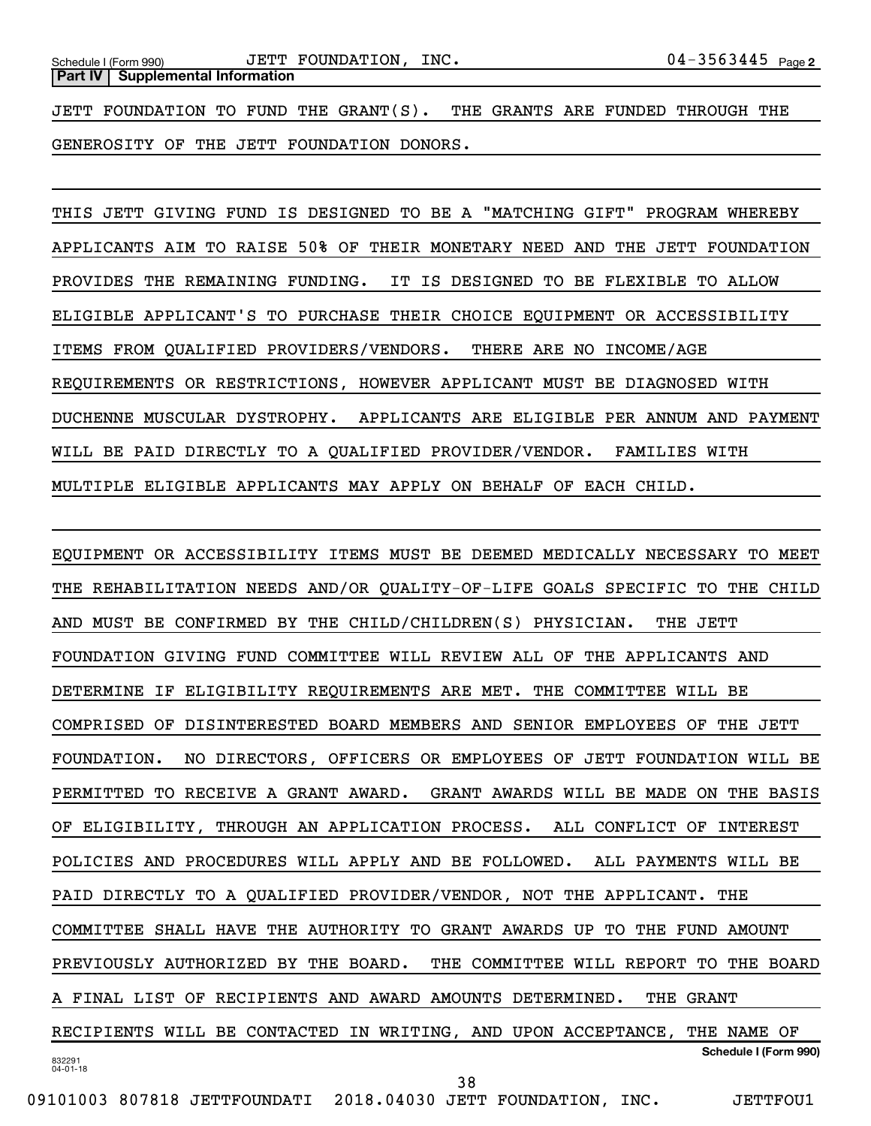JETT FOUNDATION TO FUND THE GRANT(S). THE GRANTS ARE FUNDED THROUGH THE GENEROSITY OF THE JETT FOUNDATION DONORS.

THIS JETT GIVING FUND IS DESIGNED TO BE A "MATCHING GIFT" PROGRAM WHEREBY APPLICANTS AIM TO RAISE 50% OF THEIR MONETARY NEED AND THE JETT FOUNDATION PROVIDES THE REMAINING FUNDING. IT IS DESIGNED TO BE FLEXIBLE TO ALLOW ELIGIBLE APPLICANT'S TO PURCHASE THEIR CHOICE EQUIPMENT OR ACCESSIBILITY ITEMS FROM QUALIFIED PROVIDERS/VENDORS. THERE ARE NO INCOME/AGE REQUIREMENTS OR RESTRICTIONS, HOWEVER APPLICANT MUST BE DIAGNOSED WITH DUCHENNE MUSCULAR DYSTROPHY. APPLICANTS ARE ELIGIBLE PER ANNUM AND PAYMENT WILL BE PAID DIRECTLY TO A QUALIFIED PROVIDER/VENDOR. FAMILIES WITH MULTIPLE ELIGIBLE APPLICANTS MAY APPLY ON BEHALF OF EACH CHILD.

832291 04-01-18 **Schedule I (Form 990)** EQUIPMENT OR ACCESSIBILITY ITEMS MUST BE DEEMED MEDICALLY NECESSARY TO MEET THE REHABILITATION NEEDS AND/OR QUALITY-OF-LIFE GOALS SPECIFIC TO THE CHILD AND MUST BE CONFIRMED BY THE CHILD/CHILDREN(S) PHYSICIAN. THE JETT FOUNDATION GIVING FUND COMMITTEE WILL REVIEW ALL OF THE APPLICANTS AND DETERMINE IF ELIGIBILITY REQUIREMENTS ARE MET. THE COMMITTEE WILL BE COMPRISED OF DISINTERESTED BOARD MEMBERS AND SENIOR EMPLOYEES OF THE JETT FOUNDATION. NO DIRECTORS, OFFICERS OR EMPLOYEES OF JETT FOUNDATION WILL BE PERMITTED TO RECEIVE A GRANT AWARD. GRANT AWARDS WILL BE MADE ON THE BASIS OF ELIGIBILITY, THROUGH AN APPLICATION PROCESS. ALL CONFLICT OF INTEREST POLICIES AND PROCEDURES WILL APPLY AND BE FOLLOWED. ALL PAYMENTS WILL BE PAID DIRECTLY TO A QUALIFIED PROVIDER/VENDOR, NOT THE APPLICANT. THE COMMITTEE SHALL HAVE THE AUTHORITY TO GRANT AWARDS UP TO THE FUND AMOUNT PREVIOUSLY AUTHORIZED BY THE BOARD. THE COMMITTEE WILL REPORT TO THE BOARD A FINAL LIST OF RECIPIENTS AND AWARD AMOUNTS DETERMINED. THE GRANT RECIPIENTS WILL BE CONTACTED IN WRITING, AND UPON ACCEPTANCE, THE NAME OF 38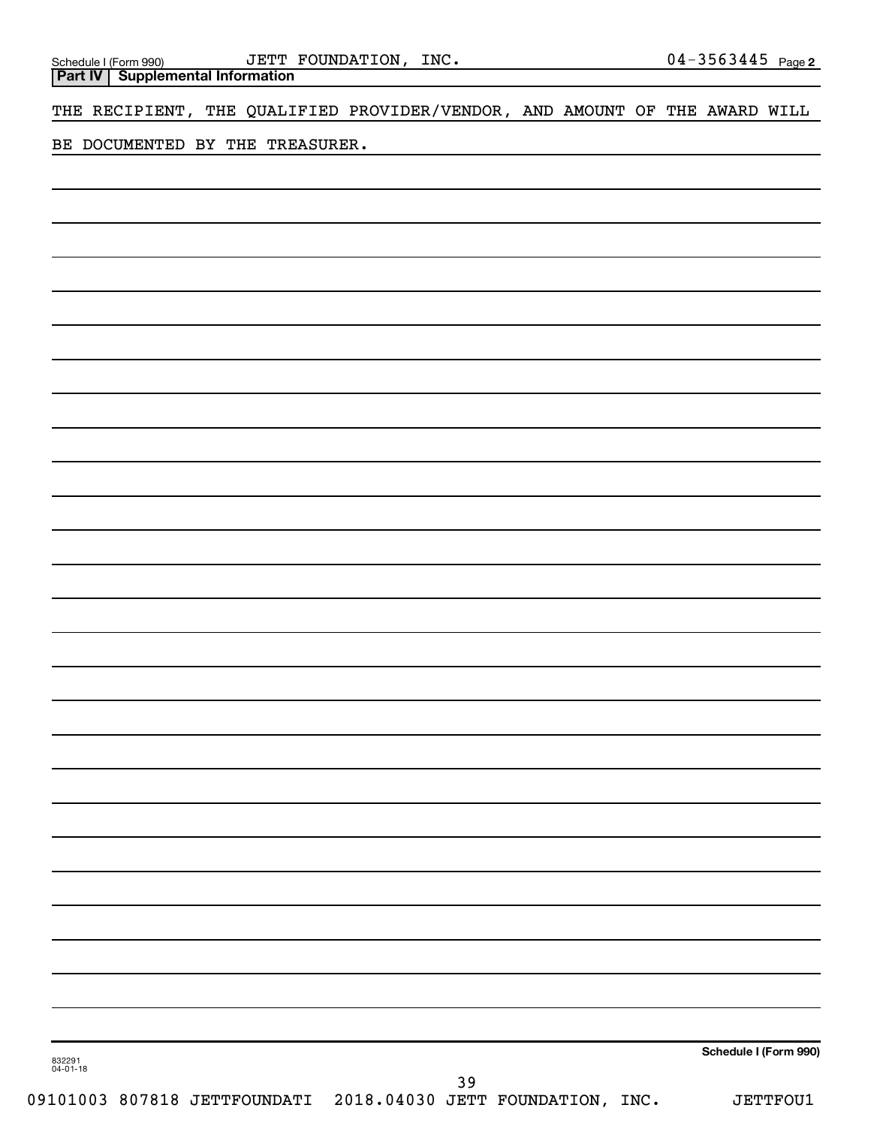**Part IV Supplemental Information**

THE RECIPIENT, THE QUALIFIED PROVIDER/VENDOR, AND AMOUNT OF THE AWARD WILL

BE DOCUMENTED BY THE TREASURER.

**Schedule I (Form 990)**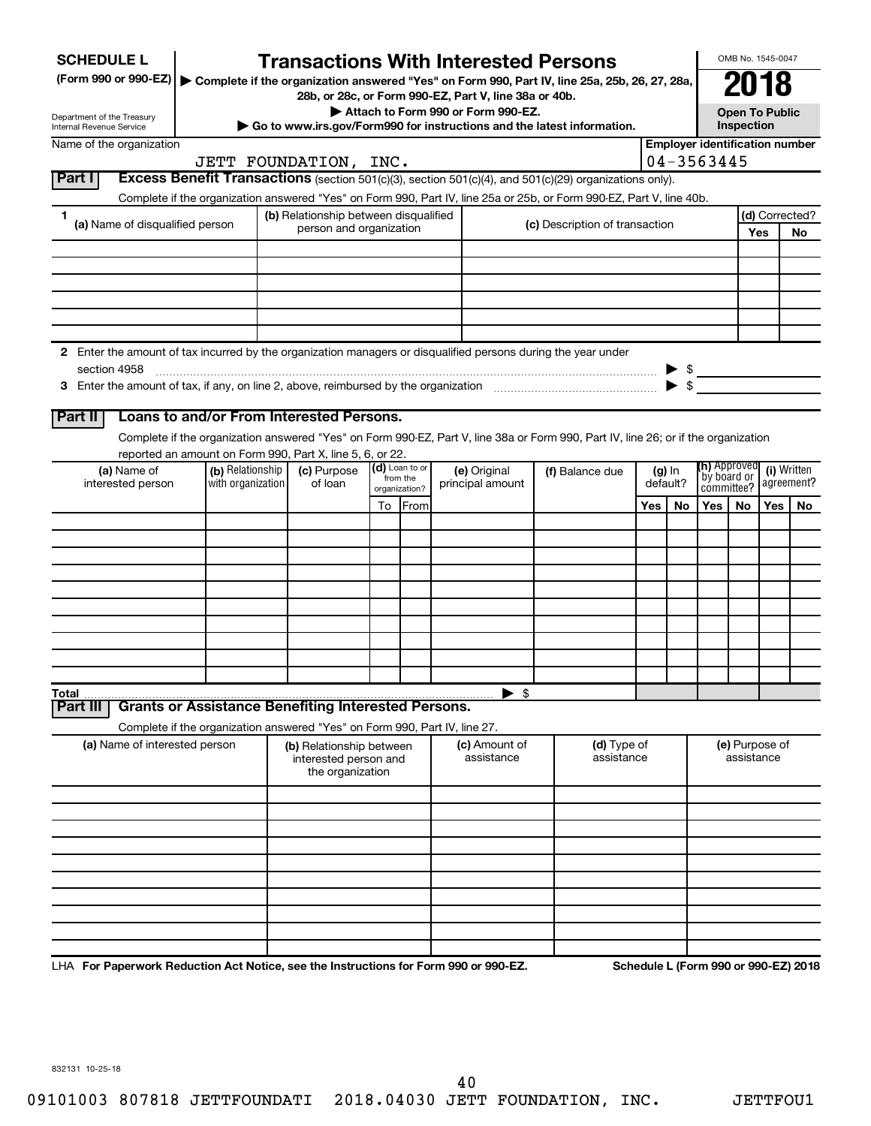| <b>SCHEDULE L</b>                                                                                                    |                                          |                                                                       |    |                            | <b>Transactions With Interested Persons</b>                                                                                        |                                |     |          |                             | OMB No. 1545-0047            |            |                                       |
|----------------------------------------------------------------------------------------------------------------------|------------------------------------------|-----------------------------------------------------------------------|----|----------------------------|------------------------------------------------------------------------------------------------------------------------------------|--------------------------------|-----|----------|-----------------------------|------------------------------|------------|---------------------------------------|
| (Form 990 or 990-EZ)   Complete if the organization answered "Yes" on Form 990, Part IV, line 25a, 25b, 26, 27, 28a, |                                          |                                                                       |    |                            |                                                                                                                                    |                                |     |          |                             |                              |            |                                       |
|                                                                                                                      |                                          |                                                                       |    |                            | 28b, or 28c, or Form 990-EZ, Part V, line 38a or 40b.<br>Attach to Form 990 or Form 990-EZ.                                        |                                |     |          |                             | <b>Open To Public</b>        |            |                                       |
| Department of the Treasury<br><b>Internal Revenue Service</b>                                                        |                                          |                                                                       |    |                            | Go to www.irs.gov/Form990 for instructions and the latest information.                                                             |                                |     |          |                             | Inspection                   |            |                                       |
| Name of the organization                                                                                             |                                          |                                                                       |    |                            |                                                                                                                                    |                                |     |          |                             |                              |            | <b>Employer identification number</b> |
| Part I                                                                                                               | JETT FOUNDATION, INC.                    |                                                                       |    |                            | <b>Excess Benefit Transactions</b> (section 501(c)(3), section 501(c)(4), and $501(c)(29)$ organizations only).                    |                                |     |          | 04-3563445                  |                              |            |                                       |
|                                                                                                                      |                                          |                                                                       |    |                            | Complete if the organization answered "Yes" on Form 990, Part IV, line 25a or 25b, or Form 990-EZ, Part V, line 40b.               |                                |     |          |                             |                              |            |                                       |
| 1                                                                                                                    |                                          | (b) Relationship between disqualified                                 |    |                            |                                                                                                                                    |                                |     |          |                             |                              |            | (d) Corrected?                        |
| (a) Name of disqualified person                                                                                      |                                          | person and organization                                               |    |                            |                                                                                                                                    | (c) Description of transaction |     |          |                             |                              | Yes        | No                                    |
|                                                                                                                      |                                          |                                                                       |    |                            |                                                                                                                                    |                                |     |          |                             |                              |            |                                       |
|                                                                                                                      |                                          |                                                                       |    |                            |                                                                                                                                    |                                |     |          |                             |                              |            |                                       |
|                                                                                                                      |                                          |                                                                       |    |                            |                                                                                                                                    |                                |     |          |                             |                              |            |                                       |
|                                                                                                                      |                                          |                                                                       |    |                            |                                                                                                                                    |                                |     |          |                             |                              |            |                                       |
| 2 Enter the amount of tax incurred by the organization managers or disqualified persons during the year under        |                                          |                                                                       |    |                            |                                                                                                                                    |                                |     |          |                             |                              |            |                                       |
| section 4958                                                                                                         |                                          |                                                                       |    |                            |                                                                                                                                    |                                |     |          | $\triangleright$ \$         |                              |            |                                       |
|                                                                                                                      |                                          |                                                                       |    |                            |                                                                                                                                    |                                |     |          |                             |                              |            |                                       |
|                                                                                                                      | Loans to and/or From Interested Persons. |                                                                       |    |                            |                                                                                                                                    |                                |     |          |                             |                              |            |                                       |
| Part II                                                                                                              |                                          |                                                                       |    |                            |                                                                                                                                    |                                |     |          |                             |                              |            |                                       |
| reported an amount on Form 990, Part X, line 5, 6, or 22.                                                            |                                          |                                                                       |    |                            | Complete if the organization answered "Yes" on Form 990-EZ, Part V, line 38a or Form 990, Part IV, line 26; or if the organization |                                |     |          |                             |                              |            |                                       |
| (a) Name of                                                                                                          | (b) Relationship                         | (c) Purpose                                                           |    | (d) Loan to or<br>from the | (e) Original                                                                                                                       | (f) Balance due                |     | $(g)$ In | (h) Approved<br>by board or |                              |            | (i) Written                           |
| interested person                                                                                                    | with organization                        | of loan                                                               |    | organization?              | principal amount                                                                                                                   |                                |     | default? | committee?                  |                              |            | agreement?                            |
|                                                                                                                      |                                          |                                                                       | To | From                       |                                                                                                                                    |                                | Yes | No       | Yes                         | No                           | <b>Yes</b> | No                                    |
|                                                                                                                      |                                          |                                                                       |    |                            |                                                                                                                                    |                                |     |          |                             |                              |            |                                       |
|                                                                                                                      |                                          |                                                                       |    |                            |                                                                                                                                    |                                |     |          |                             |                              |            |                                       |
|                                                                                                                      |                                          |                                                                       |    |                            |                                                                                                                                    |                                |     |          |                             |                              |            |                                       |
|                                                                                                                      |                                          |                                                                       |    |                            |                                                                                                                                    |                                |     |          |                             |                              |            |                                       |
|                                                                                                                      |                                          |                                                                       |    |                            |                                                                                                                                    |                                |     |          |                             |                              |            |                                       |
|                                                                                                                      |                                          |                                                                       |    |                            |                                                                                                                                    |                                |     |          |                             |                              |            |                                       |
|                                                                                                                      |                                          |                                                                       |    |                            |                                                                                                                                    |                                |     |          |                             |                              |            |                                       |
|                                                                                                                      |                                          |                                                                       |    |                            |                                                                                                                                    |                                |     |          |                             |                              |            |                                       |
| Total<br><b>Grants or Assistance Benefiting Interested Persons.</b><br>Part II                                       |                                          |                                                                       |    |                            | $\blacktriangleright$ \$                                                                                                           |                                |     |          |                             |                              |            |                                       |
| Complete if the organization answered "Yes" on Form 990, Part IV, line 27.                                           |                                          |                                                                       |    |                            |                                                                                                                                    |                                |     |          |                             |                              |            |                                       |
| (a) Name of interested person                                                                                        |                                          | (b) Relationship between<br>interested person and<br>the organization |    |                            | (c) Amount of<br>assistance                                                                                                        | (d) Type of<br>assistance      |     |          |                             | (e) Purpose of<br>assistance |            |                                       |
|                                                                                                                      |                                          |                                                                       |    |                            |                                                                                                                                    |                                |     |          |                             |                              |            |                                       |
|                                                                                                                      |                                          |                                                                       |    |                            |                                                                                                                                    |                                |     |          |                             |                              |            |                                       |
|                                                                                                                      |                                          |                                                                       |    |                            |                                                                                                                                    |                                |     |          |                             |                              |            |                                       |
|                                                                                                                      |                                          |                                                                       |    |                            |                                                                                                                                    |                                |     |          |                             |                              |            |                                       |
|                                                                                                                      |                                          |                                                                       |    |                            |                                                                                                                                    |                                |     |          |                             |                              |            |                                       |
|                                                                                                                      |                                          |                                                                       |    |                            |                                                                                                                                    |                                |     |          |                             |                              |            |                                       |
|                                                                                                                      |                                          |                                                                       |    |                            |                                                                                                                                    |                                |     |          |                             |                              |            |                                       |
|                                                                                                                      |                                          |                                                                       |    |                            |                                                                                                                                    |                                |     |          |                             |                              |            |                                       |
|                                                                                                                      |                                          |                                                                       |    |                            |                                                                                                                                    |                                |     |          |                             |                              |            |                                       |

LHA For Paperwork Reduction Act Notice, see the Instructions for Form 990 or 990-EZ. Schedule L (Form 990 or 990-EZ) 2018

832131 10-25-18

40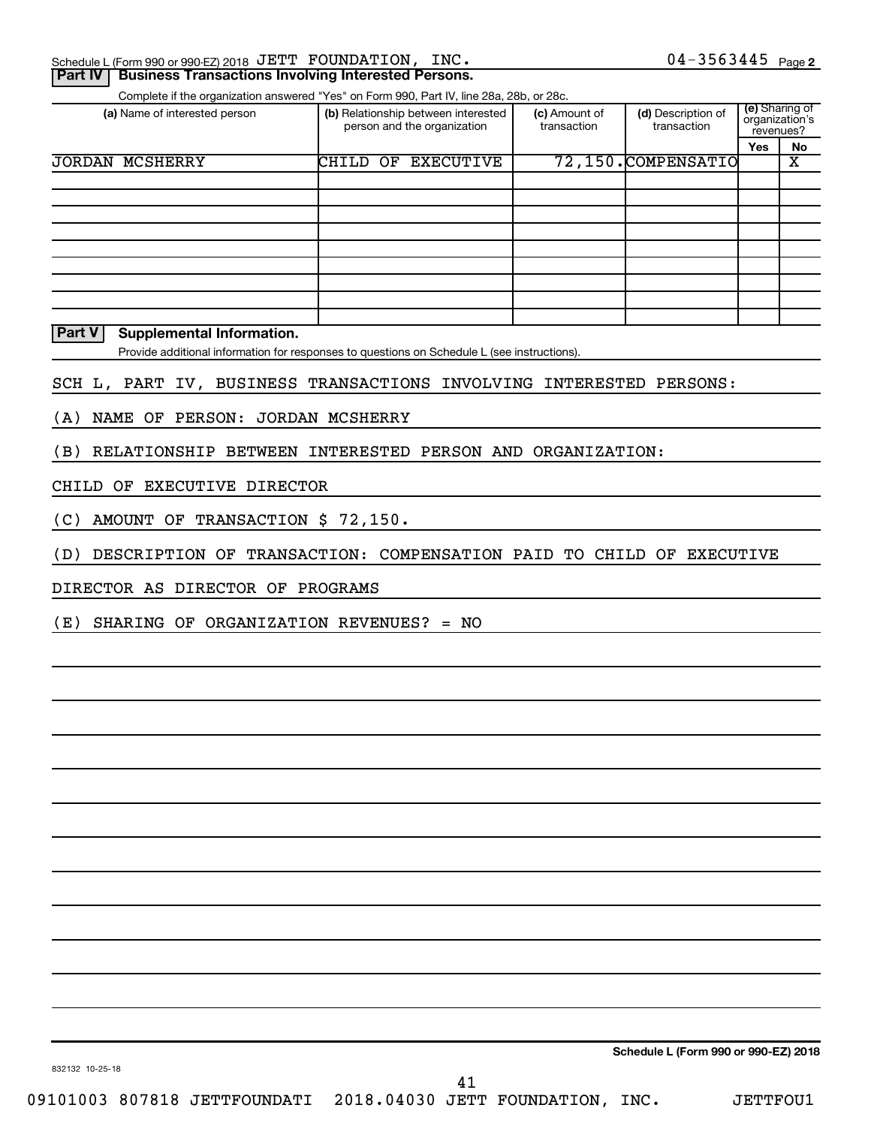| Schedule L (Form 990 or 990-EZ) 2018 JETT FOUNDATION, INC. |  | 04-3563445<br>Page 2 |  |
|------------------------------------------------------------|--|----------------------|--|
|                                                            |  |                      |  |

### **Part IV | Business Transactions Involving Interested Persons.**

Complete if the organization answered "Yes" on Form 990, Part IV, line 28a, 28b, or 28c.

| (a) Name of interested person | (b) Relationship between interested<br>person and the organization |                  | (c) Amount of<br>transaction | (d) Description of<br>transaction | (e) Sharing of<br>organization's<br>revenues? |    |
|-------------------------------|--------------------------------------------------------------------|------------------|------------------------------|-----------------------------------|-----------------------------------------------|----|
|                               |                                                                    |                  |                              |                                   | Yes                                           | No |
| <b>JORDAN MCSHERRY</b>        | CHILD<br>OF                                                        | <b>EXECUTIVE</b> |                              | 72,150.COMPENSATIO                |                                               | х  |
|                               |                                                                    |                  |                              |                                   |                                               |    |
|                               |                                                                    |                  |                              |                                   |                                               |    |
|                               |                                                                    |                  |                              |                                   |                                               |    |
|                               |                                                                    |                  |                              |                                   |                                               |    |
|                               |                                                                    |                  |                              |                                   |                                               |    |
|                               |                                                                    |                  |                              |                                   |                                               |    |
|                               |                                                                    |                  |                              |                                   |                                               |    |
|                               |                                                                    |                  |                              |                                   |                                               |    |
|                               |                                                                    |                  |                              |                                   |                                               |    |

**Part V Supplemental Information.**

Provide additional information for responses to questions on Schedule L (see instructions).

SCH L, PART IV, BUSINESS TRANSACTIONS INVOLVING INTERESTED PERSONS:

(A) NAME OF PERSON: JORDAN MCSHERRY

(B) RELATIONSHIP BETWEEN INTERESTED PERSON AND ORGANIZATION:

CHILD OF EXECUTIVE DIRECTOR

(C) AMOUNT OF TRANSACTION \$ 72,150.

(D) DESCRIPTION OF TRANSACTION: COMPENSATION PAID TO CHILD OF EXECUTIVE

DIRECTOR AS DIRECTOR OF PROGRAMS

(E) SHARING OF ORGANIZATION REVENUES? = NO

**Schedule L (Form 990 or 990-EZ) 2018**

832132 10-25-18

41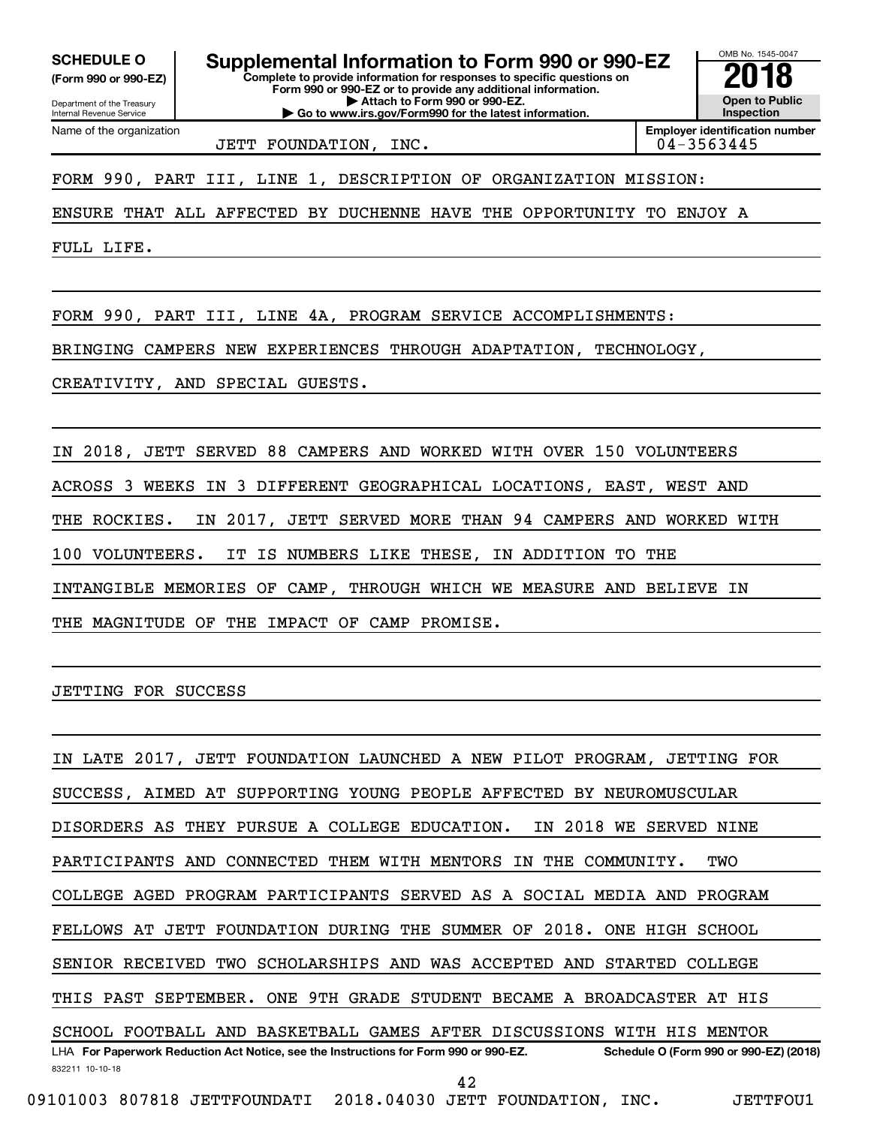**(Form 990 or 990-EZ)**

Department of the Treasury

Name of the organization

Internal Revenue Service

**Complete to provide information for responses to specific questions on Form 990 or 990-EZ or to provide any additional information. | Attach to Form 990 or 990-EZ. | Go to www.irs.gov/Form990 for the latest information.** SCHEDULE O **Supplemental Information to Form 990 or 990-EZ 2018**<br>(Form 990 or 990-EZ) Complete to provide information for responses to specific questions on

OMB No. 1545-0047 **Open to Public Inspection**

JETT FOUNDATION, INC.

**Employer identification number**

FORM 990, PART III, LINE 1, DESCRIPTION OF ORGANIZATION MISSION:

ENSURE THAT ALL AFFECTED BY DUCHENNE HAVE THE OPPORTUNITY TO ENJOY A

FULL LIFE.

FORM 990, PART III, LINE 4A, PROGRAM SERVICE ACCOMPLISHMENTS:

BRINGING CAMPERS NEW EXPERIENCES THROUGH ADAPTATION, TECHNOLOGY,

CREATIVITY, AND SPECIAL GUESTS.

IN 2018, JETT SERVED 88 CAMPERS AND WORKED WITH OVER 150 VOLUNTEERS ACROSS 3 WEEKS IN 3 DIFFERENT GEOGRAPHICAL LOCATIONS, EAST, WEST AND THE ROCKIES. IN 2017, JETT SERVED MORE THAN 94 CAMPERS AND WORKED WITH 100 VOLUNTEERS. IT IS NUMBERS LIKE THESE, IN ADDITION TO THE INTANGIBLE MEMORIES OF CAMP, THROUGH WHICH WE MEASURE AND BELIEVE IN THE MAGNITUDE OF THE IMPACT OF CAMP PROMISE.

JETTING FOR SUCCESS

832211 10-10-18 LHA For Paperwork Reduction Act Notice, see the Instructions for Form 990 or 990-EZ. Schedule O (Form 990 or 990-EZ) (2018) IN LATE 2017, JETT FOUNDATION LAUNCHED A NEW PILOT PROGRAM, JETTING FOR SUCCESS, AIMED AT SUPPORTING YOUNG PEOPLE AFFECTED BY NEUROMUSCULAR DISORDERS AS THEY PURSUE A COLLEGE EDUCATION. IN 2018 WE SERVED NINE PARTICIPANTS AND CONNECTED THEM WITH MENTORS IN THE COMMUNITY. TWO COLLEGE AGED PROGRAM PARTICIPANTS SERVED AS A SOCIAL MEDIA AND PROGRAM FELLOWS AT JETT FOUNDATION DURING THE SUMMER OF 2018. ONE HIGH SCHOOL SENIOR RECEIVED TWO SCHOLARSHIPS AND WAS ACCEPTED AND STARTED COLLEGE THIS PAST SEPTEMBER. ONE 9TH GRADE STUDENT BECAME A BROADCASTER AT HIS SCHOOL FOOTBALL AND BASKETBALL GAMES AFTER DISCUSSIONS WITH HIS MENTOR 42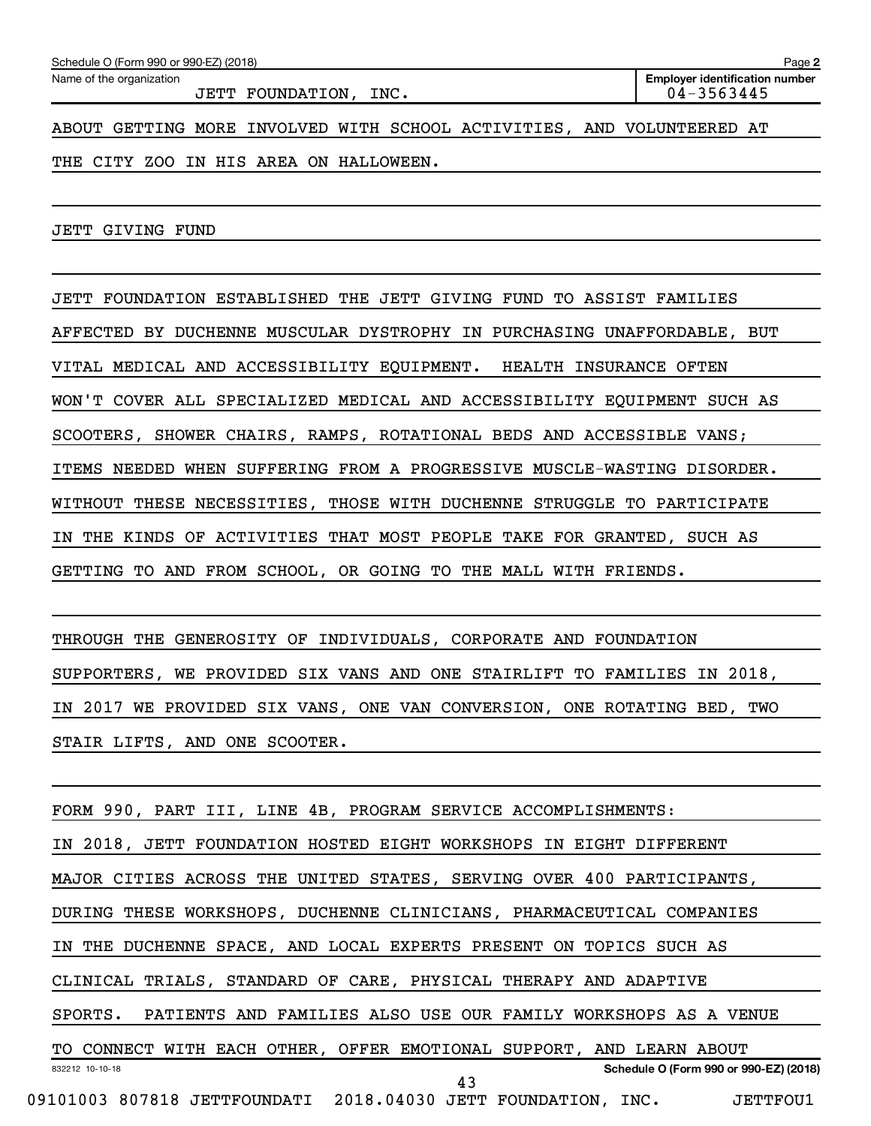JETT FOUNDATION, INC. 04-3563445

ABOUT GETTING MORE INVOLVED WITH SCHOOL ACTIVITIES, AND VOLUNTEERED AT

THE CITY ZOO IN HIS AREA ON HALLOWEEN.

JETT GIVING FUND

JETT FOUNDATION ESTABLISHED THE JETT GIVING FUND TO ASSIST FAMILIES AFFECTED BY DUCHENNE MUSCULAR DYSTROPHY IN PURCHASING UNAFFORDABLE, BUT VITAL MEDICAL AND ACCESSIBILITY EQUIPMENT. HEALTH INSURANCE OFTEN WON'T COVER ALL SPECIALIZED MEDICAL AND ACCESSIBILITY EQUIPMENT SUCH AS SCOOTERS, SHOWER CHAIRS, RAMPS, ROTATIONAL BEDS AND ACCESSIBLE VANS; ITEMS NEEDED WHEN SUFFERING FROM A PROGRESSIVE MUSCLE-WASTING DISORDER. WITHOUT THESE NECESSITIES, THOSE WITH DUCHENNE STRUGGLE TO PARTICIPATE IN THE KINDS OF ACTIVITIES THAT MOST PEOPLE TAKE FOR GRANTED, SUCH AS GETTING TO AND FROM SCHOOL, OR GOING TO THE MALL WITH FRIENDS.

THROUGH THE GENEROSITY OF INDIVIDUALS, CORPORATE AND FOUNDATION SUPPORTERS, WE PROVIDED SIX VANS AND ONE STAIRLIFT TO FAMILIES IN 2018, IN 2017 WE PROVIDED SIX VANS, ONE VAN CONVERSION, ONE ROTATING BED, TWO STAIR LIFTS, AND ONE SCOOTER.

832212 10-10-18 **Schedule O (Form 990 or 990-EZ) (2018)** FORM 990, PART III, LINE 4B, PROGRAM SERVICE ACCOMPLISHMENTS: IN 2018, JETT FOUNDATION HOSTED EIGHT WORKSHOPS IN EIGHT DIFFERENT MAJOR CITIES ACROSS THE UNITED STATES, SERVING OVER 400 PARTICIPANTS, DURING THESE WORKSHOPS, DUCHENNE CLINICIANS, PHARMACEUTICAL COMPANIES IN THE DUCHENNE SPACE, AND LOCAL EXPERTS PRESENT ON TOPICS SUCH AS CLINICAL TRIALS, STANDARD OF CARE, PHYSICAL THERAPY AND ADAPTIVE SPORTS. PATIENTS AND FAMILIES ALSO USE OUR FAMILY WORKSHOPS AS A VENUE TO CONNECT WITH EACH OTHER, OFFER EMOTIONAL SUPPORT, AND LEARN ABOUT 09101003 807818 JETTFOUNDATI 2018.04030 JETT FOUNDATION, INC. JETTFOU1 43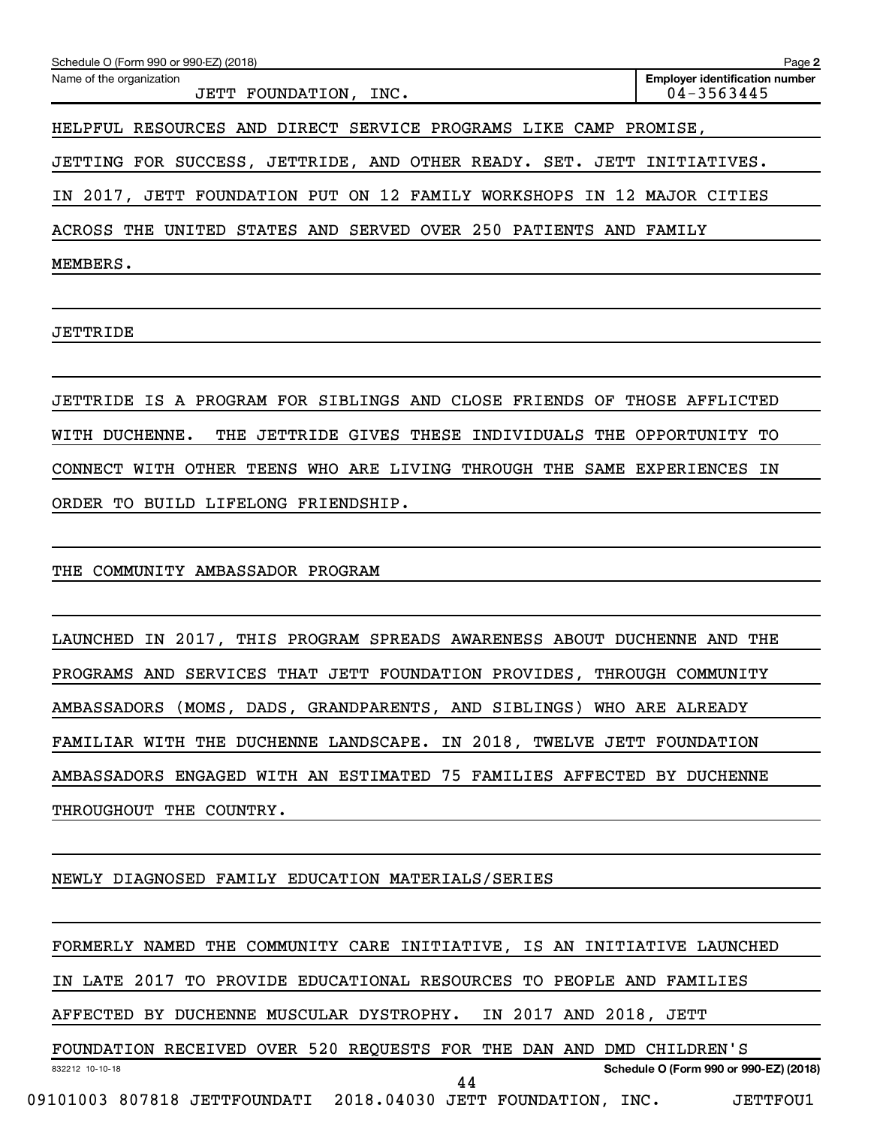| Schedule O (Form 990 or 990-EZ) (2018)                                 | Page 2                                              |
|------------------------------------------------------------------------|-----------------------------------------------------|
| Name of the organization<br>JETT FOUNDATION, INC.                      | <b>Employer identification number</b><br>04-3563445 |
| HELPFUL RESOURCES AND DIRECT SERVICE PROGRAMS LIKE CAMP PROMISE,       |                                                     |
| JETTING FOR SUCCESS, JETTRIDE, AND OTHER READY. SET. JETT INITIATIVES. |                                                     |
| IN 2017, JETT FOUNDATION PUT ON 12 FAMILY WORKSHOPS IN 12 MAJOR CITIES |                                                     |
| ACROSS THE UNITED STATES AND SERVED OVER 250 PATIENTS AND FAMILY       |                                                     |
| MEMBERS.                                                               |                                                     |

JETTRIDE

JETTRIDE IS A PROGRAM FOR SIBLINGS AND CLOSE FRIENDS OF THOSE AFFLICTED WITH DUCHENNE. THE JETTRIDE GIVES THESE INDIVIDUALS THE OPPORTUNITY TO CONNECT WITH OTHER TEENS WHO ARE LIVING THROUGH THE SAME EXPERIENCES IN ORDER TO BUILD LIFELONG FRIENDSHIP.

THE COMMUNITY AMBASSADOR PROGRAM

LAUNCHED IN 2017, THIS PROGRAM SPREADS AWARENESS ABOUT DUCHENNE AND THE PROGRAMS AND SERVICES THAT JETT FOUNDATION PROVIDES, THROUGH COMMUNITY AMBASSADORS (MOMS, DADS, GRANDPARENTS, AND SIBLINGS) WHO ARE ALREADY FAMILIAR WITH THE DUCHENNE LANDSCAPE. IN 2018, TWELVE JETT FOUNDATION AMBASSADORS ENGAGED WITH AN ESTIMATED 75 FAMILIES AFFECTED BY DUCHENNE THROUGHOUT THE COUNTRY.

NEWLY DIAGNOSED FAMILY EDUCATION MATERIALS/SERIES

832212 10-10-18 **Schedule O (Form 990 or 990-EZ) (2018)** FORMERLY NAMED THE COMMUNITY CARE INITIATIVE, IS AN INITIATIVE LAUNCHED IN LATE 2017 TO PROVIDE EDUCATIONAL RESOURCES TO PEOPLE AND FAMILIES AFFECTED BY DUCHENNE MUSCULAR DYSTROPHY. IN 2017 AND 2018, JETT FOUNDATION RECEIVED OVER 520 REQUESTS FOR THE DAN AND DMD CHILDREN'S 09101003 807818 JETTFOUNDATI 2018.04030 JETT FOUNDATION, INC. JETTFOU1 44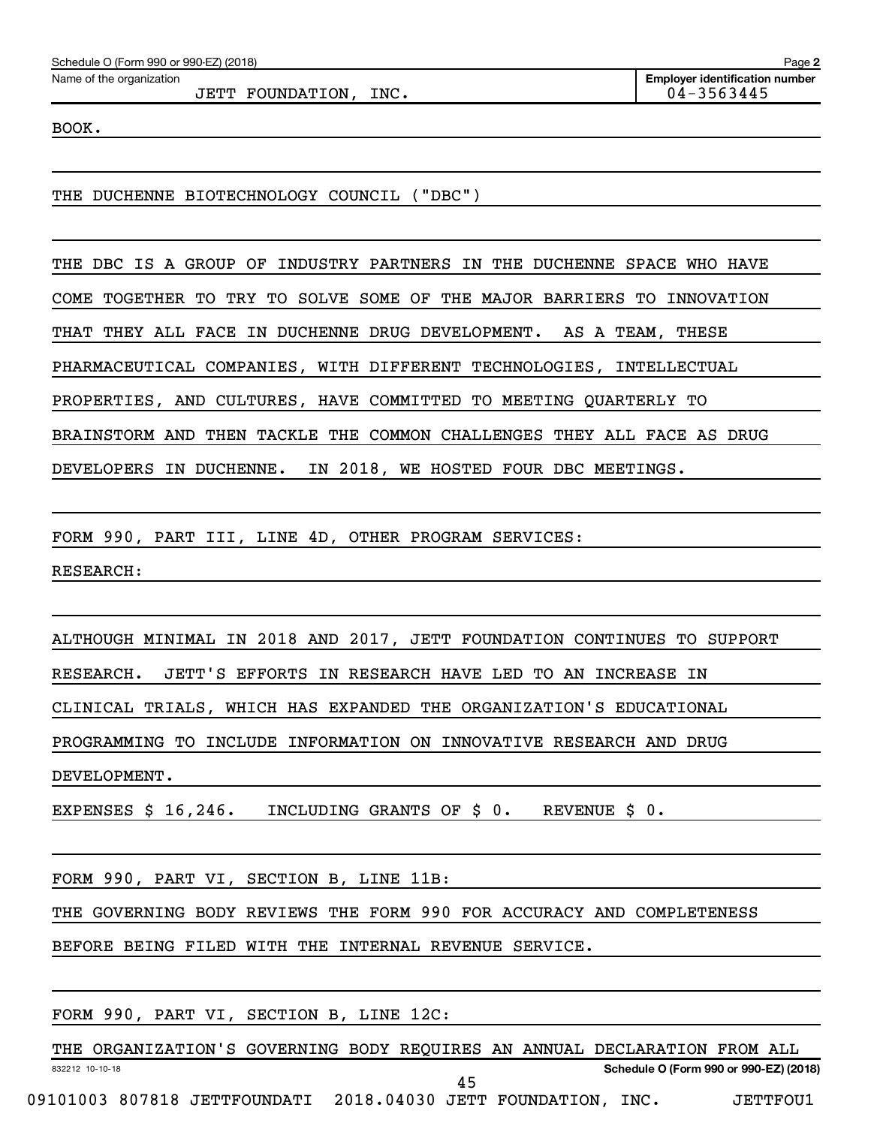Name of the organization

JETT FOUNDATION, INC. 04-3563445

BOOK.

THE DUCHENNE BIOTECHNOLOGY COUNCIL ("DBC")

THE DBC IS A GROUP OF INDUSTRY PARTNERS IN THE DUCHENNE SPACE WHO HAVE COME TOGETHER TO TRY TO SOLVE SOME OF THE MAJOR BARRIERS TO INNOVATION THAT THEY ALL FACE IN DUCHENNE DRUG DEVELOPMENT. AS A TEAM, THESE PHARMACEUTICAL COMPANIES, WITH DIFFERENT TECHNOLOGIES, INTELLECTUAL PROPERTIES, AND CULTURES, HAVE COMMITTED TO MEETING QUARTERLY TO BRAINSTORM AND THEN TACKLE THE COMMON CHALLENGES THEY ALL FACE AS DRUG DEVELOPERS IN DUCHENNE. IN 2018, WE HOSTED FOUR DBC MEETINGS.

FORM 990, PART III, LINE 4D, OTHER PROGRAM SERVICES:

RESEARCH:

ALTHOUGH MINIMAL IN 2018 AND 2017, JETT FOUNDATION CONTINUES TO SUPPORT RESEARCH. JETT'S EFFORTS IN RESEARCH HAVE LED TO AN INCREASE IN CLINICAL TRIALS, WHICH HAS EXPANDED THE ORGANIZATION'S EDUCATIONAL PROGRAMMING TO INCLUDE INFORMATION ON INNOVATIVE RESEARCH AND DRUG DEVELOPMENT.

EXPENSES \$ 16,246. INCLUDING GRANTS OF \$ 0. REVENUE \$ 0.

FORM 990, PART VI, SECTION B, LINE 11B:

THE GOVERNING BODY REVIEWS THE FORM 990 FOR ACCURACY AND COMPLETENESS

BEFORE BEING FILED WITH THE INTERNAL REVENUE SERVICE.

FORM 990, PART VI, SECTION B, LINE 12C:

832212 10-10-18 **Schedule O (Form 990 or 990-EZ) (2018)** THE ORGANIZATION'S GOVERNING BODY REQUIRES AN ANNUAL DECLARATION FROM ALL 09101003 807818 JETTFOUNDATI 2018.04030 JETT FOUNDATION, INC. JETTFOU1 45